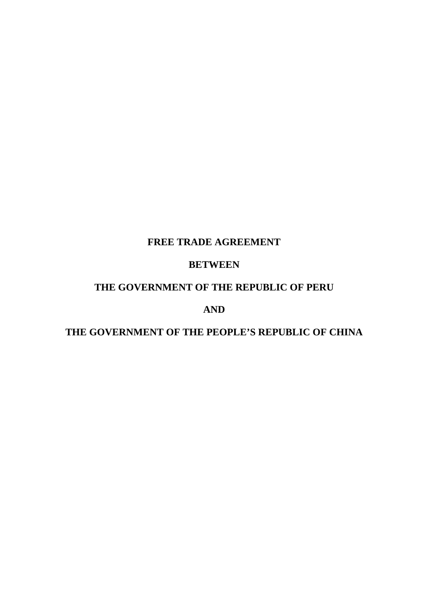# **FREE TRADE AGREEMENT**

# **BETWEEN**

# **THE GOVERNMENT OF THE REPUBLIC OF PERU**

# **AND**

# **THE GOVERNMENT OF THE PEOPLE'S REPUBLIC OF CHINA**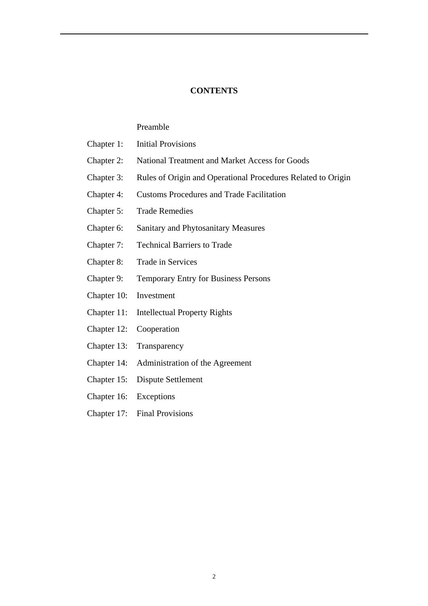### **CONTENTS**

#### Preamble

- Chapter 1: Initial Provisions
- Chapter 2: National Treatment and Market Access for Goods
- Chapter 3: Rules of Origin and Operational Procedures Related to Origin
- Chapter 4: Customs Procedures and Trade Facilitation
- Chapter 5: Trade Remedies
- Chapter 6: Sanitary and Phytosanitary Measures
- Chapter 7: Technical Barriers to Trade
- Chapter 8: Trade in Services
- Chapter 9: Temporary Entry for Business Persons
- Chapter 10: Investment
- Chapter 11: Intellectual Property Rights
- Chapter 12: Cooperation
- Chapter 13: Transparency
- Chapter 14: Administration of the Agreement
- Chapter 15: Dispute Settlement
- Chapter 16: Exceptions
- Chapter 17: Final Provisions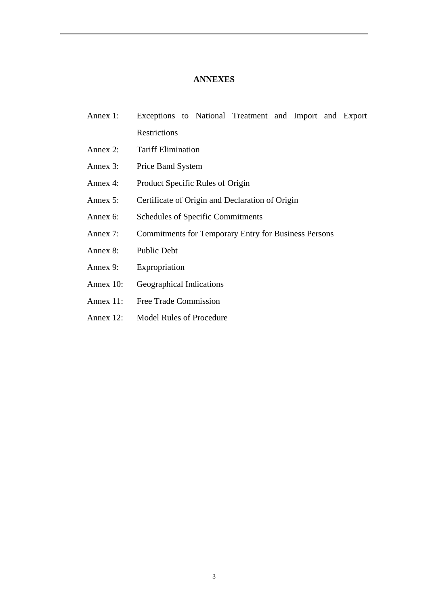### **ANNEXES**

- Annex 1: Exceptions to National Treatment and Import and Export **Restrictions**
- Annex 2: Tariff Elimination
- Annex 3: Price Band System
- Annex 4: Product Specific Rules of Origin
- Annex 5: Certificate of Origin and Declaration of Origin
- Annex 6: Schedules of Specific Commitments
- Annex 7: Commitments for Temporary Entry for Business Persons
- Annex 8: Public Debt
- Annex 9: Expropriation
- Annex 10: Geographical Indications
- Annex 11: Free Trade Commission
- Annex 12: Model Rules of Procedure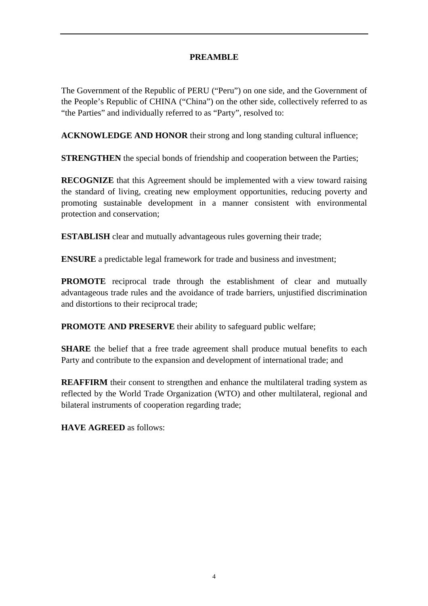# **PREAMBLE**

The Government of the Republic of PERU ("Peru") on one side, and the Government of the People's Republic of CHINA ("China") on the other side, collectively referred to as "the Parties" and individually referred to as "Party", resolved to:

**ACKNOWLEDGE AND HONOR** their strong and long standing cultural influence;

**STRENGTHEN** the special bonds of friendship and cooperation between the Parties;

**RECOGNIZE** that this Agreement should be implemented with a view toward raising the standard of living, creating new employment opportunities, reducing poverty and promoting sustainable development in a manner consistent with environmental protection and conservation;

**ESTABLISH** clear and mutually advantageous rules governing their trade;

**ENSURE** a predictable legal framework for trade and business and investment;

**PROMOTE** reciprocal trade through the establishment of clear and mutually advantageous trade rules and the avoidance of trade barriers, unjustified discrimination and distortions to their reciprocal trade;

**PROMOTE AND PRESERVE** their ability to safeguard public welfare;

**SHARE** the belief that a free trade agreement shall produce mutual benefits to each Party and contribute to the expansion and development of international trade; and

**REAFFIRM** their consent to strengthen and enhance the multilateral trading system as reflected by the World Trade Organization (WTO) and other multilateral, regional and bilateral instruments of cooperation regarding trade;

**HAVE AGREED** as follows: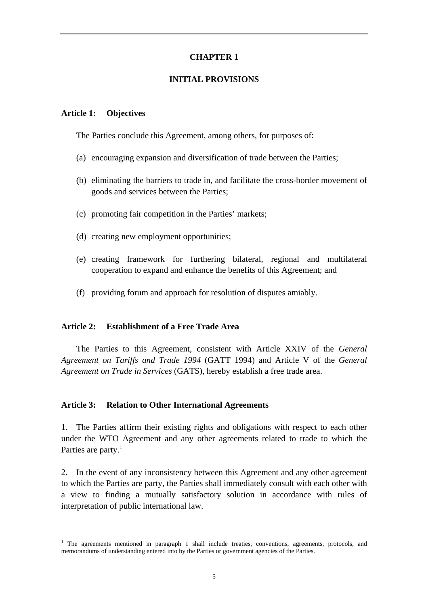#### **CHAPTER 1**

#### **INITIAL PROVISIONS**

#### **Article 1: Objectives**

 $\overline{a}$ 

The Parties conclude this Agreement, among others, for purposes of:

- (a) encouraging expansion and diversification of trade between the Parties;
- (b) eliminating the barriers to trade in, and facilitate the cross-border movement of goods and services between the Parties;
- (c) promoting fair competition in the Parties' markets;
- (d) creating new employment opportunities;
- (e) creating framework for furthering bilateral, regional and multilateral cooperation to expand and enhance the benefits of this Agreement; and
- (f) providing forum and approach for resolution of disputes amiably.

### **Article 2: Establishment of a Free Trade Area**

The Parties to this Agreement, consistent with Article XXIV of the *General Agreement on Tariffs and Trade 1994* (GATT 1994) and Article V of the *General Agreement on Trade in Services* (GATS), hereby establish a free trade area.

#### **Article 3: Relation to Other International Agreements**

1. The Parties affirm their existing rights and obligations with respect to each other under the WTO Agreement and any other agreements related to trade to which the Parties are party.<sup>1</sup>

2. In the event of any inconsistency between this Agreement and any other agreement to which the Parties are party, the Parties shall immediately consult with each other with a view to finding a mutually satisfactory solution in accordance with rules of interpretation of public international law.

<sup>&</sup>lt;sup>1</sup> The agreements mentioned in paragraph 1 shall include treaties, conventions, agreements, protocols, and memorandums of understanding entered into by the Parties or government agencies of the Parties.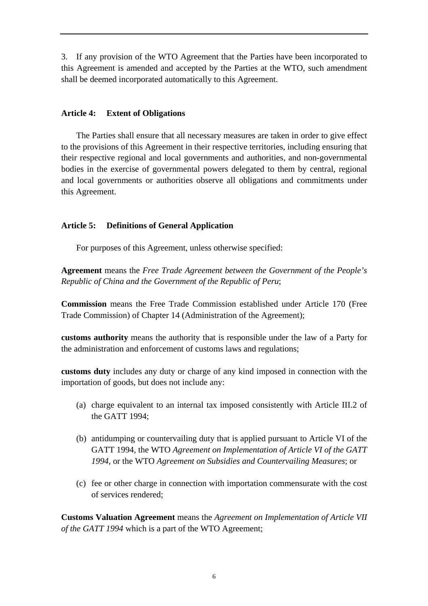3. If any provision of the WTO Agreement that the Parties have been incorporated to this Agreement is amended and accepted by the Parties at the WTO, such amendment shall be deemed incorporated automatically to this Agreement.

### **Article 4: Extent of Obligations**

The Parties shall ensure that all necessary measures are taken in order to give effect to the provisions of this Agreement in their respective territories, including ensuring that their respective regional and local governments and authorities, and non-governmental bodies in the exercise of governmental powers delegated to them by central, regional and local governments or authorities observe all obligations and commitments under this Agreement.

### **Article 5: Definitions of General Application**

For purposes of this Agreement, unless otherwise specified:

**Agreement** means the *Free Trade Agreement between the Government of the People's Republic of China and the Government of the Republic of Peru*;

**Commission** means the Free Trade Commission established under Article 170 (Free Trade Commission) of Chapter 14 (Administration of the Agreement);

**customs authority** means the authority that is responsible under the law of a Party for the administration and enforcement of customs laws and regulations;

**customs duty** includes any duty or charge of any kind imposed in connection with the importation of goods, but does not include any:

- (a) charge equivalent to an internal tax imposed consistently with Article III.2 of the GATT 1994;
- (b) antidumping or countervailing duty that is applied pursuant to Article VI of the GATT 1994, the WTO *Agreement on Implementation of Article VI of the GATT 1994*, or the WTO *Agreement on Subsidies and Countervailing Measures*; or
- (c) fee or other charge in connection with importation commensurate with the cost of services rendered;

**Customs Valuation Agreement** means the *Agreement on Implementation of Article VII of the GATT 1994* which is a part of the WTO Agreement;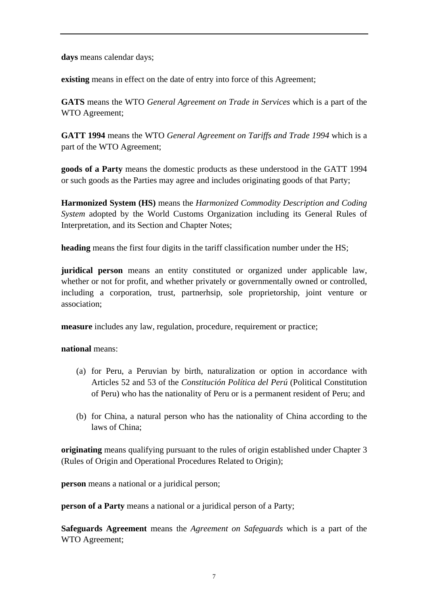**days** means calendar days;

**existing** means in effect on the date of entry into force of this Agreement;

**GATS** means the WTO *General Agreement on Trade in Services* which is a part of the WTO Agreement;

**GATT 1994** means the WTO *General Agreement on Tariffs and Trade 1994* which is a part of the WTO Agreement;

**goods of a Party** means the domestic products as these understood in the GATT 1994 or such goods as the Parties may agree and includes originating goods of that Party;

**Harmonized System (HS)** means the *Harmonized Commodity Description and Coding System* adopted by the World Customs Organization including its General Rules of Interpretation, and its Section and Chapter Notes;

**heading** means the first four digits in the tariff classification number under the HS;

**juridical person** means an entity constituted or organized under applicable law, whether or not for profit, and whether privately or governmentally owned or controlled, including a corporation, trust, partnerhsip, sole proprietorship, joint venture or association;

**measure** includes any law, regulation, procedure, requirement or practice;

**national** means:

- (a) for Peru, a Peruvian by birth, naturalization or option in accordance with Articles 52 and 53 of the *Constitución Política del Perú* (Political Constitution of Peru) who has the nationality of Peru or is a permanent resident of Peru; and
- (b) for China, a natural person who has the nationality of China according to the laws of China;

**originating** means qualifying pursuant to the rules of origin established under Chapter 3 (Rules of Origin and Operational Procedures Related to Origin);

**person** means a national or a juridical person;

**person of a Party** means a national or a juridical person of a Party;

**Safeguards Agreement** means the *Agreement on Safeguards* which is a part of the WTO Agreement;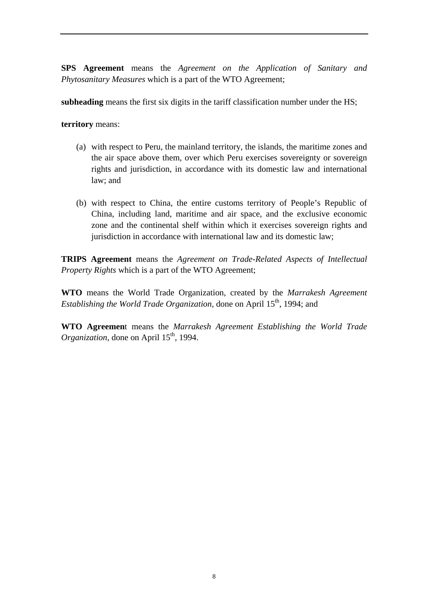**SPS Agreement** means the *Agreement on the Application of Sanitary and Phytosanitary Measures* which is a part of the WTO Agreement;

**subheading** means the first six digits in the tariff classification number under the HS;

**territory** means:

- (a) with respect to Peru, the mainland territory, the islands, the maritime zones and the air space above them, over which Peru exercises sovereignty or sovereign rights and jurisdiction, in accordance with its domestic law and international law; and
- (b) with respect to China, the entire customs territory of People's Republic of China, including land, maritime and air space, and the exclusive economic zone and the continental shelf within which it exercises sovereign rights and jurisdiction in accordance with international law and its domestic law;

**TRIPS Agreement** means the *Agreement on Trade-Related Aspects of Intellectual Property Rights* which is a part of the WTO Agreement;

**WTO** means the World Trade Organization, created by the *Marrakesh Agreement Establishing the World Trade Organization, done on April 15<sup>th</sup>, 1994; and* 

**WTO Agreemen**t means the *Marrakesh Agreement Establishing the World Trade Organization*, done on April 15<sup>th</sup>, 1994.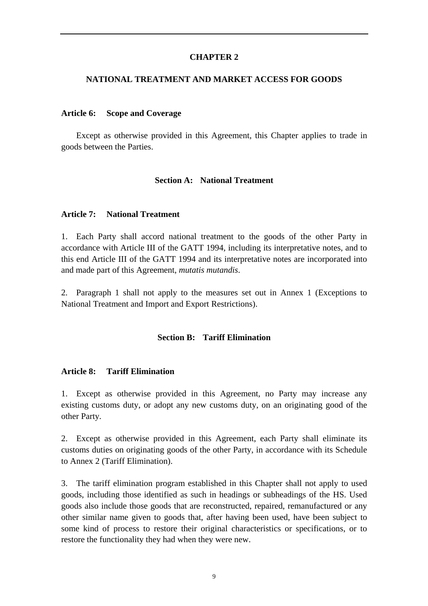### **CHAPTER 2**

#### **NATIONAL TREATMENT AND MARKET ACCESS FOR GOODS**

#### **Article 6: Scope and Coverage**

Except as otherwise provided in this Agreement, this Chapter applies to trade in goods between the Parties.

#### **Section A: National Treatment**

#### **Article 7: National Treatment**

1. Each Party shall accord national treatment to the goods of the other Party in accordance with Article III of the GATT 1994, including its interpretative notes, and to this end Article III of the GATT 1994 and its interpretative notes are incorporated into and made part of this Agreement, *mutatis mutandis*.

2. Paragraph 1 shall not apply to the measures set out in Annex 1 (Exceptions to National Treatment and Import and Export Restrictions).

#### **Section B: Tariff Elimination**

## **Article 8: Tariff Elimination**

1. Except as otherwise provided in this Agreement, no Party may increase any existing customs duty, or adopt any new customs duty, on an originating good of the other Party.

2. Except as otherwise provided in this Agreement, each Party shall eliminate its customs duties on originating goods of the other Party, in accordance with its Schedule to Annex 2 (Tariff Elimination).

3. The tariff elimination program established in this Chapter shall not apply to used goods, including those identified as such in headings or subheadings of the HS. Used goods also include those goods that are reconstructed, repaired, remanufactured or any other similar name given to goods that, after having been used, have been subject to some kind of process to restore their original characteristics or specifications, or to restore the functionality they had when they were new.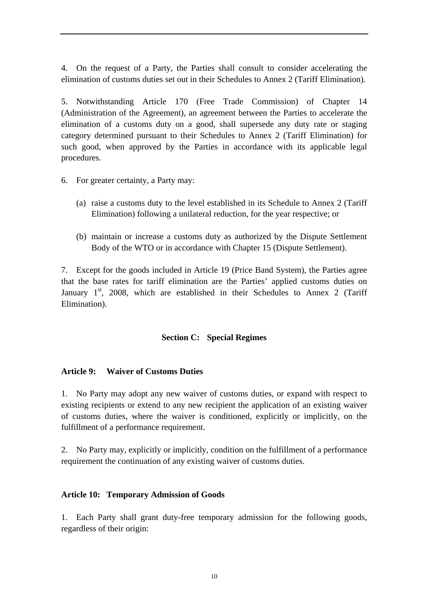4. On the request of a Party, the Parties shall consult to consider accelerating the elimination of customs duties set out in their Schedules to Annex 2 (Tariff Elimination).

5. Notwithstanding Article 170 (Free Trade Commission) of Chapter 14 (Administration of the Agreement), an agreement between the Parties to accelerate the elimination of a customs duty on a good, shall supersede any duty rate or staging category determined pursuant to their Schedules to Annex 2 (Tariff Elimination) for such good, when approved by the Parties in accordance with its applicable legal procedures.

- 6. For greater certainty, a Party may:
	- (a) raise a customs duty to the level established in its Schedule to Annex 2 (Tariff Elimination) following a unilateral reduction, for the year respective; or
	- (b) maintain or increase a customs duty as authorized by the Dispute Settlement Body of the WTO or in accordance with Chapter 15 (Dispute Settlement).

7. Except for the goods included in Article 19 (Price Band System), the Parties agree that the base rates for tariff elimination are the Parties' applied customs duties on January  $1<sup>st</sup>$ , 2008, which are established in their Schedules to Annex 2 (Tariff Elimination).

# **Section C: Special Regimes**

### **Article 9: Waiver of Customs Duties**

1. No Party may adopt any new waiver of customs duties, or expand with respect to existing recipients or extend to any new recipient the application of an existing waiver of customs duties, where the waiver is conditioned, explicitly or implicitly, on the fulfillment of a performance requirement.

2. No Party may, explicitly or implicitly, condition on the fulfillment of a performance requirement the continuation of any existing waiver of customs duties.

### **Article 10: Temporary Admission of Goods**

1. Each Party shall grant duty-free temporary admission for the following goods, regardless of their origin: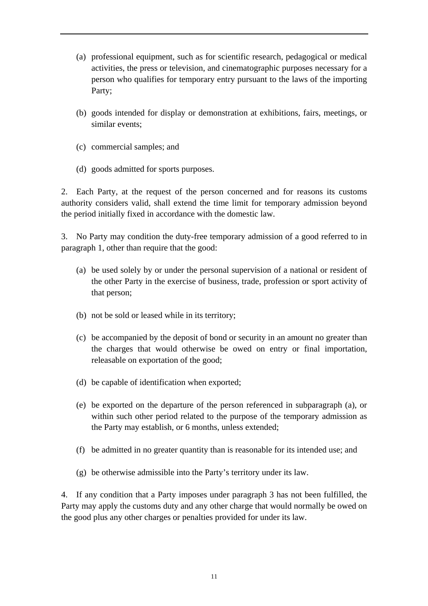- (a) professional equipment, such as for scientific research, pedagogical or medical activities, the press or television, and cinematographic purposes necessary for a person who qualifies for temporary entry pursuant to the laws of the importing Party;
- (b) goods intended for display or demonstration at exhibitions, fairs, meetings, or similar events;
- (c) commercial samples; and
- (d) goods admitted for sports purposes.

2. Each Party, at the request of the person concerned and for reasons its customs authority considers valid, shall extend the time limit for temporary admission beyond the period initially fixed in accordance with the domestic law.

3. No Party may condition the duty-free temporary admission of a good referred to in paragraph 1, other than require that the good:

- (a) be used solely by or under the personal supervision of a national or resident of the other Party in the exercise of business, trade, profession or sport activity of that person;
- (b) not be sold or leased while in its territory;
- (c) be accompanied by the deposit of bond or security in an amount no greater than the charges that would otherwise be owed on entry or final importation, releasable on exportation of the good;
- (d) be capable of identification when exported;
- (e) be exported on the departure of the person referenced in subparagraph (a), or within such other period related to the purpose of the temporary admission as the Party may establish, or 6 months, unless extended;
- (f) be admitted in no greater quantity than is reasonable for its intended use; and
- (g) be otherwise admissible into the Party's territory under its law.

4. If any condition that a Party imposes under paragraph 3 has not been fulfilled, the Party may apply the customs duty and any other charge that would normally be owed on the good plus any other charges or penalties provided for under its law.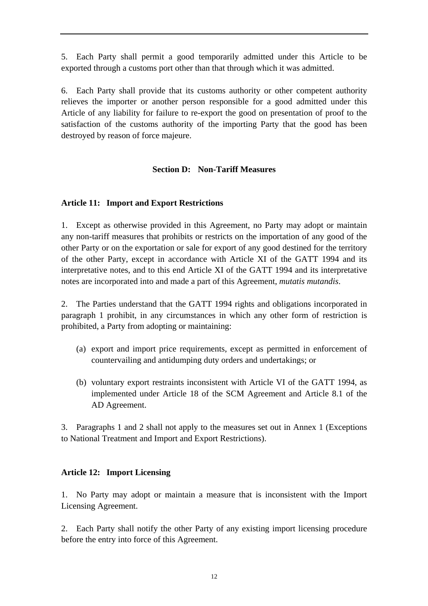5. Each Party shall permit a good temporarily admitted under this Article to be exported through a customs port other than that through which it was admitted.

6. Each Party shall provide that its customs authority or other competent authority relieves the importer or another person responsible for a good admitted under this Article of any liability for failure to re-export the good on presentation of proof to the satisfaction of the customs authority of the importing Party that the good has been destroyed by reason of force majeure.

# **Section D: Non-Tariff Measures**

# **Article 11: Import and Export Restrictions**

1. Except as otherwise provided in this Agreement, no Party may adopt or maintain any non-tariff measures that prohibits or restricts on the importation of any good of the other Party or on the exportation or sale for export of any good destined for the territory of the other Party, except in accordance with Article XI of the GATT 1994 and its interpretative notes, and to this end Article XI of the GATT 1994 and its interpretative notes are incorporated into and made a part of this Agreement, *mutatis mutandis*.

2. The Parties understand that the GATT 1994 rights and obligations incorporated in paragraph 1 prohibit, in any circumstances in which any other form of restriction is prohibited, a Party from adopting or maintaining:

- (a) export and import price requirements, except as permitted in enforcement of countervailing and antidumping duty orders and undertakings; or
- (b) voluntary export restraints inconsistent with Article VI of the GATT 1994, as implemented under Article 18 of the SCM Agreement and Article 8.1 of the AD Agreement.

3. Paragraphs 1 and 2 shall not apply to the measures set out in Annex 1 (Exceptions to National Treatment and Import and Export Restrictions).

# **Article 12: Import Licensing**

1. No Party may adopt or maintain a measure that is inconsistent with the Import Licensing Agreement.

2. Each Party shall notify the other Party of any existing import licensing procedure before the entry into force of this Agreement.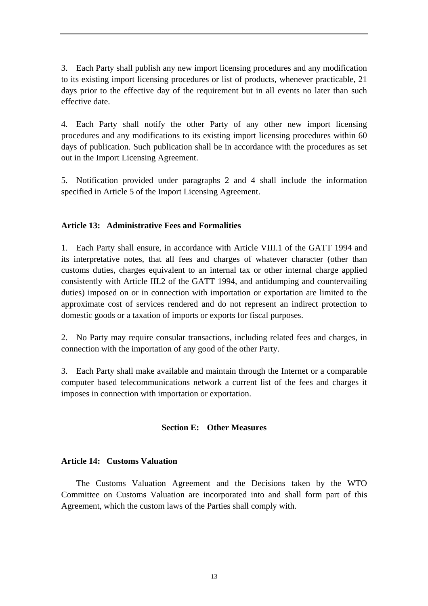3. Each Party shall publish any new import licensing procedures and any modification to its existing import licensing procedures or list of products, whenever practicable, 21 days prior to the effective day of the requirement but in all events no later than such effective date.

4. Each Party shall notify the other Party of any other new import licensing procedures and any modifications to its existing import licensing procedures within 60 days of publication. Such publication shall be in accordance with the procedures as set out in the Import Licensing Agreement.

5. Notification provided under paragraphs 2 and 4 shall include the information specified in Article 5 of the Import Licensing Agreement.

# **Article 13: Administrative Fees and Formalities**

1. Each Party shall ensure, in accordance with Article VIII.1 of the GATT 1994 and its interpretative notes, that all fees and charges of whatever character (other than customs duties, charges equivalent to an internal tax or other internal charge applied consistently with Article III.2 of the GATT 1994, and antidumping and countervailing duties) imposed on or in connection with importation or exportation are limited to the approximate cost of services rendered and do not represent an indirect protection to domestic goods or a taxation of imports or exports for fiscal purposes.

2. No Party may require consular transactions, including related fees and charges, in connection with the importation of any good of the other Party.

3. Each Party shall make available and maintain through the Internet or a comparable computer based telecommunications network a current list of the fees and charges it imposes in connection with importation or exportation.

# **Section E: Other Measures**

### **Article 14: Customs Valuation**

The Customs Valuation Agreement and the Decisions taken by the WTO Committee on Customs Valuation are incorporated into and shall form part of this Agreement, which the custom laws of the Parties shall comply with.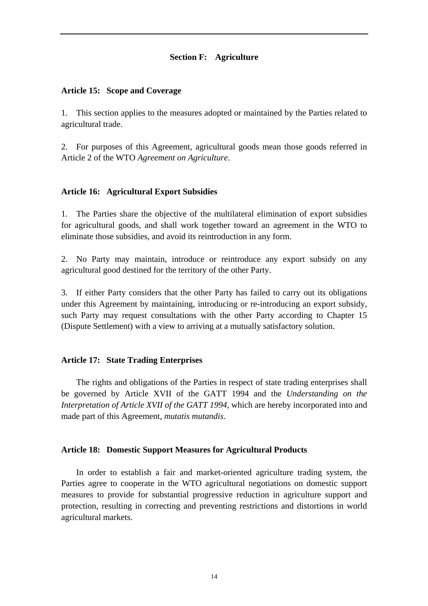### **Section F: Agriculture**

### **Article 15: Scope and Coverage**

1. This section applies to the measures adopted or maintained by the Parties related to agricultural trade.

2. For purposes of this Agreement, agricultural goods mean those goods referred in Article 2 of the WTO *Agreement on Agriculture*.

#### **Article 16: Agricultural Export Subsidies**

1. The Parties share the objective of the multilateral elimination of export subsidies for agricultural goods, and shall work together toward an agreement in the WTO to eliminate those subsidies, and avoid its reintroduction in any form.

2. No Party may maintain, introduce or reintroduce any export subsidy on any agricultural good destined for the territory of the other Party.

3. If either Party considers that the other Party has failed to carry out its obligations under this Agreement by maintaining, introducing or re-introducing an export subsidy, such Party may request consultations with the other Party according to Chapter 15 (Dispute Settlement) with a view to arriving at a mutually satisfactory solution.

#### **Article 17: State Trading Enterprises**

The rights and obligations of the Parties in respect of state trading enterprises shall be governed by Article XVII of the GATT 1994 and the *Understanding on the Interpretation of Article XVII of the GATT 1994*, which are hereby incorporated into and made part of this Agreement, *mutatis mutandis*.

#### **Article 18: Domestic Support Measures for Agricultural Products**

In order to establish a fair and market-oriented agriculture trading system, the Parties agree to cooperate in the WTO agricultural negotiations on domestic support measures to provide for substantial progressive reduction in agriculture support and protection, resulting in correcting and preventing restrictions and distortions in world agricultural markets.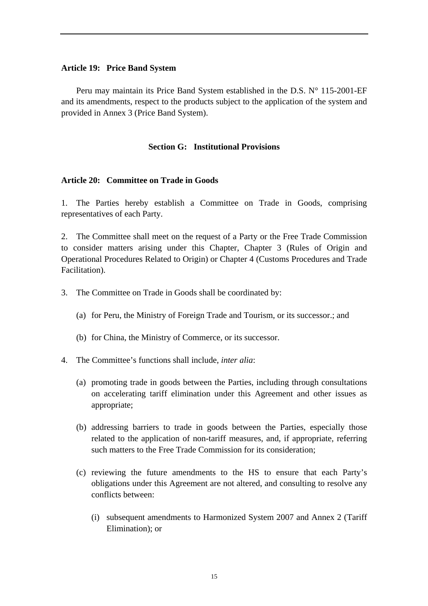#### **Article 19: Price Band System**

Peru may maintain its Price Band System established in the D.S. N° 115-2001-EF and its amendments, respect to the products subject to the application of the system and provided in Annex 3 (Price Band System).

### **Section G: Institutional Provisions**

### **Article 20: Committee on Trade in Goods**

1. The Parties hereby establish a Committee on Trade in Goods, comprising representatives of each Party.

2. The Committee shall meet on the request of a Party or the Free Trade Commission to consider matters arising under this Chapter, Chapter 3 (Rules of Origin and Operational Procedures Related to Origin) or Chapter 4 (Customs Procedures and Trade Facilitation).

- 3. The Committee on Trade in Goods shall be coordinated by:
	- (a) for Peru, the Ministry of Foreign Trade and Tourism, or its successor.; and
	- (b) for China, the Ministry of Commerce, or its successor.
- 4. The Committee's functions shall include, *inter alia*:
	- (a) promoting trade in goods between the Parties, including through consultations on accelerating tariff elimination under this Agreement and other issues as appropriate;
	- (b) addressing barriers to trade in goods between the Parties, especially those related to the application of non-tariff measures, and, if appropriate, referring such matters to the Free Trade Commission for its consideration;
	- (c) reviewing the future amendments to the HS to ensure that each Party's obligations under this Agreement are not altered, and consulting to resolve any conflicts between:
		- (i) subsequent amendments to Harmonized System 2007 and Annex 2 (Tariff Elimination); or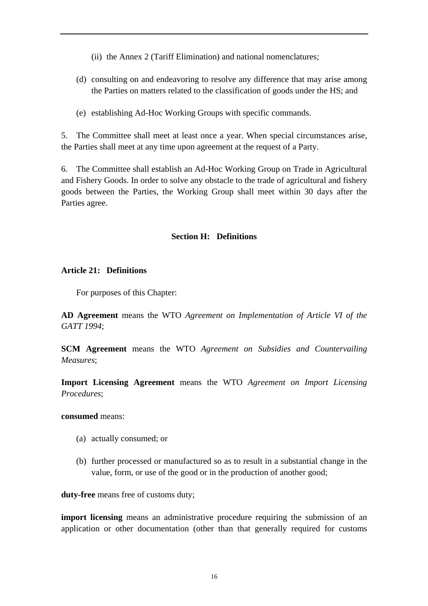- (ii) the Annex 2 (Tariff Elimination) and national nomenclatures;
- (d) consulting on and endeavoring to resolve any difference that may arise among the Parties on matters related to the classification of goods under the HS; and
- (e) establishing Ad-Hoc Working Groups with specific commands.

5. The Committee shall meet at least once a year. When special circumstances arise, the Parties shall meet at any time upon agreement at the request of a Party.

6. The Committee shall establish an Ad-Hoc Working Group on Trade in Agricultural and Fishery Goods. In order to solve any obstacle to the trade of agricultural and fishery goods between the Parties, the Working Group shall meet within 30 days after the Parties agree.

# **Section H: Definitions**

### **Article 21: Definitions**

For purposes of this Chapter:

**AD Agreement** means the WTO *Agreement on Implementation of Article VI of the GATT 1994*;

**SCM Agreement** means the WTO *Agreement on Subsidies and Countervailing Measures*;

**Import Licensing Agreement** means the WTO *Agreement on Import Licensing Procedures*;

**consumed** means:

- (a) actually consumed; or
- (b) further processed or manufactured so as to result in a substantial change in the value, form, or use of the good or in the production of another good;

**duty-free** means free of customs duty;

**import licensing** means an administrative procedure requiring the submission of an application or other documentation (other than that generally required for customs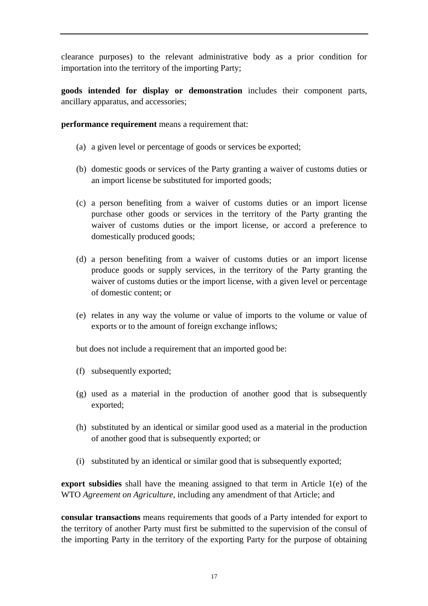clearance purposes) to the relevant administrative body as a prior condition for importation into the territory of the importing Party;

**goods intended for display or demonstration** includes their component parts, ancillary apparatus, and accessories;

**performance requirement** means a requirement that:

- (a) a given level or percentage of goods or services be exported;
- (b) domestic goods or services of the Party granting a waiver of customs duties or an import license be substituted for imported goods;
- (c) a person benefiting from a waiver of customs duties or an import license purchase other goods or services in the territory of the Party granting the waiver of customs duties or the import license, or accord a preference to domestically produced goods;
- (d) a person benefiting from a waiver of customs duties or an import license produce goods or supply services, in the territory of the Party granting the waiver of customs duties or the import license, with a given level or percentage of domestic content; or
- (e) relates in any way the volume or value of imports to the volume or value of exports or to the amount of foreign exchange inflows;

but does not include a requirement that an imported good be:

- (f) subsequently exported;
- (g) used as a material in the production of another good that is subsequently exported;
- (h) substituted by an identical or similar good used as a material in the production of another good that is subsequently exported; or
- (i) substituted by an identical or similar good that is subsequently exported;

**export subsidies** shall have the meaning assigned to that term in Article 1(e) of the WTO *Agreement on Agriculture*, including any amendment of that Article; and

**consular transactions** means requirements that goods of a Party intended for export to the territory of another Party must first be submitted to the supervision of the consul of the importing Party in the territory of the exporting Party for the purpose of obtaining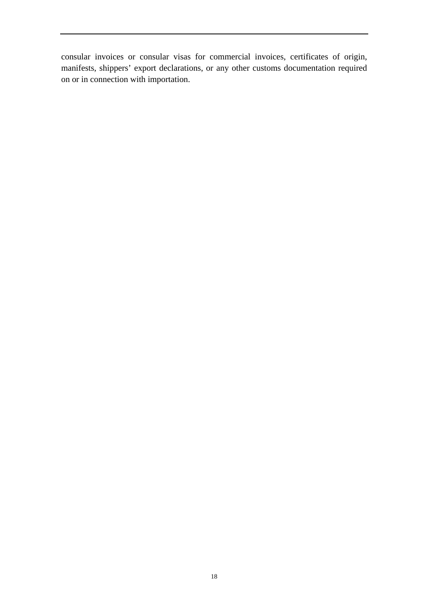consular invoices or consular visas for commercial invoices, certificates of origin, manifests, shippers' export declarations, or any other customs documentation required on or in connection with importation.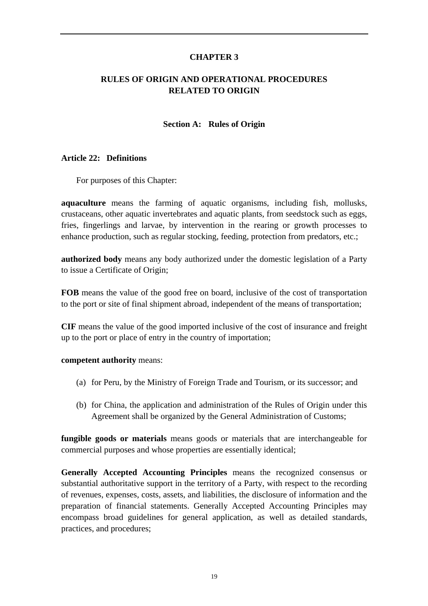## **CHAPTER 3**

## **RULES OF ORIGIN AND OPERATIONAL PROCEDURES RELATED TO ORIGIN**

### **Section A: Rules of Origin**

#### **Article 22: Definitions**

For purposes of this Chapter:

**aquaculture** means the farming of aquatic organisms, including fish, mollusks, crustaceans, other aquatic invertebrates and aquatic plants, from seedstock such as eggs, fries, fingerlings and larvae, by intervention in the rearing or growth processes to enhance production, such as regular stocking, feeding, protection from predators, etc.;

**authorized body** means any body authorized under the domestic legislation of a Party to issue a Certificate of Origin;

**FOB** means the value of the good free on board, inclusive of the cost of transportation to the port or site of final shipment abroad, independent of the means of transportation;

**CIF** means the value of the good imported inclusive of the cost of insurance and freight up to the port or place of entry in the country of importation;

#### **competent authority** means:

- (a) for Peru, by the Ministry of Foreign Trade and Tourism, or its successor; and
- (b) for China, the application and administration of the Rules of Origin under this Agreement shall be organized by the General Administration of Customs;

**fungible goods or materials** means goods or materials that are interchangeable for commercial purposes and whose properties are essentially identical;

**Generally Accepted Accounting Principles** means the recognized consensus or substantial authoritative support in the territory of a Party, with respect to the recording of revenues, expenses, costs, assets, and liabilities, the disclosure of information and the preparation of financial statements. Generally Accepted Accounting Principles may encompass broad guidelines for general application, as well as detailed standards, practices, and procedures;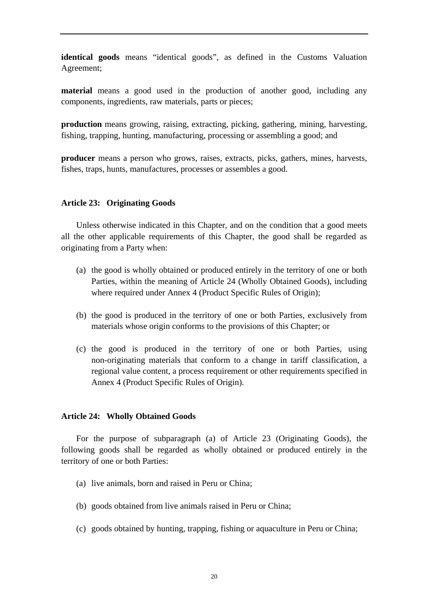**identical goods** means "identical goods", as defined in the Customs Valuation Agreement;

**material** means a good used in the production of another good, including any components, ingredients, raw materials, parts or pieces;

**production** means growing, raising, extracting, picking, gathering, mining, harvesting, fishing, trapping, hunting, manufacturing, processing or assembling a good; and

**producer** means a person who grows, raises, extracts, picks, gathers, mines, harvests, fishes, traps, hunts, manufactures, processes or assembles a good.

### **Article 23: Originating Goods**

Unless otherwise indicated in this Chapter, and on the condition that a good meets all the other applicable requirements of this Chapter, the good shall be regarded as originating from a Party when:

- (a) the good is wholly obtained or produced entirely in the territory of one or both Parties, within the meaning of Article 24 (Wholly Obtained Goods), including where required under Annex 4 (Product Specific Rules of Origin);
- (b) the good is produced in the territory of one or both Parties, exclusively from materials whose origin conforms to the provisions of this Chapter; or
- (c) the good is produced in the territory of one or both Parties, using non-originating materials that conform to a change in tariff classification, a regional value content, a process requirement or other requirements specified in Annex 4 (Product Specific Rules of Origin).

### **Article 24: Wholly Obtained Goods**

For the purpose of subparagraph (a) of Article 23 (Originating Goods), the following goods shall be regarded as wholly obtained or produced entirely in the territory of one or both Parties:

- (a) live animals, born and raised in Peru or China;
- (b) goods obtained from live animals raised in Peru or China;
- (c) goods obtained by hunting, trapping, fishing or aquaculture in Peru or China;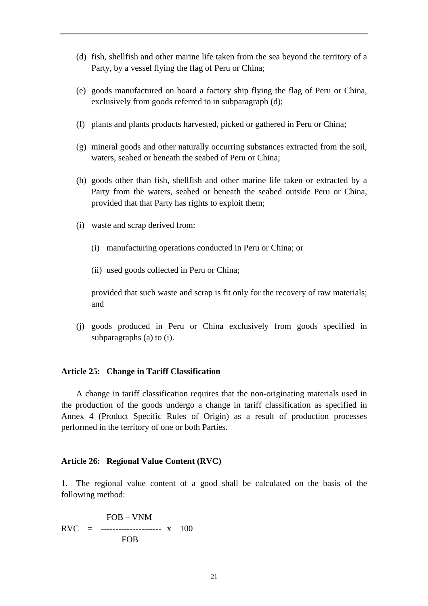- (d) fish, shellfish and other marine life taken from the sea beyond the territory of a Party, by a vessel flying the flag of Peru or China;
- (e) goods manufactured on board a factory ship flying the flag of Peru or China, exclusively from goods referred to in subparagraph (d);
- (f) plants and plants products harvested, picked or gathered in Peru or China;
- (g) mineral goods and other naturally occurring substances extracted from the soil, waters, seabed or beneath the seabed of Peru or China;
- (h) goods other than fish, shellfish and other marine life taken or extracted by a Party from the waters, seabed or beneath the seabed outside Peru or China, provided that that Party has rights to exploit them;
- (i) waste and scrap derived from:
	- (i) manufacturing operations conducted in Peru or China; or
	- (ii) used goods collected in Peru or China;

provided that such waste and scrap is fit only for the recovery of raw materials; and

(j) goods produced in Peru or China exclusively from goods specified in subparagraphs (a) to (i).

#### **Article 25: Change in Tariff Classification**

A change in tariff classification requires that the non-originating materials used in the production of the goods undergo a change in tariff classification as specified in Annex 4 (Product Specific Rules of Origin) as a result of production processes performed in the territory of one or both Parties.

#### **Article 26: Regional Value Content (RVC)**

1. The regional value content of a good shall be calculated on the basis of the following method:

$$
FOB - VNM
$$
  
 
$$
RVC =
$$
 
$$
FOB
$$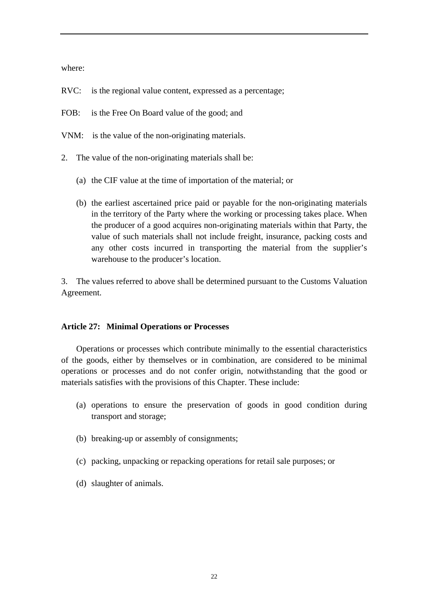where:

- RVC: is the regional value content, expressed as a percentage;
- FOB: is the Free On Board value of the good; and
- VNM: is the value of the non-originating materials.
- 2. The value of the non-originating materials shall be:
	- (a) the CIF value at the time of importation of the material; or
	- (b) the earliest ascertained price paid or payable for the non-originating materials in the territory of the Party where the working or processing takes place. When the producer of a good acquires non-originating materials within that Party, the value of such materials shall not include freight, insurance, packing costs and any other costs incurred in transporting the material from the supplier's warehouse to the producer's location.

3. The values referred to above shall be determined pursuant to the Customs Valuation Agreement.

#### **Article 27: Minimal Operations or Processes**

Operations or processes which contribute minimally to the essential characteristics of the goods, either by themselves or in combination, are considered to be minimal operations or processes and do not confer origin, notwithstanding that the good or materials satisfies with the provisions of this Chapter. These include:

- (a) operations to ensure the preservation of goods in good condition during transport and storage;
- (b) breaking-up or assembly of consignments;
- (c) packing, unpacking or repacking operations for retail sale purposes; or
- (d) slaughter of animals.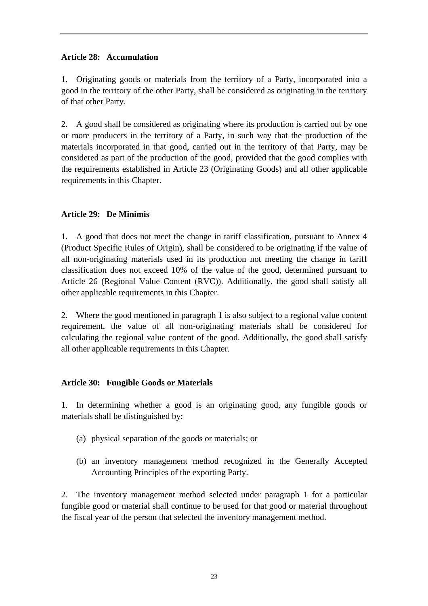# **Article 28: Accumulation**

1. Originating goods or materials from the territory of a Party, incorporated into a good in the territory of the other Party, shall be considered as originating in the territory of that other Party.

2. A good shall be considered as originating where its production is carried out by one or more producers in the territory of a Party, in such way that the production of the materials incorporated in that good, carried out in the territory of that Party, may be considered as part of the production of the good, provided that the good complies with the requirements established in Article 23 (Originating Goods) and all other applicable requirements in this Chapter.

# **Article 29: De Minimis**

1. A good that does not meet the change in tariff classification, pursuant to Annex 4 (Product Specific Rules of Origin), shall be considered to be originating if the value of all non-originating materials used in its production not meeting the change in tariff classification does not exceed 10% of the value of the good, determined pursuant to Article 26 (Regional Value Content (RVC)). Additionally, the good shall satisfy all other applicable requirements in this Chapter.

2. Where the good mentioned in paragraph 1 is also subject to a regional value content requirement, the value of all non-originating materials shall be considered for calculating the regional value content of the good. Additionally, the good shall satisfy all other applicable requirements in this Chapter.

# **Article 30: Fungible Goods or Materials**

1. In determining whether a good is an originating good, any fungible goods or materials shall be distinguished by:

- (a) physical separation of the goods or materials; or
- (b) an inventory management method recognized in the Generally Accepted Accounting Principles of the exporting Party.

2. The inventory management method selected under paragraph 1 for a particular fungible good or material shall continue to be used for that good or material throughout the fiscal year of the person that selected the inventory management method.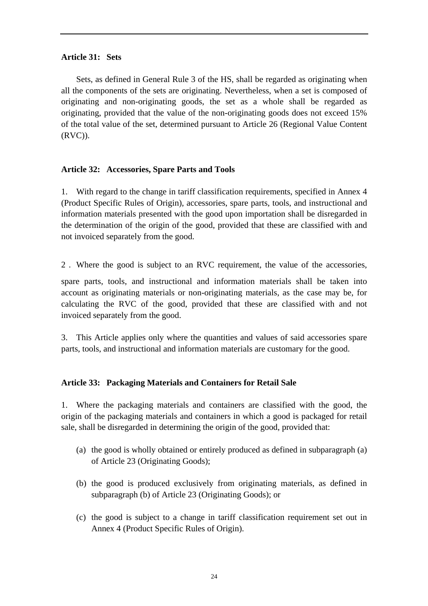### **Article 31: Sets**

Sets, as defined in General Rule 3 of the HS, shall be regarded as originating when all the components of the sets are originating. Nevertheless, when a set is composed of originating and non-originating goods, the set as a whole shall be regarded as originating, provided that the value of the non-originating goods does not exceed 15% of the total value of the set, determined pursuant to Article 26 (Regional Value Content (RVC)).

### **Article 32: Accessories, Spare Parts and Tools**

1. With regard to the change in tariff classification requirements, specified in Annex 4 (Product Specific Rules of Origin), accessories, spare parts, tools, and instructional and information materials presented with the good upon importation shall be disregarded in the determination of the origin of the good, provided that these are classified with and not invoiced separately from the good.

2. Where the good is subject to an RVC requirement, the value of the accessories,

spare parts, tools, and instructional and information materials shall be taken into account as originating materials or non-originating materials, as the case may be, for calculating the RVC of the good, provided that these are classified with and not invoiced separately from the good.

3. This Article applies only where the quantities and values of said accessories spare parts, tools, and instructional and information materials are customary for the good.

# **Article 33: Packaging Materials and Containers for Retail Sale**

1. Where the packaging materials and containers are classified with the good, the origin of the packaging materials and containers in which a good is packaged for retail sale, shall be disregarded in determining the origin of the good, provided that:

- (a) the good is wholly obtained or entirely produced as defined in subparagraph (a) of Article 23 (Originating Goods);
- (b) the good is produced exclusively from originating materials, as defined in subparagraph (b) of Article 23 (Originating Goods); or
- (c) the good is subject to a change in tariff classification requirement set out in Annex 4 (Product Specific Rules of Origin).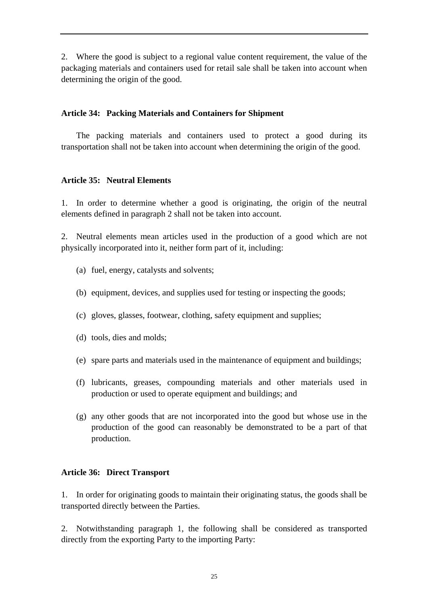2. Where the good is subject to a regional value content requirement, the value of the packaging materials and containers used for retail sale shall be taken into account when determining the origin of the good.

### **Article 34: Packing Materials and Containers for Shipment**

The packing materials and containers used to protect a good during its transportation shall not be taken into account when determining the origin of the good.

# **Article 35: Neutral Elements**

1. In order to determine whether a good is originating, the origin of the neutral elements defined in paragraph 2 shall not be taken into account.

2. Neutral elements mean articles used in the production of a good which are not physically incorporated into it, neither form part of it, including:

- (a) fuel, energy, catalysts and solvents;
- (b) equipment, devices, and supplies used for testing or inspecting the goods;
- (c) gloves, glasses, footwear, clothing, safety equipment and supplies;
- (d) tools, dies and molds;
- (e) spare parts and materials used in the maintenance of equipment and buildings;
- (f) lubricants, greases, compounding materials and other materials used in production or used to operate equipment and buildings; and
- (g) any other goods that are not incorporated into the good but whose use in the production of the good can reasonably be demonstrated to be a part of that production.

### **Article 36: Direct Transport**

1. In order for originating goods to maintain their originating status, the goods shall be transported directly between the Parties.

2. Notwithstanding paragraph 1, the following shall be considered as transported directly from the exporting Party to the importing Party: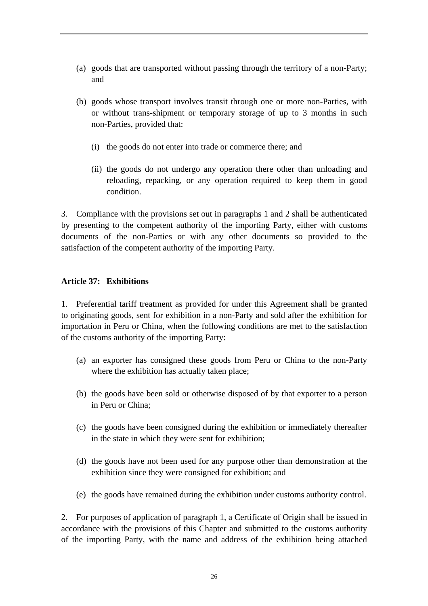- (a) goods that are transported without passing through the territory of a non-Party; and
- (b) goods whose transport involves transit through one or more non-Parties, with or without trans-shipment or temporary storage of up to 3 months in such non-Parties, provided that:
	- (i) the goods do not enter into trade or commerce there; and
	- (ii) the goods do not undergo any operation there other than unloading and reloading, repacking, or any operation required to keep them in good condition.

3. Compliance with the provisions set out in paragraphs 1 and 2 shall be authenticated by presenting to the competent authority of the importing Party, either with customs documents of the non-Parties or with any other documents so provided to the satisfaction of the competent authority of the importing Party.

### **Article 37: Exhibitions**

1. Preferential tariff treatment as provided for under this Agreement shall be granted to originating goods, sent for exhibition in a non-Party and sold after the exhibition for importation in Peru or China, when the following conditions are met to the satisfaction of the customs authority of the importing Party:

- (a) an exporter has consigned these goods from Peru or China to the non-Party where the exhibition has actually taken place;
- (b) the goods have been sold or otherwise disposed of by that exporter to a person in Peru or China;
- (c) the goods have been consigned during the exhibition or immediately thereafter in the state in which they were sent for exhibition;
- (d) the goods have not been used for any purpose other than demonstration at the exhibition since they were consigned for exhibition; and
- (e) the goods have remained during the exhibition under customs authority control.

2. For purposes of application of paragraph 1, a Certificate of Origin shall be issued in accordance with the provisions of this Chapter and submitted to the customs authority of the importing Party, with the name and address of the exhibition being attached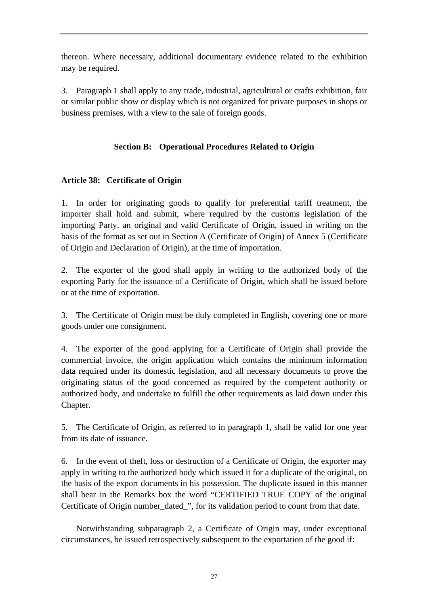thereon. Where necessary, additional documentary evidence related to the exhibition may be required.

3. Paragraph 1 shall apply to any trade, industrial, agricultural or crafts exhibition, fair or similar public show or display which is not organized for private purposes in shops or business premises, with a view to the sale of foreign goods.

# **Section B: Operational Procedures Related to Origin**

# **Article 38: Certificate of Origin**

1. In order for originating goods to qualify for preferential tariff treatment, the importer shall hold and submit, where required by the customs legislation of the importing Party, an original and valid Certificate of Origin, issued in writing on the basis of the format as set out in Section A (Certificate of Origin) of Annex 5 (Certificate of Origin and Declaration of Origin), at the time of importation.

2. The exporter of the good shall apply in writing to the authorized body of the exporting Party for the issuance of a Certificate of Origin, which shall be issued before or at the time of exportation.

3. The Certificate of Origin must be duly completed in English, covering one or more goods under one consignment.

4. The exporter of the good applying for a Certificate of Origin shall provide the commercial invoice, the origin application which contains the minimum information data required under its domestic legislation, and all necessary documents to prove the originating status of the good concerned as required by the competent authority or authorized body, and undertake to fulfill the other requirements as laid down under this Chapter.

5. The Certificate of Origin, as referred to in paragraph 1, shall be valid for one year from its date of issuance.

6. In the event of theft, loss or destruction of a Certificate of Origin, the exporter may apply in writing to the authorized body which issued it for a duplicate of the original, on the basis of the export documents in his possession. The duplicate issued in this manner shall bear in the Remarks box the word "CERTIFIED TRUE COPY of the original Certificate of Origin number\_dated\_", for its validation period to count from that date.

Notwithstanding subparagraph 2, a Certificate of Origin may, under exceptional circumstances, be issued retrospectively subsequent to the exportation of the good if: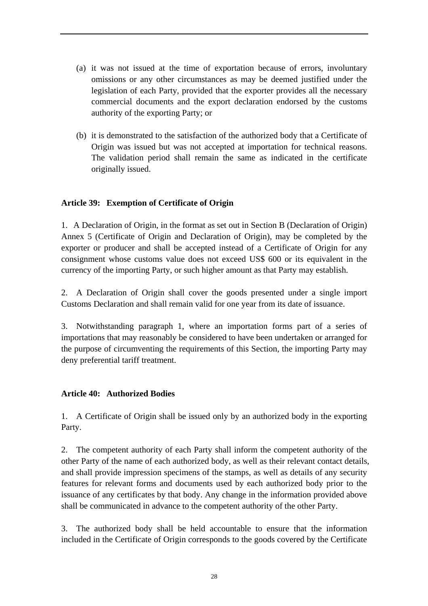- (a) it was not issued at the time of exportation because of errors, involuntary omissions or any other circumstances as may be deemed justified under the legislation of each Party, provided that the exporter provides all the necessary commercial documents and the export declaration endorsed by the customs authority of the exporting Party; or
- (b) it is demonstrated to the satisfaction of the authorized body that a Certificate of Origin was issued but was not accepted at importation for technical reasons. The validation period shall remain the same as indicated in the certificate originally issued.

# **Article 39: Exemption of Certificate of Origin**

1. A Declaration of Origin, in the format as set out in Section B (Declaration of Origin) Annex 5 (Certificate of Origin and Declaration of Origin), may be completed by the exporter or producer and shall be accepted instead of a Certificate of Origin for any consignment whose customs value does not exceed US\$ 600 or its equivalent in the currency of the importing Party, or such higher amount as that Party may establish.

2. A Declaration of Origin shall cover the goods presented under a single import Customs Declaration and shall remain valid for one year from its date of issuance.

3. Notwithstanding paragraph 1, where an importation forms part of a series of importations that may reasonably be considered to have been undertaken or arranged for the purpose of circumventing the requirements of this Section, the importing Party may deny preferential tariff treatment.

# **Article 40: Authorized Bodies**

1. A Certificate of Origin shall be issued only by an authorized body in the exporting Party.

2. The competent authority of each Party shall inform the competent authority of the other Party of the name of each authorized body, as well as their relevant contact details, and shall provide impression specimens of the stamps, as well as details of any security features for relevant forms and documents used by each authorized body prior to the issuance of any certificates by that body. Any change in the information provided above shall be communicated in advance to the competent authority of the other Party.

3. The authorized body shall be held accountable to ensure that the information included in the Certificate of Origin corresponds to the goods covered by the Certificate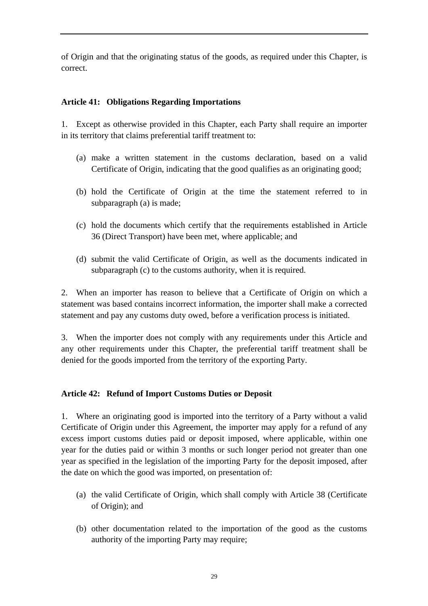of Origin and that the originating status of the goods, as required under this Chapter, is correct.

# **Article 41: Obligations Regarding Importations**

1. Except as otherwise provided in this Chapter, each Party shall require an importer in its territory that claims preferential tariff treatment to:

- (a) make a written statement in the customs declaration, based on a valid Certificate of Origin, indicating that the good qualifies as an originating good;
- (b) hold the Certificate of Origin at the time the statement referred to in subparagraph (a) is made;
- (c) hold the documents which certify that the requirements established in Article 36 (Direct Transport) have been met, where applicable; and
- (d) submit the valid Certificate of Origin, as well as the documents indicated in subparagraph (c) to the customs authority, when it is required.

2. When an importer has reason to believe that a Certificate of Origin on which a statement was based contains incorrect information, the importer shall make a corrected statement and pay any customs duty owed, before a verification process is initiated.

3. When the importer does not comply with any requirements under this Article and any other requirements under this Chapter, the preferential tariff treatment shall be denied for the goods imported from the territory of the exporting Party.

# **Article 42: Refund of Import Customs Duties or Deposit**

1. Where an originating good is imported into the territory of a Party without a valid Certificate of Origin under this Agreement, the importer may apply for a refund of any excess import customs duties paid or deposit imposed, where applicable, within one year for the duties paid or within 3 months or such longer period not greater than one year as specified in the legislation of the importing Party for the deposit imposed, after the date on which the good was imported, on presentation of:

- (a) the valid Certificate of Origin, which shall comply with Article 38 (Certificate of Origin); and
- (b) other documentation related to the importation of the good as the customs authority of the importing Party may require;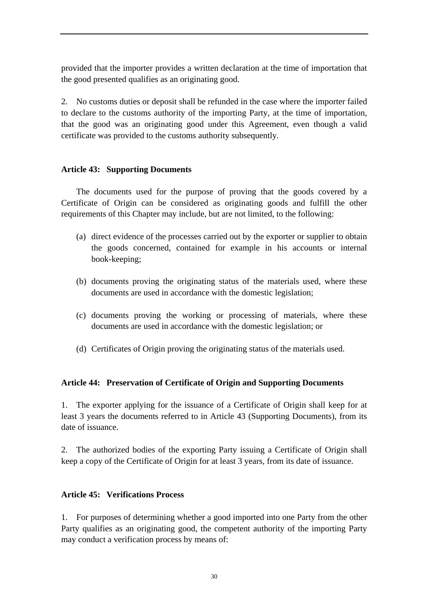provided that the importer provides a written declaration at the time of importation that the good presented qualifies as an originating good.

2. No customs duties or deposit shall be refunded in the case where the importer failed to declare to the customs authority of the importing Party, at the time of importation, that the good was an originating good under this Agreement, even though a valid certificate was provided to the customs authority subsequently.

# **Article 43: Supporting Documents**

The documents used for the purpose of proving that the goods covered by a Certificate of Origin can be considered as originating goods and fulfill the other requirements of this Chapter may include, but are not limited, to the following:

- (a) direct evidence of the processes carried out by the exporter or supplier to obtain the goods concerned, contained for example in his accounts or internal book-keeping;
- (b) documents proving the originating status of the materials used, where these documents are used in accordance with the domestic legislation;
- (c) documents proving the working or processing of materials, where these documents are used in accordance with the domestic legislation; or
- (d) Certificates of Origin proving the originating status of the materials used.

# **Article 44: Preservation of Certificate of Origin and Supporting Documents**

1. The exporter applying for the issuance of a Certificate of Origin shall keep for at least 3 years the documents referred to in Article 43 (Supporting Documents), from its date of issuance.

2. The authorized bodies of the exporting Party issuing a Certificate of Origin shall keep a copy of the Certificate of Origin for at least 3 years, from its date of issuance.

### **Article 45: Verifications Process**

1. For purposes of determining whether a good imported into one Party from the other Party qualifies as an originating good, the competent authority of the importing Party may conduct a verification process by means of: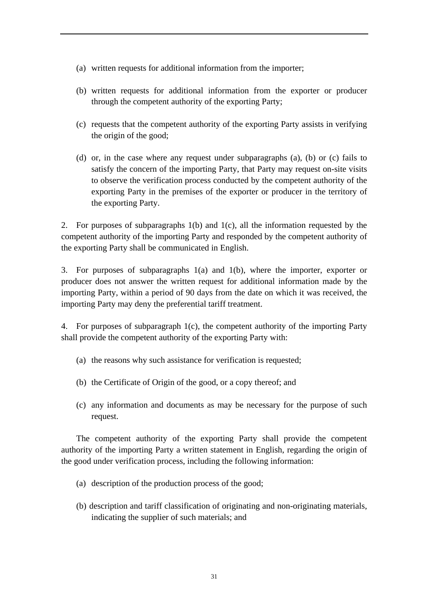- (a) written requests for additional information from the importer;
- (b) written requests for additional information from the exporter or producer through the competent authority of the exporting Party;
- (c) requests that the competent authority of the exporting Party assists in verifying the origin of the good;
- (d) or, in the case where any request under subparagraphs (a), (b) or (c) fails to satisfy the concern of the importing Party, that Party may request on-site visits to observe the verification process conducted by the competent authority of the exporting Party in the premises of the exporter or producer in the territory of the exporting Party.

2. For purposes of subparagraphs 1(b) and 1(c), all the information requested by the competent authority of the importing Party and responded by the competent authority of the exporting Party shall be communicated in English.

3. For purposes of subparagraphs 1(a) and 1(b), where the importer, exporter or producer does not answer the written request for additional information made by the importing Party, within a period of 90 days from the date on which it was received, the importing Party may deny the preferential tariff treatment.

4. For purposes of subparagraph 1(c), the competent authority of the importing Party shall provide the competent authority of the exporting Party with:

- (a) the reasons why such assistance for verification is requested;
- (b) the Certificate of Origin of the good, or a copy thereof; and
- (c) any information and documents as may be necessary for the purpose of such request.

The competent authority of the exporting Party shall provide the competent authority of the importing Party a written statement in English, regarding the origin of the good under verification process, including the following information:

- (a) description of the production process of the good;
- (b) description and tariff classification of originating and non-originating materials, indicating the supplier of such materials; and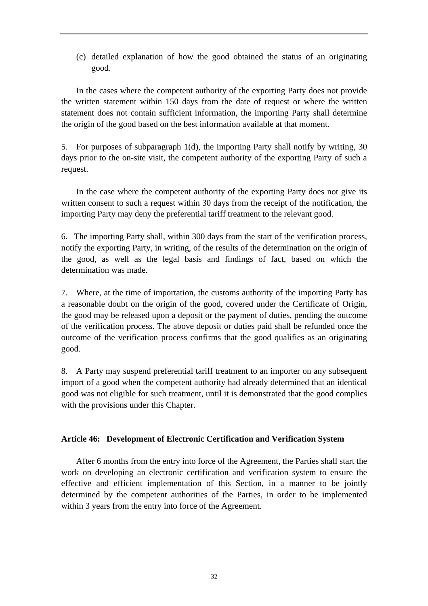(c) detailed explanation of how the good obtained the status of an originating good.

In the cases where the competent authority of the exporting Party does not provide the written statement within 150 days from the date of request or where the written statement does not contain sufficient information, the importing Party shall determine the origin of the good based on the best information available at that moment.

5. For purposes of subparagraph 1(d), the importing Party shall notify by writing, 30 days prior to the on-site visit, the competent authority of the exporting Party of such a request.

In the case where the competent authority of the exporting Party does not give its written consent to such a request within 30 days from the receipt of the notification, the importing Party may deny the preferential tariff treatment to the relevant good.

6. The importing Party shall, within 300 days from the start of the verification process, notify the exporting Party, in writing, of the results of the determination on the origin of the good, as well as the legal basis and findings of fact, based on which the determination was made.

7. Where, at the time of importation, the customs authority of the importing Party has a reasonable doubt on the origin of the good, covered under the Certificate of Origin, the good may be released upon a deposit or the payment of duties, pending the outcome of the verification process. The above deposit or duties paid shall be refunded once the outcome of the verification process confirms that the good qualifies as an originating good.

8. A Party may suspend preferential tariff treatment to an importer on any subsequent import of a good when the competent authority had already determined that an identical good was not eligible for such treatment, until it is demonstrated that the good complies with the provisions under this Chapter.

# **Article 46: Development of Electronic Certification and Verification System**

After 6 months from the entry into force of the Agreement, the Parties shall start the work on developing an electronic certification and verification system to ensure the effective and efficient implementation of this Section, in a manner to be jointly determined by the competent authorities of the Parties, in order to be implemented within 3 years from the entry into force of the Agreement.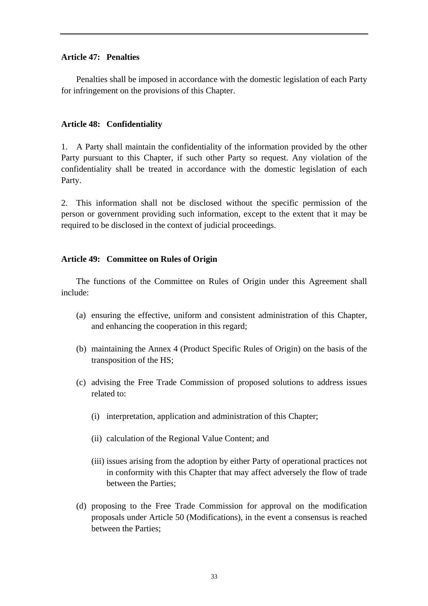### **Article 47: Penalties**

Penalties shall be imposed in accordance with the domestic legislation of each Party for infringement on the provisions of this Chapter.

### **Article 48: Confidentiality**

1. A Party shall maintain the confidentiality of the information provided by the other Party pursuant to this Chapter, if such other Party so request. Any violation of the confidentiality shall be treated in accordance with the domestic legislation of each Party.

2. This information shall not be disclosed without the specific permission of the person or government providing such information, except to the extent that it may be required to be disclosed in the context of judicial proceedings.

### **Article 49: Committee on Rules of Origin**

The functions of the Committee on Rules of Origin under this Agreement shall include:

- (a) ensuring the effective, uniform and consistent administration of this Chapter, and enhancing the cooperation in this regard;
- (b) maintaining the Annex 4 (Product Specific Rules of Origin) on the basis of the transposition of the HS;
- (c) advising the Free Trade Commission of proposed solutions to address issues related to:
	- (i) interpretation, application and administration of this Chapter;
	- (ii) calculation of the Regional Value Content; and
	- (iii) issues arising from the adoption by either Party of operational practices not in conformity with this Chapter that may affect adversely the flow of trade between the Parties;
- (d) proposing to the Free Trade Commission for approval on the modification proposals under Article 50 (Modifications), in the event a consensus is reached between the Parties;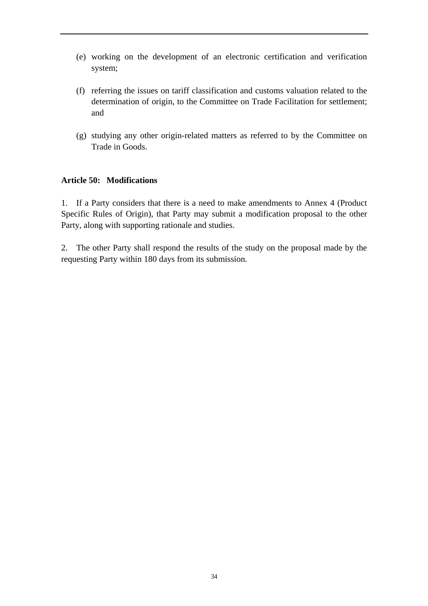- (e) working on the development of an electronic certification and verification system;
- (f) referring the issues on tariff classification and customs valuation related to the determination of origin, to the Committee on Trade Facilitation for settlement; and
- (g) studying any other origin-related matters as referred to by the Committee on Trade in Goods.

# **Article 50: Modifications**

1. If a Party considers that there is a need to make amendments to Annex 4 (Product Specific Rules of Origin), that Party may submit a modification proposal to the other Party, along with supporting rationale and studies.

2. The other Party shall respond the results of the study on the proposal made by the requesting Party within 180 days from its submission.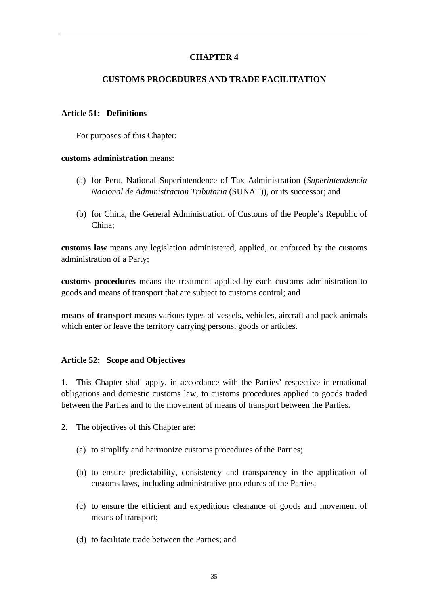# **CHAPTER 4**

### **CUSTOMS PROCEDURES AND TRADE FACILITATION**

#### **Article 51: Definitions**

For purposes of this Chapter:

#### **customs administration** means:

- (a) for Peru, National Superintendence of Tax Administration (*Superintendencia Nacional de Administracion Tributaria* (SUNAT)), or its successor; and
- (b) for China, the General Administration of Customs of the People's Republic of China;

**customs law** means any legislation administered, applied, or enforced by the customs administration of a Party;

**customs procedures** means the treatment applied by each customs administration to goods and means of transport that are subject to customs control; and

**means of transport** means various types of vessels, vehicles, aircraft and pack-animals which enter or leave the territory carrying persons, goods or articles.

#### **Article 52: Scope and Objectives**

1. This Chapter shall apply, in accordance with the Parties' respective international obligations and domestic customs law, to customs procedures applied to goods traded between the Parties and to the movement of means of transport between the Parties.

2. The objectives of this Chapter are:

- (a) to simplify and harmonize customs procedures of the Parties;
- (b) to ensure predictability, consistency and transparency in the application of customs laws, including administrative procedures of the Parties;
- (c) to ensure the efficient and expeditious clearance of goods and movement of means of transport;
- (d) to facilitate trade between the Parties; and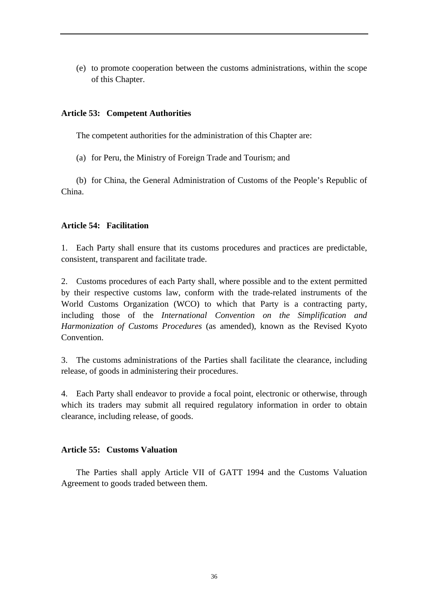(e) to promote cooperation between the customs administrations, within the scope of this Chapter.

## **Article 53: Competent Authorities**

The competent authorities for the administration of this Chapter are:

(a) for Peru, the Ministry of Foreign Trade and Tourism; and

(b) for China, the General Administration of Customs of the People's Republic of China.

### **Article 54: Facilitation**

1. Each Party shall ensure that its customs procedures and practices are predictable, consistent, transparent and facilitate trade.

2. Customs procedures of each Party shall, where possible and to the extent permitted by their respective customs law, conform with the trade-related instruments of the World Customs Organization (WCO) to which that Party is a contracting party, including those of the *International Convention on the Simplification and Harmonization of Customs Procedures* (as amended), known as the Revised Kyoto Convention.

3. The customs administrations of the Parties shall facilitate the clearance, including release, of goods in administering their procedures.

4. Each Party shall endeavor to provide a focal point, electronic or otherwise, through which its traders may submit all required regulatory information in order to obtain clearance, including release, of goods.

# **Article 55: Customs Valuation**

 The Parties shall apply Article VII of GATT 1994 and the Customs Valuation Agreement to goods traded between them.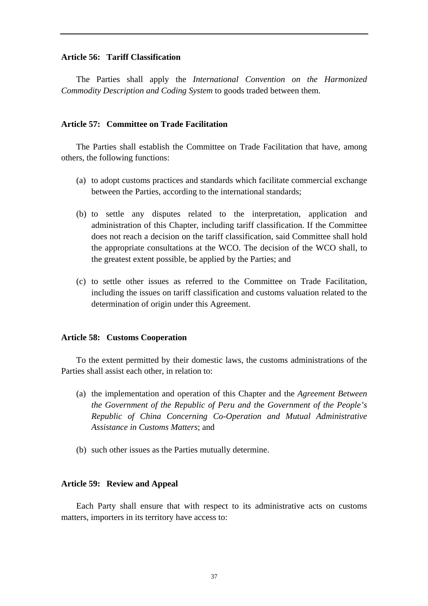#### **Article 56: Tariff Classification**

The Parties shall apply the *International Convention on the Harmonized Commodity Description and Coding System* to goods traded between them.

### **Article 57: Committee on Trade Facilitation**

The Parties shall establish the Committee on Trade Facilitation that have, among others, the following functions:

- (a) to adopt customs practices and standards which facilitate commercial exchange between the Parties, according to the international standards;
- (b) to settle any disputes related to the interpretation, application and administration of this Chapter, including tariff classification. If the Committee does not reach a decision on the tariff classification, said Committee shall hold the appropriate consultations at the WCO. The decision of the WCO shall, to the greatest extent possible, be applied by the Parties; and
- (c) to settle other issues as referred to the Committee on Trade Facilitation, including the issues on tariff classification and customs valuation related to the determination of origin under this Agreement.

#### **Article 58: Customs Cooperation**

To the extent permitted by their domestic laws, the customs administrations of the Parties shall assist each other, in relation to:

- (a) the implementation and operation of this Chapter and the *Agreement Between the Government of the Republic of Peru and the Government of the People's Republic of China Concerning Co-Operation and Mutual Administrative Assistance in Customs Matters*; and
- (b) such other issues as the Parties mutually determine.

#### **Article 59: Review and Appeal**

Each Party shall ensure that with respect to its administrative acts on customs matters, importers in its territory have access to: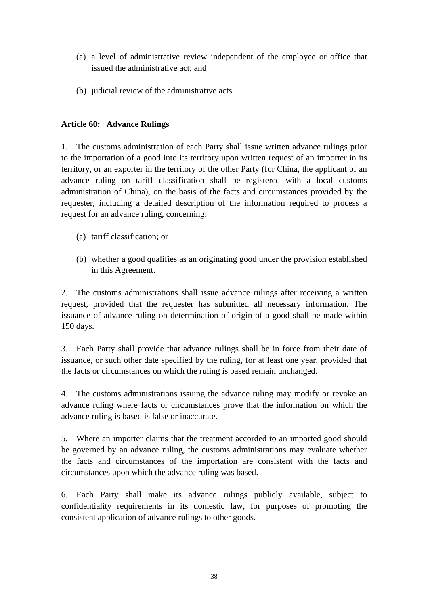- (a) a level of administrative review independent of the employee or office that issued the administrative act; and
- (b) judicial review of the administrative acts.

## **Article 60: Advance Rulings**

1. The customs administration of each Party shall issue written advance rulings prior to the importation of a good into its territory upon written request of an importer in its territory, or an exporter in the territory of the other Party (for China, the applicant of an advance ruling on tariff classification shall be registered with a local customs administration of China), on the basis of the facts and circumstances provided by the requester, including a detailed description of the information required to process a request for an advance ruling, concerning:

- (a) tariff classification; or
- (b) whether a good qualifies as an originating good under the provision established in this Agreement.

2. The customs administrations shall issue advance rulings after receiving a written request, provided that the requester has submitted all necessary information. The issuance of advance ruling on determination of origin of a good shall be made within 150 days.

3. Each Party shall provide that advance rulings shall be in force from their date of issuance, or such other date specified by the ruling, for at least one year, provided that the facts or circumstances on which the ruling is based remain unchanged.

4. The customs administrations issuing the advance ruling may modify or revoke an advance ruling where facts or circumstances prove that the information on which the advance ruling is based is false or inaccurate.

5. Where an importer claims that the treatment accorded to an imported good should be governed by an advance ruling, the customs administrations may evaluate whether the facts and circumstances of the importation are consistent with the facts and circumstances upon which the advance ruling was based.

6. Each Party shall make its advance rulings publicly available, subject to confidentiality requirements in its domestic law, for purposes of promoting the consistent application of advance rulings to other goods.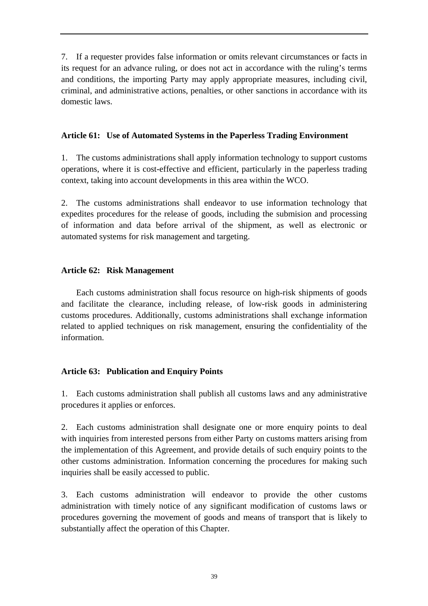7. If a requester provides false information or omits relevant circumstances or facts in its request for an advance ruling, or does not act in accordance with the ruling's terms and conditions, the importing Party may apply appropriate measures, including civil, criminal, and administrative actions, penalties, or other sanctions in accordance with its domestic laws.

## **Article 61: Use of Automated Systems in the Paperless Trading Environment**

1. The customs administrations shall apply information technology to support customs operations, where it is cost-effective and efficient, particularly in the paperless trading context, taking into account developments in this area within the WCO.

2. The customs administrations shall endeavor to use information technology that expedites procedures for the release of goods, including the submision and processing of information and data before arrival of the shipment, as well as electronic or automated systems for risk management and targeting.

# **Article 62: Risk Management**

Each customs administration shall focus resource on high-risk shipments of goods and facilitate the clearance, including release, of low-risk goods in administering customs procedures. Additionally, customs administrations shall exchange information related to applied techniques on risk management, ensuring the confidentiality of the information.

# **Article 63: Publication and Enquiry Points**

1. Each customs administration shall publish all customs laws and any administrative procedures it applies or enforces.

2. Each customs administration shall designate one or more enquiry points to deal with inquiries from interested persons from either Party on customs matters arising from the implementation of this Agreement, and provide details of such enquiry points to the other customs administration. Information concerning the procedures for making such inquiries shall be easily accessed to public.

3. Each customs administration will endeavor to provide the other customs administration with timely notice of any significant modification of customs laws or procedures governing the movement of goods and means of transport that is likely to substantially affect the operation of this Chapter.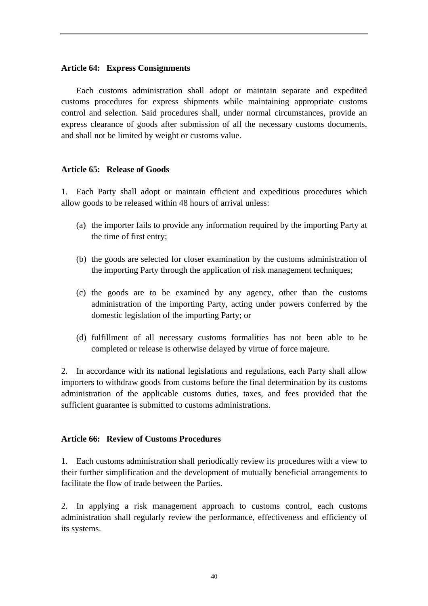### **Article 64: Express Consignments**

Each customs administration shall adopt or maintain separate and expedited customs procedures for express shipments while maintaining appropriate customs control and selection. Said procedures shall, under normal circumstances, provide an express clearance of goods after submission of all the necessary customs documents, and shall not be limited by weight or customs value.

### **Article 65: Release of Goods**

1. Each Party shall adopt or maintain efficient and expeditious procedures which allow goods to be released within 48 hours of arrival unless:

- (a) the importer fails to provide any information required by the importing Party at the time of first entry;
- (b) the goods are selected for closer examination by the customs administration of the importing Party through the application of risk management techniques;
- (c) the goods are to be examined by any agency, other than the customs administration of the importing Party, acting under powers conferred by the domestic legislation of the importing Party; or
- (d) fulfillment of all necessary customs formalities has not been able to be completed or release is otherwise delayed by virtue of force majeure.

2. In accordance with its national legislations and regulations, each Party shall allow importers to withdraw goods from customs before the final determination by its customs administration of the applicable customs duties, taxes, and fees provided that the sufficient guarantee is submitted to customs administrations.

### **Article 66: Review of Customs Procedures**

1. Each customs administration shall periodically review its procedures with a view to their further simplification and the development of mutually beneficial arrangements to facilitate the flow of trade between the Parties.

2. In applying a risk management approach to customs control, each customs administration shall regularly review the performance, effectiveness and efficiency of its systems.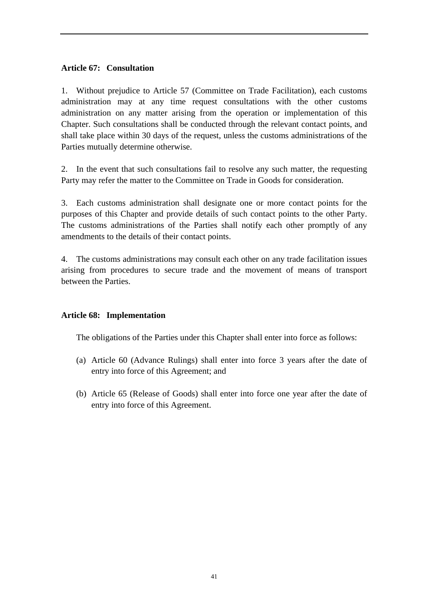## **Article 67: Consultation**

1. Without prejudice to Article 57 (Committee on Trade Facilitation), each customs administration may at any time request consultations with the other customs administration on any matter arising from the operation or implementation of this Chapter. Such consultations shall be conducted through the relevant contact points, and shall take place within 30 days of the request, unless the customs administrations of the Parties mutually determine otherwise.

2. In the event that such consultations fail to resolve any such matter, the requesting Party may refer the matter to the Committee on Trade in Goods for consideration.

3. Each customs administration shall designate one or more contact points for the purposes of this Chapter and provide details of such contact points to the other Party. The customs administrations of the Parties shall notify each other promptly of any amendments to the details of their contact points.

4. The customs administrations may consult each other on any trade facilitation issues arising from procedures to secure trade and the movement of means of transport between the Parties.

## **Article 68: Implementation**

The obligations of the Parties under this Chapter shall enter into force as follows:

- (a) Article 60 (Advance Rulings) shall enter into force 3 years after the date of entry into force of this Agreement; and
- (b) Article 65 (Release of Goods) shall enter into force one year after the date of entry into force of this Agreement.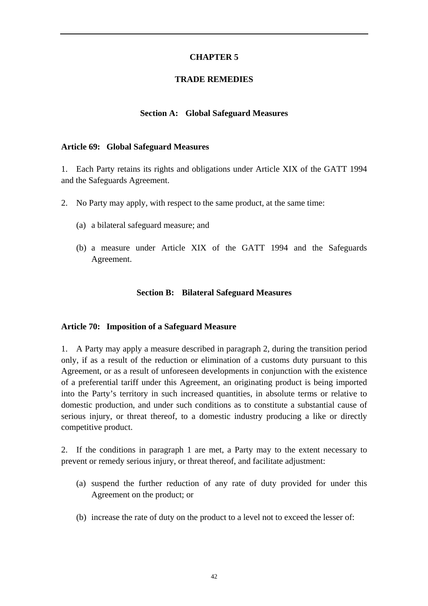## **CHAPTER 5**

## **TRADE REMEDIES**

### **Section A: Global Safeguard Measures**

### **Article 69: Global Safeguard Measures**

1. Each Party retains its rights and obligations under Article XIX of the GATT 1994 and the Safeguards Agreement.

- 2. No Party may apply, with respect to the same product, at the same time:
	- (a) a bilateral safeguard measure; and
	- (b) a measure under Article XIX of the GATT 1994 and the Safeguards Agreement.

## **Section B: Bilateral Safeguard Measures**

### **Article 70: Imposition of a Safeguard Measure**

1. A Party may apply a measure described in paragraph 2, during the transition period only, if as a result of the reduction or elimination of a customs duty pursuant to this Agreement, or as a result of unforeseen developments in conjunction with the existence of a preferential tariff under this Agreement, an originating product is being imported into the Party's territory in such increased quantities, in absolute terms or relative to domestic production, and under such conditions as to constitute a substantial cause of serious injury, or threat thereof, to a domestic industry producing a like or directly competitive product.

2. If the conditions in paragraph 1 are met, a Party may to the extent necessary to prevent or remedy serious injury, or threat thereof, and facilitate adjustment:

- (a) suspend the further reduction of any rate of duty provided for under this Agreement on the product; or
- (b) increase the rate of duty on the product to a level not to exceed the lesser of: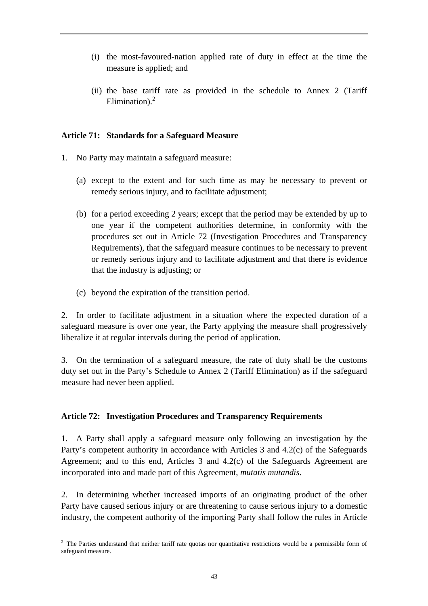- (i) the most-favoured-nation applied rate of duty in effect at the time the measure is applied; and
- (ii) the base tariff rate as provided in the schedule to Annex 2 (Tariff Elimination). $<sup>2</sup>$ </sup>

## **Article 71: Standards for a Safeguard Measure**

- 1. No Party may maintain a safeguard measure:
	- (a) except to the extent and for such time as may be necessary to prevent or remedy serious injury, and to facilitate adjustment;
	- (b) for a period exceeding 2 years; except that the period may be extended by up to one year if the competent authorities determine, in conformity with the procedures set out in Article 72 (Investigation Procedures and Transparency Requirements), that the safeguard measure continues to be necessary to prevent or remedy serious injury and to facilitate adjustment and that there is evidence that the industry is adjusting; or
	- (c) beyond the expiration of the transition period.

2. In order to facilitate adjustment in a situation where the expected duration of a safeguard measure is over one year, the Party applying the measure shall progressively liberalize it at regular intervals during the period of application.

3. On the termination of a safeguard measure, the rate of duty shall be the customs duty set out in the Party's Schedule to Annex 2 (Tariff Elimination) as if the safeguard measure had never been applied.

### **Article 72: Investigation Procedures and Transparency Requirements**

1. A Party shall apply a safeguard measure only following an investigation by the Party's competent authority in accordance with Articles 3 and 4.2(c) of the Safeguards Agreement; and to this end, Articles 3 and 4.2(c) of the Safeguards Agreement are incorporated into and made part of this Agreement, *mutatis mutandis*.

2. In determining whether increased imports of an originating product of the other Party have caused serious injury or are threatening to cause serious injury to a domestic industry, the competent authority of the importing Party shall follow the rules in Article

<sup>&</sup>lt;sup>2</sup> The Parties understand that neither tariff rate quotas nor quantitative restrictions would be a permissible form of safeguard measure.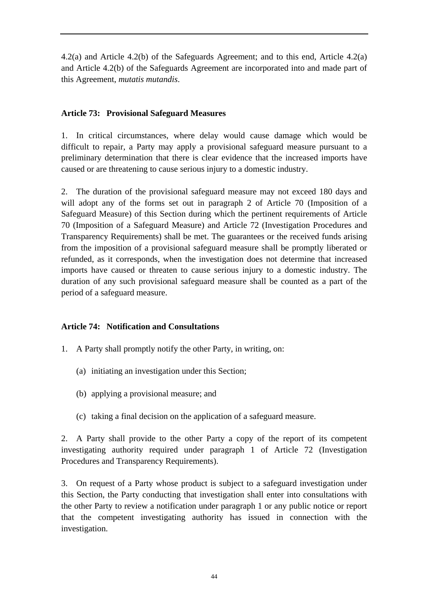4.2(a) and Article 4.2(b) of the Safeguards Agreement; and to this end, Article 4.2(a) and Article 4.2(b) of the Safeguards Agreement are incorporated into and made part of this Agreement, *mutatis mutandis*.

## **Article 73: Provisional Safeguard Measures**

1. In critical circumstances, where delay would cause damage which would be difficult to repair, a Party may apply a provisional safeguard measure pursuant to a preliminary determination that there is clear evidence that the increased imports have caused or are threatening to cause serious injury to a domestic industry.

2. The duration of the provisional safeguard measure may not exceed 180 days and will adopt any of the forms set out in paragraph 2 of Article 70 (Imposition of a Safeguard Measure) of this Section during which the pertinent requirements of Article 70 (Imposition of a Safeguard Measure) and Article 72 (Investigation Procedures and Transparency Requirements) shall be met. The guarantees or the received funds arising from the imposition of a provisional safeguard measure shall be promptly liberated or refunded, as it corresponds, when the investigation does not determine that increased imports have caused or threaten to cause serious injury to a domestic industry. The duration of any such provisional safeguard measure shall be counted as a part of the period of a safeguard measure.

## **Article 74: Notification and Consultations**

- 1. A Party shall promptly notify the other Party, in writing, on:
	- (a) initiating an investigation under this Section;
	- (b) applying a provisional measure; and
	- (c) taking a final decision on the application of a safeguard measure.

2. A Party shall provide to the other Party a copy of the report of its competent investigating authority required under paragraph 1 of Article 72 (Investigation Procedures and Transparency Requirements).

3. On request of a Party whose product is subject to a safeguard investigation under this Section, the Party conducting that investigation shall enter into consultations with the other Party to review a notification under paragraph 1 or any public notice or report that the competent investigating authority has issued in connection with the investigation.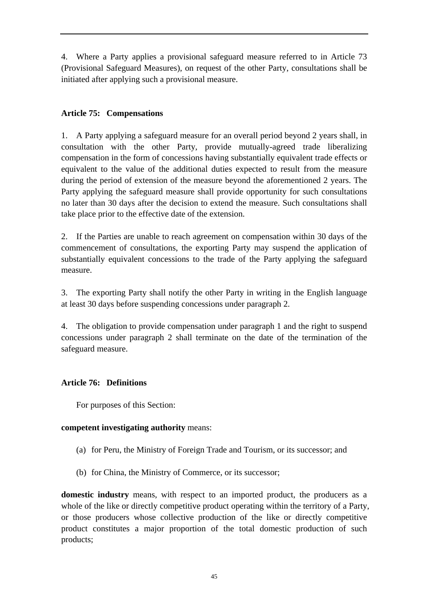4. Where a Party applies a provisional safeguard measure referred to in Article 73 (Provisional Safeguard Measures), on request of the other Party, consultations shall be initiated after applying such a provisional measure.

# **Article 75: Compensations**

1. A Party applying a safeguard measure for an overall period beyond 2 years shall, in consultation with the other Party, provide mutually-agreed trade liberalizing compensation in the form of concessions having substantially equivalent trade effects or equivalent to the value of the additional duties expected to result from the measure during the period of extension of the measure beyond the aforementioned 2 years. The Party applying the safeguard measure shall provide opportunity for such consultations no later than 30 days after the decision to extend the measure. Such consultations shall take place prior to the effective date of the extension.

2. If the Parties are unable to reach agreement on compensation within 30 days of the commencement of consultations, the exporting Party may suspend the application of substantially equivalent concessions to the trade of the Party applying the safeguard measure.

3. The exporting Party shall notify the other Party in writing in the English language at least 30 days before suspending concessions under paragraph 2.

4. The obligation to provide compensation under paragraph 1 and the right to suspend concessions under paragraph 2 shall terminate on the date of the termination of the safeguard measure.

## **Article 76: Definitions**

For purposes of this Section:

## **competent investigating authority** means:

- (a) for Peru, the Ministry of Foreign Trade and Tourism, or its successor; and
- (b) for China, the Ministry of Commerce, or its successor;

**domestic industry** means, with respect to an imported product, the producers as a whole of the like or directly competitive product operating within the territory of a Party, or those producers whose collective production of the like or directly competitive product constitutes a major proportion of the total domestic production of such products;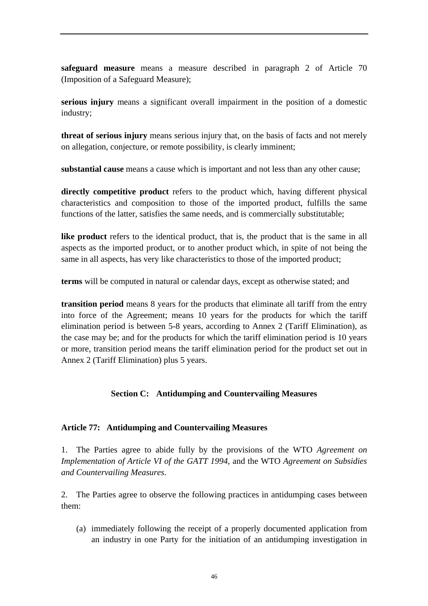**safeguard measure** means a measure described in paragraph 2 of Article 70 (Imposition of a Safeguard Measure);

**serious injury** means a significant overall impairment in the position of a domestic industry;

**threat of serious injury** means serious injury that, on the basis of facts and not merely on allegation, conjecture, or remote possibility, is clearly imminent;

**substantial cause** means a cause which is important and not less than any other cause;

**directly competitive product** refers to the product which, having different physical characteristics and composition to those of the imported product, fulfills the same functions of the latter, satisfies the same needs, and is commercially substitutable;

like product refers to the identical product, that is, the product that is the same in all aspects as the imported product, or to another product which, in spite of not being the same in all aspects, has very like characteristics to those of the imported product;

**terms** will be computed in natural or calendar days, except as otherwise stated; and

**transition period** means 8 years for the products that eliminate all tariff from the entry into force of the Agreement; means 10 years for the products for which the tariff elimination period is between 5-8 years, according to Annex 2 (Tariff Elimination), as the case may be; and for the products for which the tariff elimination period is 10 years or more, transition period means the tariff elimination period for the product set out in Annex 2 (Tariff Elimination) plus 5 years.

## **Section C: Antidumping and Countervailing Measures**

## **Article 77: Antidumping and Countervailing Measures**

1. The Parties agree to abide fully by the provisions of the WTO *Agreement on Implementation of Article VI of the GATT 1994*, and the WTO *Agreement on Subsidies and Countervailing Measures*.

2. The Parties agree to observe the following practices in antidumping cases between them:

(a) immediately following the receipt of a properly documented application from an industry in one Party for the initiation of an antidumping investigation in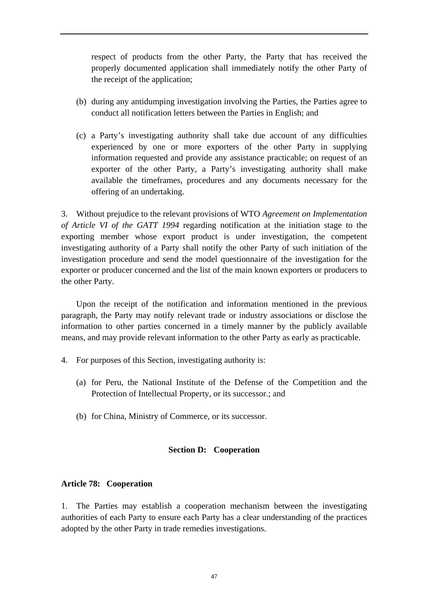respect of products from the other Party, the Party that has received the properly documented application shall immediately notify the other Party of the receipt of the application;

- (b) during any antidumping investigation involving the Parties, the Parties agree to conduct all notification letters between the Parties in English; and
- (c) a Party's investigating authority shall take due account of any difficulties experienced by one or more exporters of the other Party in supplying information requested and provide any assistance practicable; on request of an exporter of the other Party, a Party's investigating authority shall make available the timeframes, procedures and any documents necessary for the offering of an undertaking.

3. Without prejudice to the relevant provisions of WTO *Agreement on Implementation of Article VI of the GATT 1994* regarding notification at the initiation stage to the exporting member whose export product is under investigation, the competent investigating authority of a Party shall notify the other Party of such initiation of the investigation procedure and send the model questionnaire of the investigation for the exporter or producer concerned and the list of the main known exporters or producers to the other Party.

Upon the receipt of the notification and information mentioned in the previous paragraph, the Party may notify relevant trade or industry associations or disclose the information to other parties concerned in a timely manner by the publicly available means, and may provide relevant information to the other Party as early as practicable.

- 4. For purposes of this Section, investigating authority is:
	- (a) for Peru, the National Institute of the Defense of the Competition and the Protection of Intellectual Property, or its successor.; and
	- (b) for China, Ministry of Commerce, or its successor.

### **Section D: Cooperation**

### **Article 78: Cooperation**

1. The Parties may establish a cooperation mechanism between the investigating authorities of each Party to ensure each Party has a clear understanding of the practices adopted by the other Party in trade remedies investigations.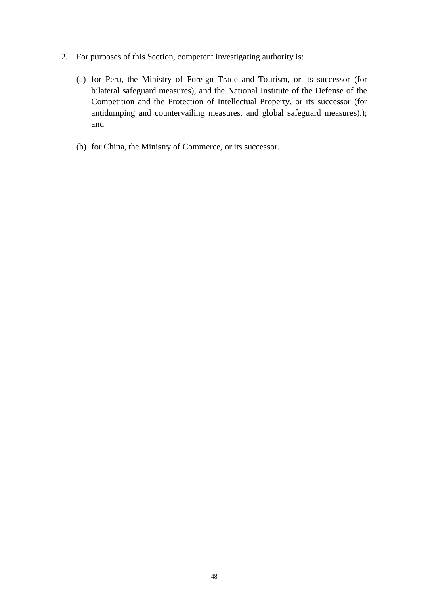- 2. For purposes of this Section, competent investigating authority is:
	- (a) for Peru, the Ministry of Foreign Trade and Tourism, or its successor (for bilateral safeguard measures), and the National Institute of the Defense of the Competition and the Protection of Intellectual Property, or its successor (for antidumping and countervailing measures, and global safeguard measures).); and
	- (b) for China, the Ministry of Commerce, or its successor.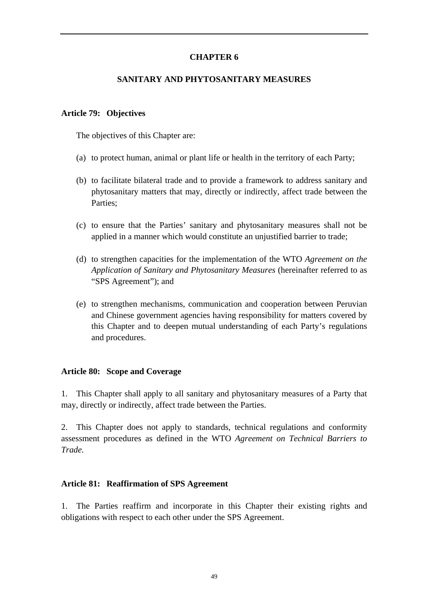## **CHAPTER 6**

## **SANITARY AND PHYTOSANITARY MEASURES**

### **Article 79: Objectives**

The objectives of this Chapter are:

- (a) to protect human, animal or plant life or health in the territory of each Party;
- (b) to facilitate bilateral trade and to provide a framework to address sanitary and phytosanitary matters that may, directly or indirectly, affect trade between the Parties;
- (c) to ensure that the Parties' sanitary and phytosanitary measures shall not be applied in a manner which would constitute an unjustified barrier to trade;
- (d) to strengthen capacities for the implementation of the WTO *Agreement on the Application of Sanitary and Phytosanitary Measures* (hereinafter referred to as "SPS Agreement"); and
- (e) to strengthen mechanisms, communication and cooperation between Peruvian and Chinese government agencies having responsibility for matters covered by this Chapter and to deepen mutual understanding of each Party's regulations and procedures.

### **Article 80: Scope and Coverage**

1. This Chapter shall apply to all sanitary and phytosanitary measures of a Party that may, directly or indirectly, affect trade between the Parties.

2. This Chapter does not apply to standards, technical regulations and conformity assessment procedures as defined in the WTO *Agreement on Technical Barriers to Trade.* 

## **Article 81: Reaffirmation of SPS Agreement**

1. The Parties reaffirm and incorporate in this Chapter their existing rights and obligations with respect to each other under the SPS Agreement.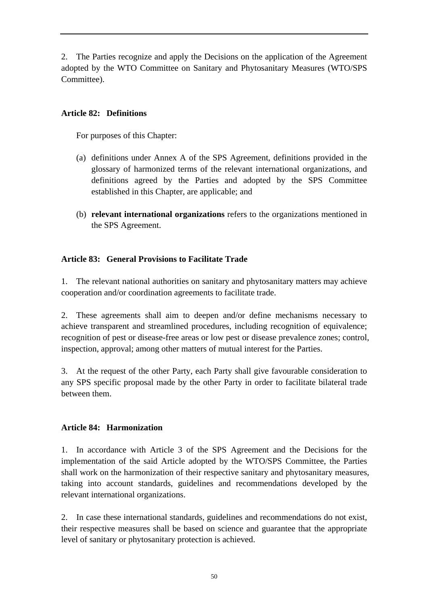2. The Parties recognize and apply the Decisions on the application of the Agreement adopted by the WTO Committee on Sanitary and Phytosanitary Measures (WTO/SPS Committee).

## **Article 82: Definitions**

For purposes of this Chapter:

- (a) definitions under Annex A of the SPS Agreement, definitions provided in the glossary of harmonized terms of the relevant international organizations, and definitions agreed by the Parties and adopted by the SPS Committee established in this Chapter, are applicable; and
- (b) **relevant international organizations** refers to the organizations mentioned in the SPS Agreement.

# **Article 83: General Provisions to Facilitate Trade**

1. The relevant national authorities on sanitary and phytosanitary matters may achieve cooperation and/or coordination agreements to facilitate trade.

2. These agreements shall aim to deepen and/or define mechanisms necessary to achieve transparent and streamlined procedures, including recognition of equivalence; recognition of pest or disease-free areas or low pest or disease prevalence zones; control, inspection, approval; among other matters of mutual interest for the Parties.

3. At the request of the other Party, each Party shall give favourable consideration to any SPS specific proposal made by the other Party in order to facilitate bilateral trade between them.

# **Article 84: Harmonization**

1. In accordance with Article 3 of the SPS Agreement and the Decisions for the implementation of the said Article adopted by the WTO/SPS Committee, the Parties shall work on the harmonization of their respective sanitary and phytosanitary measures, taking into account standards, guidelines and recommendations developed by the relevant international organizations.

2. In case these international standards, guidelines and recommendations do not exist, their respective measures shall be based on science and guarantee that the appropriate level of sanitary or phytosanitary protection is achieved.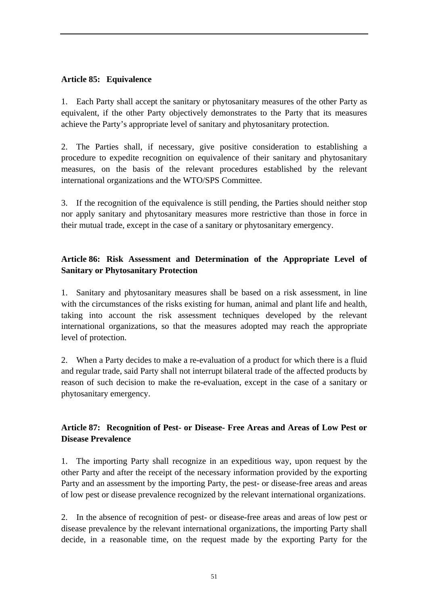## **Article 85: Equivalence**

1. Each Party shall accept the sanitary or phytosanitary measures of the other Party as equivalent, if the other Party objectively demonstrates to the Party that its measures achieve the Party's appropriate level of sanitary and phytosanitary protection.

2. The Parties shall, if necessary, give positive consideration to establishing a procedure to expedite recognition on equivalence of their sanitary and phytosanitary measures, on the basis of the relevant procedures established by the relevant international organizations and the WTO/SPS Committee.

3. If the recognition of the equivalence is still pending, the Parties should neither stop nor apply sanitary and phytosanitary measures more restrictive than those in force in their mutual trade, except in the case of a sanitary or phytosanitary emergency.

# **Article 86: Risk Assessment and Determination of the Appropriate Level of Sanitary or Phytosanitary Protection**

1. Sanitary and phytosanitary measures shall be based on a risk assessment, in line with the circumstances of the risks existing for human, animal and plant life and health, taking into account the risk assessment techniques developed by the relevant international organizations, so that the measures adopted may reach the appropriate level of protection.

2. When a Party decides to make a re-evaluation of a product for which there is a fluid and regular trade, said Party shall not interrupt bilateral trade of the affected products by reason of such decision to make the re-evaluation, except in the case of a sanitary or phytosanitary emergency.

# **Article 87: Recognition of Pest- or Disease- Free Areas and Areas of Low Pest or Disease Prevalence**

1. The importing Party shall recognize in an expeditious way, upon request by the other Party and after the receipt of the necessary information provided by the exporting Party and an assessment by the importing Party, the pest- or disease-free areas and areas of low pest or disease prevalence recognized by the relevant international organizations.

2. In the absence of recognition of pest- or disease-free areas and areas of low pest or disease prevalence by the relevant international organizations, the importing Party shall decide, in a reasonable time, on the request made by the exporting Party for the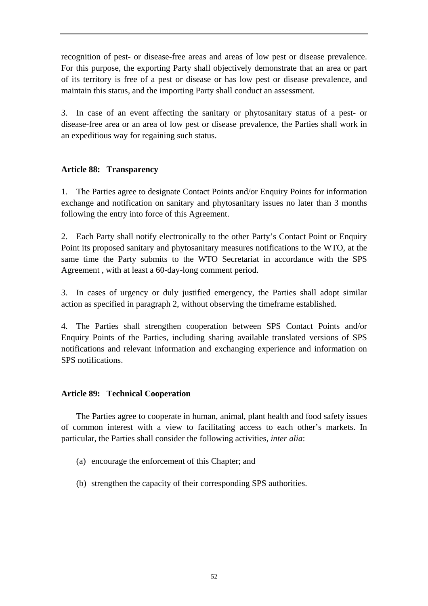recognition of pest- or disease-free areas and areas of low pest or disease prevalence. For this purpose, the exporting Party shall objectively demonstrate that an area or part of its territory is free of a pest or disease or has low pest or disease prevalence, and maintain this status, and the importing Party shall conduct an assessment.

3. In case of an event affecting the sanitary or phytosanitary status of a pest- or disease-free area or an area of low pest or disease prevalence, the Parties shall work in an expeditious way for regaining such status.

## **Article 88: Transparency**

1. The Parties agree to designate Contact Points and/or Enquiry Points for information exchange and notification on sanitary and phytosanitary issues no later than 3 months following the entry into force of this Agreement.

2. Each Party shall notify electronically to the other Party's Contact Point or Enquiry Point its proposed sanitary and phytosanitary measures notifications to the WTO, at the same time the Party submits to the WTO Secretariat in accordance with the SPS Agreement , with at least a 60-day-long comment period.

3. In cases of urgency or duly justified emergency, the Parties shall adopt similar action as specified in paragraph 2, without observing the timeframe established.

4. The Parties shall strengthen cooperation between SPS Contact Points and/or Enquiry Points of the Parties, including sharing available translated versions of SPS notifications and relevant information and exchanging experience and information on SPS notifications.

# **Article 89: Technical Cooperation**

 The Parties agree to cooperate in human, animal, plant health and food safety issues of common interest with a view to facilitating access to each other's markets. In particular, the Parties shall consider the following activities, *inter alia*:

- (a) encourage the enforcement of this Chapter; and
- (b) strengthen the capacity of their corresponding SPS authorities.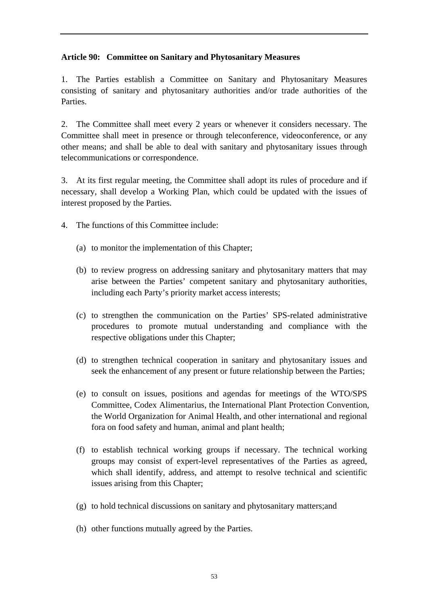## **Article 90: Committee on Sanitary and Phytosanitary Measures**

1. The Parties establish a Committee on Sanitary and Phytosanitary Measures consisting of sanitary and phytosanitary authorities and/or trade authorities of the Parties.

2. The Committee shall meet every 2 years or whenever it considers necessary. The Committee shall meet in presence or through teleconference, videoconference, or any other means; and shall be able to deal with sanitary and phytosanitary issues through telecommunications or correspondence.

3. At its first regular meeting, the Committee shall adopt its rules of procedure and if necessary, shall develop a Working Plan, which could be updated with the issues of interest proposed by the Parties.

- 4. The functions of this Committee include:
	- (a) to monitor the implementation of this Chapter;
	- (b) to review progress on addressing sanitary and phytosanitary matters that may arise between the Parties' competent sanitary and phytosanitary authorities, including each Party's priority market access interests;
	- (c) to strengthen the communication on the Parties' SPS-related administrative procedures to promote mutual understanding and compliance with the respective obligations under this Chapter;
	- (d) to strengthen technical cooperation in sanitary and phytosanitary issues and seek the enhancement of any present or future relationship between the Parties;
	- (e) to consult on issues, positions and agendas for meetings of the WTO/SPS Committee, Codex Alimentarius, the International Plant Protection Convention, the World Organization for Animal Health, and other international and regional fora on food safety and human, animal and plant health;
	- (f) to establish technical working groups if necessary. The technical working groups may consist of expert-level representatives of the Parties as agreed, which shall identify, address, and attempt to resolve technical and scientific issues arising from this Chapter;
	- (g) to hold technical discussions on sanitary and phytosanitary matters;and
	- (h) other functions mutually agreed by the Parties.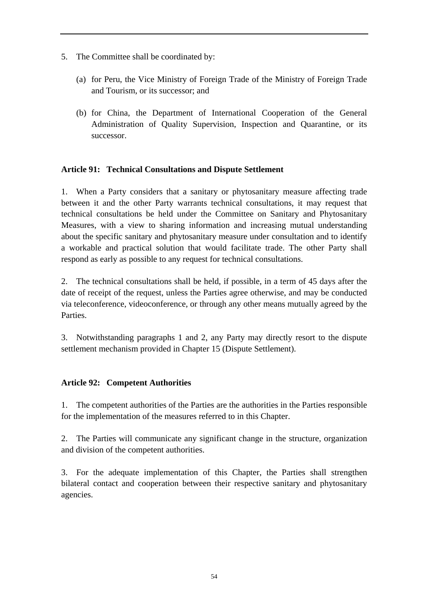- 5. The Committee shall be coordinated by:
	- (a) for Peru, the Vice Ministry of Foreign Trade of the Ministry of Foreign Trade and Tourism, or its successor; and
	- (b) for China, the Department of International Cooperation of the General Administration of Quality Supervision, Inspection and Quarantine, or its successor.

## **Article 91: Technical Consultations and Dispute Settlement**

1. When a Party considers that a sanitary or phytosanitary measure affecting trade between it and the other Party warrants technical consultations, it may request that technical consultations be held under the Committee on Sanitary and Phytosanitary Measures, with a view to sharing information and increasing mutual understanding about the specific sanitary and phytosanitary measure under consultation and to identify a workable and practical solution that would facilitate trade. The other Party shall respond as early as possible to any request for technical consultations.

2. The technical consultations shall be held, if possible, in a term of 45 days after the date of receipt of the request, unless the Parties agree otherwise, and may be conducted via teleconference, videoconference, or through any other means mutually agreed by the Parties.

3. Notwithstanding paragraphs 1 and 2, any Party may directly resort to the dispute settlement mechanism provided in Chapter 15 (Dispute Settlement).

## **Article 92: Competent Authorities**

1. The competent authorities of the Parties are the authorities in the Parties responsible for the implementation of the measures referred to in this Chapter.

2. The Parties will communicate any significant change in the structure, organization and division of the competent authorities.

3. For the adequate implementation of this Chapter, the Parties shall strengthen bilateral contact and cooperation between their respective sanitary and phytosanitary agencies.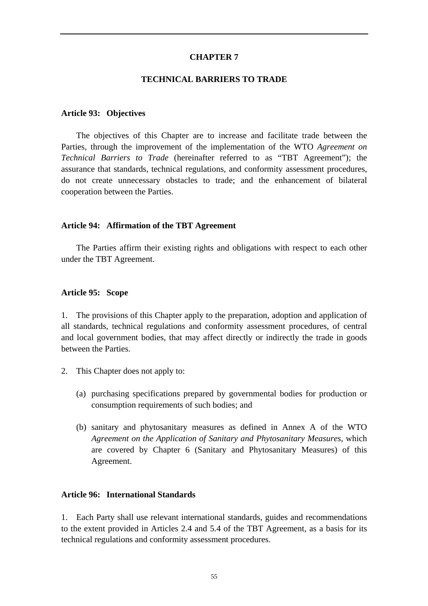#### **CHAPTER 7**

#### **TECHNICAL BARRIERS TO TRADE**

#### **Article 93: Objectives**

The objectives of this Chapter are to increase and facilitate trade between the Parties, through the improvement of the implementation of the WTO *Agreement on Technical Barriers to Trade* (hereinafter referred to as "TBT Agreement"); the assurance that standards, technical regulations, and conformity assessment procedures, do not create unnecessary obstacles to trade; and the enhancement of bilateral cooperation between the Parties.

#### **Article 94: Affirmation of the TBT Agreement**

The Parties affirm their existing rights and obligations with respect to each other under the TBT Agreement.

#### **Article 95: Scope**

1. The provisions of this Chapter apply to the preparation, adoption and application of all standards, technical regulations and conformity assessment procedures, of central and local government bodies, that may affect directly or indirectly the trade in goods between the Parties.

- 2. This Chapter does not apply to:
	- (a) purchasing specifications prepared by governmental bodies for production or consumption requirements of such bodies; and
	- (b) sanitary and phytosanitary measures as defined in Annex A of the WTO *Agreement on the Application of Sanitary and Phytosanitary Measures*, which are covered by Chapter 6 (Sanitary and Phytosanitary Measures) of this Agreement.

#### **Article 96: International Standards**

1. Each Party shall use relevant international standards, guides and recommendations to the extent provided in Articles 2.4 and 5.4 of the TBT Agreement, as a basis for its technical regulations and conformity assessment procedures.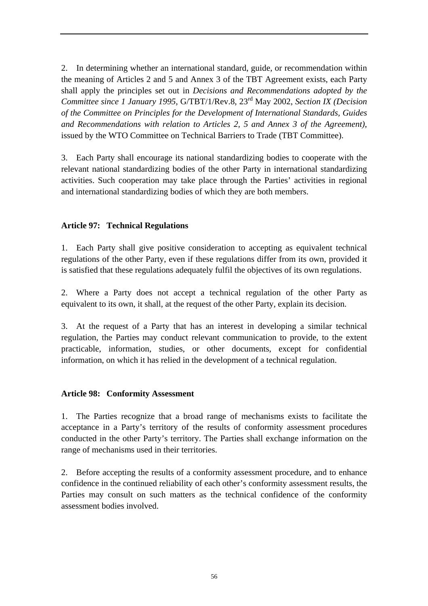2. In determining whether an international standard, guide, or recommendation within the meaning of Articles 2 and 5 and Annex 3 of the TBT Agreement exists, each Party shall apply the principles set out in *Decisions and Recommendations adopted by the Committee since 1 January 1995*, G/TBT/1/Rev.8, 23rd May 2002, *Section IX (Decision of the Committee on Principles for the Development of International Standards, Guides and Recommendations with relation to Articles 2, 5 and Annex 3 of the Agreement)*, issued by the WTO Committee on Technical Barriers to Trade (TBT Committee).

3. Each Party shall encourage its national standardizing bodies to cooperate with the relevant national standardizing bodies of the other Party in international standardizing activities. Such cooperation may take place through the Parties' activities in regional and international standardizing bodies of which they are both members.

## **Article 97: Technical Regulations**

1. Each Party shall give positive consideration to accepting as equivalent technical regulations of the other Party, even if these regulations differ from its own, provided it is satisfied that these regulations adequately fulfil the objectives of its own regulations.

2. Where a Party does not accept a technical regulation of the other Party as equivalent to its own, it shall, at the request of the other Party, explain its decision.

3. At the request of a Party that has an interest in developing a similar technical regulation, the Parties may conduct relevant communication to provide, to the extent practicable, information, studies, or other documents, except for confidential information, on which it has relied in the development of a technical regulation.

## **Article 98: Conformity Assessment**

1. The Parties recognize that a broad range of mechanisms exists to facilitate the acceptance in a Party's territory of the results of conformity assessment procedures conducted in the other Party's territory. The Parties shall exchange information on the range of mechanisms used in their territories.

2. Before accepting the results of a conformity assessment procedure, and to enhance confidence in the continued reliability of each other's conformity assessment results, the Parties may consult on such matters as the technical confidence of the conformity assessment bodies involved.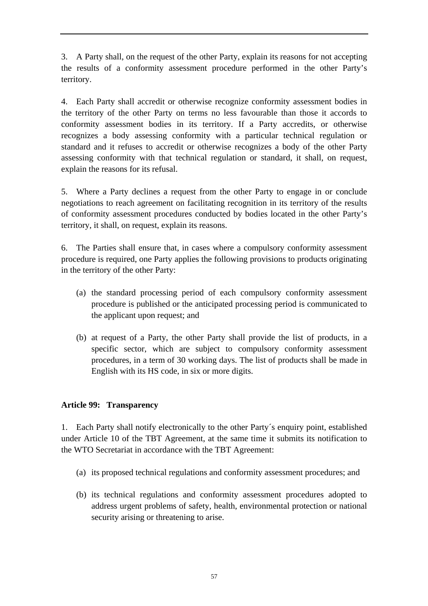3. A Party shall, on the request of the other Party, explain its reasons for not accepting the results of a conformity assessment procedure performed in the other Party's territory.

4. Each Party shall accredit or otherwise recognize conformity assessment bodies in the territory of the other Party on terms no less favourable than those it accords to conformity assessment bodies in its territory. If a Party accredits, or otherwise recognizes a body assessing conformity with a particular technical regulation or standard and it refuses to accredit or otherwise recognizes a body of the other Party assessing conformity with that technical regulation or standard, it shall, on request, explain the reasons for its refusal.

5. Where a Party declines a request from the other Party to engage in or conclude negotiations to reach agreement on facilitating recognition in its territory of the results of conformity assessment procedures conducted by bodies located in the other Party's territory, it shall, on request, explain its reasons.

6. The Parties shall ensure that, in cases where a compulsory conformity assessment procedure is required, one Party applies the following provisions to products originating in the territory of the other Party:

- (a) the standard processing period of each compulsory conformity assessment procedure is published or the anticipated processing period is communicated to the applicant upon request; and
- (b) at request of a Party, the other Party shall provide the list of products, in a specific sector, which are subject to compulsory conformity assessment procedures, in a term of 30 working days. The list of products shall be made in English with its HS code, in six or more digits.

## **Article 99: Transparency**

1. Each Party shall notify electronically to the other Party´s enquiry point, established under Article 10 of the TBT Agreement, at the same time it submits its notification to the WTO Secretariat in accordance with the TBT Agreement:

- (a) its proposed technical regulations and conformity assessment procedures; and
- (b) its technical regulations and conformity assessment procedures adopted to address urgent problems of safety, health, environmental protection or national security arising or threatening to arise.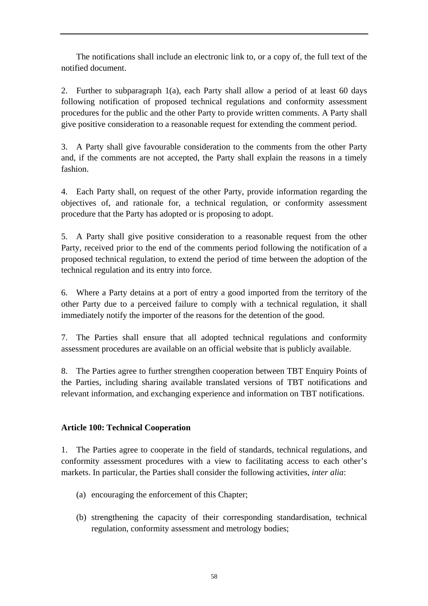The notifications shall include an electronic link to, or a copy of, the full text of the notified document.

2. Further to subparagraph 1(a), each Party shall allow a period of at least 60 days following notification of proposed technical regulations and conformity assessment procedures for the public and the other Party to provide written comments. A Party shall give positive consideration to a reasonable request for extending the comment period.

3. A Party shall give favourable consideration to the comments from the other Party and, if the comments are not accepted, the Party shall explain the reasons in a timely fashion.

4. Each Party shall, on request of the other Party, provide information regarding the objectives of, and rationale for, a technical regulation, or conformity assessment procedure that the Party has adopted or is proposing to adopt.

5. A Party shall give positive consideration to a reasonable request from the other Party, received prior to the end of the comments period following the notification of a proposed technical regulation, to extend the period of time between the adoption of the technical regulation and its entry into force.

6. Where a Party detains at a port of entry a good imported from the territory of the other Party due to a perceived failure to comply with a technical regulation, it shall immediately notify the importer of the reasons for the detention of the good.

7. The Parties shall ensure that all adopted technical regulations and conformity assessment procedures are available on an official website that is publicly available.

8. The Parties agree to further strengthen cooperation between TBT Enquiry Points of the Parties, including sharing available translated versions of TBT notifications and relevant information, and exchanging experience and information on TBT notifications.

# **Article 100: Technical Cooperation**

1. The Parties agree to cooperate in the field of standards, technical regulations, and conformity assessment procedures with a view to facilitating access to each other's markets. In particular, the Parties shall consider the following activities, *inter alia*:

- (a) encouraging the enforcement of this Chapter;
- (b) strengthening the capacity of their corresponding standardisation, technical regulation, conformity assessment and metrology bodies;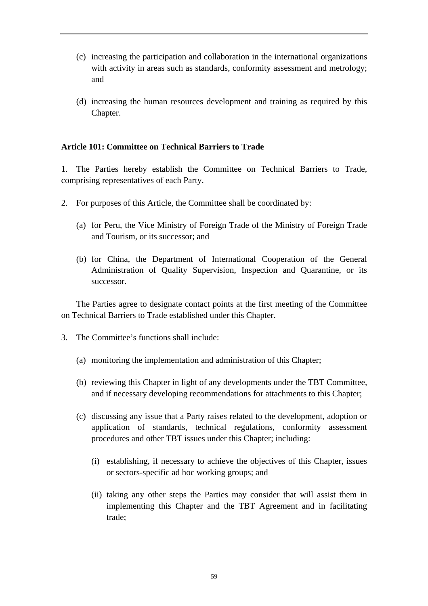- (c) increasing the participation and collaboration in the international organizations with activity in areas such as standards, conformity assessment and metrology; and
- (d) increasing the human resources development and training as required by this Chapter.

### **Article 101: Committee on Technical Barriers to Trade**

1. The Parties hereby establish the Committee on Technical Barriers to Trade, comprising representatives of each Party.

- 2. For purposes of this Article, the Committee shall be coordinated by:
	- (a) for Peru, the Vice Ministry of Foreign Trade of the Ministry of Foreign Trade and Tourism, or its successor; and
	- (b) for China, the Department of International Cooperation of the General Administration of Quality Supervision, Inspection and Quarantine, or its successor.

The Parties agree to designate contact points at the first meeting of the Committee on Technical Barriers to Trade established under this Chapter.

- 3. The Committee's functions shall include:
	- (a) monitoring the implementation and administration of this Chapter;
	- (b) reviewing this Chapter in light of any developments under the TBT Committee, and if necessary developing recommendations for attachments to this Chapter;
	- (c) discussing any issue that a Party raises related to the development, adoption or application of standards, technical regulations, conformity assessment procedures and other TBT issues under this Chapter; including:
		- (i) establishing, if necessary to achieve the objectives of this Chapter, issues or sectors-specific ad hoc working groups; and
		- (ii) taking any other steps the Parties may consider that will assist them in implementing this Chapter and the TBT Agreement and in facilitating trade;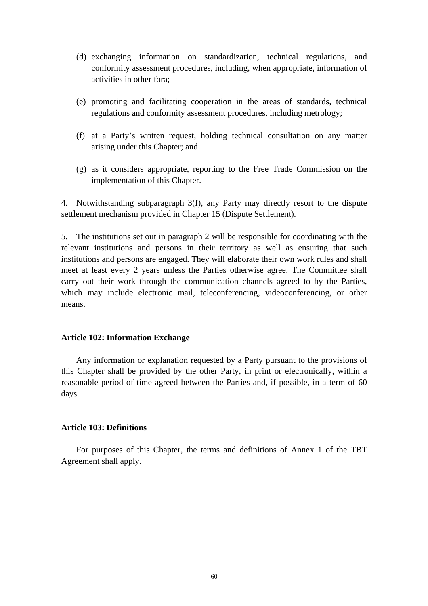- (d) exchanging information on standardization, technical regulations, and conformity assessment procedures, including, when appropriate, information of activities in other fora;
- (e) promoting and facilitating cooperation in the areas of standards, technical regulations and conformity assessment procedures, including metrology;
- (f) at a Party's written request, holding technical consultation on any matter arising under this Chapter; and
- (g) as it considers appropriate, reporting to the Free Trade Commission on the implementation of this Chapter.

4. Notwithstanding subparagraph 3(f), any Party may directly resort to the dispute settlement mechanism provided in Chapter 15 (Dispute Settlement).

5. The institutions set out in paragraph 2 will be responsible for coordinating with the relevant institutions and persons in their territory as well as ensuring that such institutions and persons are engaged. They will elaborate their own work rules and shall meet at least every 2 years unless the Parties otherwise agree. The Committee shall carry out their work through the communication channels agreed to by the Parties, which may include electronic mail, teleconferencing, videoconferencing, or other means.

### **Article 102: Information Exchange**

Any information or explanation requested by a Party pursuant to the provisions of this Chapter shall be provided by the other Party, in print or electronically, within a reasonable period of time agreed between the Parties and, if possible, in a term of 60 days.

### **Article 103: Definitions**

For purposes of this Chapter, the terms and definitions of Annex 1 of the TBT Agreement shall apply.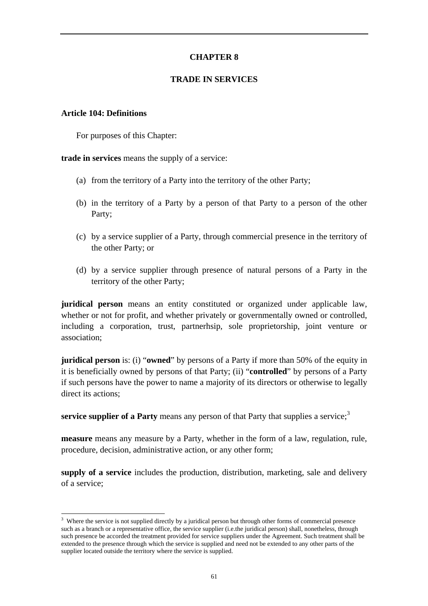## **CHAPTER 8**

### **TRADE IN SERVICES**

### **Article 104: Definitions**

 $\overline{a}$ 

For purposes of this Chapter:

**trade in services** means the supply of a service:

- (a) from the territory of a Party into the territory of the other Party;
- (b) in the territory of a Party by a person of that Party to a person of the other Party;
- (c) by a service supplier of a Party, through commercial presence in the territory of the other Party; or
- (d) by a service supplier through presence of natural persons of a Party in the territory of the other Party;

**juridical person** means an entity constituted or organized under applicable law, whether or not for profit, and whether privately or governmentally owned or controlled, including a corporation, trust, partnerhsip, sole proprietorship, joint venture or association;

**juridical person** is: (i) "**owned**" by persons of a Party if more than 50% of the equity in it is beneficially owned by persons of that Party; (ii) "**controlled**" by persons of a Party if such persons have the power to name a majority of its directors or otherwise to legally direct its actions;

**service supplier of a Party** means any person of that Party that supplies a service;<sup>3</sup>

**measure** means any measure by a Party, whether in the form of a law, regulation, rule, procedure, decision, administrative action, or any other form;

**supply of a service** includes the production, distribution, marketing, sale and delivery of a service;

<sup>&</sup>lt;sup>3</sup> Where the service is not supplied directly by a juridical person but through other forms of commercial presence such as a branch or a representative office, the service supplier (i.e.the juridical person) shall, nonetheless, through such presence be accorded the treatment provided for service suppliers under the Agreement. Such treatment shall be extended to the presence through which the service is supplied and need not be extended to any other parts of the supplier located outside the territory where the service is supplied.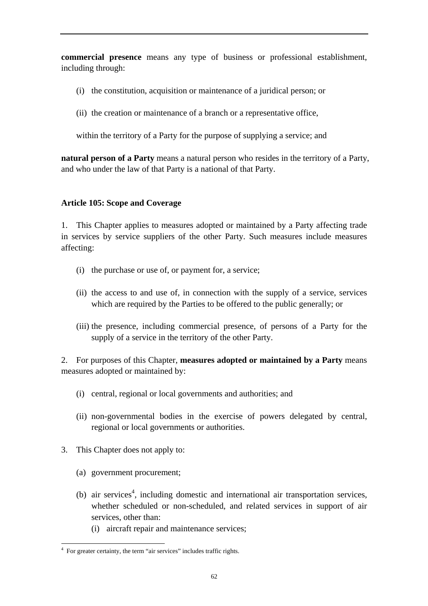**commercial presence** means any type of business or professional establishment, including through:

- (i) the constitution, acquisition or maintenance of a juridical person; or
- (ii) the creation or maintenance of a branch or a representative office,

within the territory of a Party for the purpose of supplying a service; and

**natural person of a Party** means a natural person who resides in the territory of a Party, and who under the law of that Party is a national of that Party.

## **Article 105: Scope and Coverage**

1. This Chapter applies to measures adopted or maintained by a Party affecting trade in services by service suppliers of the other Party. Such measures include measures affecting:

- (i) the purchase or use of, or payment for, a service;
- (ii) the access to and use of, in connection with the supply of a service, services which are required by the Parties to be offered to the public generally; or
- (iii) the presence, including commercial presence, of persons of a Party for the supply of a service in the territory of the other Party.

2. For purposes of this Chapter, **measures adopted or maintained by a Party** means measures adopted or maintained by:

- (i) central, regional or local governments and authorities; and
- (ii) non-governmental bodies in the exercise of powers delegated by central, regional or local governments or authorities.
- 3. This Chapter does not apply to:
	- (a) government procurement;
	- (b) air services<sup>4</sup>, including domestic and international air transportation services, whether scheduled or non-scheduled, and related services in support of air services, other than:
		- (i) aircraft repair and maintenance services;

 4 For greater certainty, the term "air services" includes traffic rights.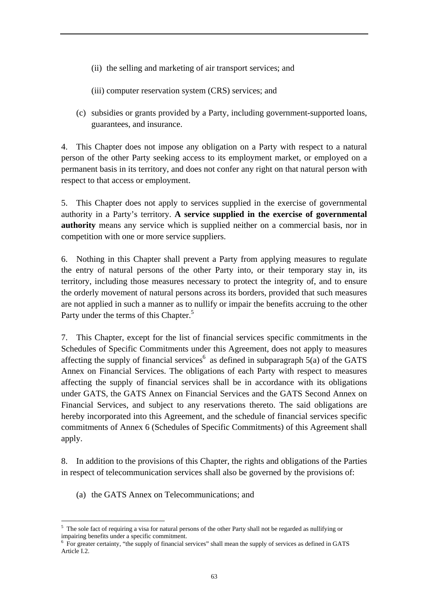- (ii) the selling and marketing of air transport services; and
- (iii) computer reservation system (CRS) services; and
- (c) subsidies or grants provided by a Party, including government-supported loans, guarantees, and insurance.

4. This Chapter does not impose any obligation on a Party with respect to a natural person of the other Party seeking access to its employment market, or employed on a permanent basis in its territory, and does not confer any right on that natural person with respect to that access or employment.

5. This Chapter does not apply to services supplied in the exercise of governmental authority in a Party's territory. **A service supplied in the exercise of governmental authority** means any service which is supplied neither on a commercial basis, nor in competition with one or more service suppliers.

6. Nothing in this Chapter shall prevent a Party from applying measures to regulate the entry of natural persons of the other Party into, or their temporary stay in, its territory, including those measures necessary to protect the integrity of, and to ensure the orderly movement of natural persons across its borders, provided that such measures are not applied in such a manner as to nullify or impair the benefits accruing to the other Party under the terms of this Chapter.<sup>5</sup>

7. This Chapter, except for the list of financial services specific commitments in the Schedules of Specific Commitments under this Agreement, does not apply to measures affecting the supply of financial services<sup>6</sup> as defined in subparagraph  $5(a)$  of the GATS Annex on Financial Services. The obligations of each Party with respect to measures affecting the supply of financial services shall be in accordance with its obligations under GATS, the GATS Annex on Financial Services and the GATS Second Annex on Financial Services, and subject to any reservations thereto. The said obligations are hereby incorporated into this Agreement, and the schedule of financial services specific commitments of Annex 6 (Schedules of Specific Commitments) of this Agreement shall apply.

8. In addition to the provisions of this Chapter, the rights and obligations of the Parties in respect of telecommunication services shall also be governed by the provisions of:

(a) the GATS Annex on Telecommunications; and

 $\overline{a}$  $5$  The sole fact of requiring a visa for natural persons of the other Party shall not be regarded as nullifying or impairing benefits under a specific commitment. 6

 $6$  For greater certainty, "the supply of financial services" shall mean the supply of services as defined in GATS Article I.2.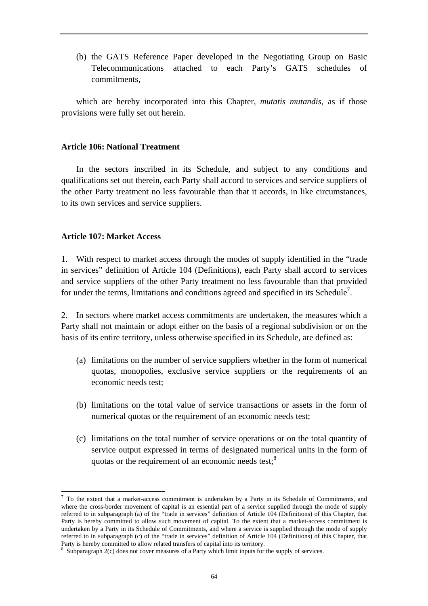(b) the GATS Reference Paper developed in the Negotiating Group on Basic Telecommunications attached to each Party's GATS schedules of commitments,

which are hereby incorporated into this Chapter, *mutatis mutandis*, as if those provisions were fully set out herein.

### **Article 106: National Treatment**

In the sectors inscribed in its Schedule, and subject to any conditions and qualifications set out therein, each Party shall accord to services and service suppliers of the other Party treatment no less favourable than that it accords, in like circumstances, to its own services and service suppliers.

## **Article 107: Market Access**

 $\overline{a}$ 

1. With respect to market access through the modes of supply identified in the "trade in services" definition of Article 104 (Definitions), each Party shall accord to services and service suppliers of the other Party treatment no less favourable than that provided for under the terms, limitations and conditions agreed and specified in its Schedule<sup>7</sup>.

2. In sectors where market access commitments are undertaken, the measures which a Party shall not maintain or adopt either on the basis of a regional subdivision or on the basis of its entire territory, unless otherwise specified in its Schedule, are defined as:

- (a) limitations on the number of service suppliers whether in the form of numerical quotas, monopolies, exclusive service suppliers or the requirements of an economic needs test;
- (b) limitations on the total value of service transactions or assets in the form of numerical quotas or the requirement of an economic needs test;
- (c) limitations on the total number of service operations or on the total quantity of service output expressed in terms of designated numerical units in the form of quotas or the requirement of an economic needs test;<sup>8</sup>

 $<sup>7</sup>$  To the extent that a market-access commitment is undertaken by a Party in its Schedule of Commitments, and</sup> where the cross-border movement of capital is an essential part of a service supplied through the mode of supply referred to in subparagraph (a) of the "trade in services" definition of Article 104 (Definitions) of this Chapter, that Party is hereby committed to allow such movement of capital. To the extent that a market-access commitment is undertaken by a Party in its Schedule of Commitments, and where a service is supplied through the mode of supply referred to in subparagraph (c) of the "trade in services" definition of Article 104 (Definitions) of this Chapter, that Party is hereby committed to allow related transfers of capital into its territory.

 $8$  Subparagraph 2(c) does not cover measures of a Party which limit inputs for the supply of services.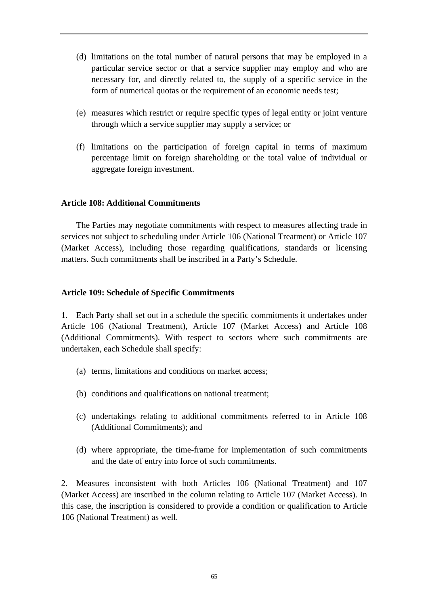- (d) limitations on the total number of natural persons that may be employed in a particular service sector or that a service supplier may employ and who are necessary for, and directly related to, the supply of a specific service in the form of numerical quotas or the requirement of an economic needs test;
- (e) measures which restrict or require specific types of legal entity or joint venture through which a service supplier may supply a service; or
- (f) limitations on the participation of foreign capital in terms of maximum percentage limit on foreign shareholding or the total value of individual or aggregate foreign investment.

### **Article 108: Additional Commitments**

The Parties may negotiate commitments with respect to measures affecting trade in services not subject to scheduling under Article 106 (National Treatment) or Article 107 (Market Access), including those regarding qualifications, standards or licensing matters. Such commitments shall be inscribed in a Party's Schedule.

### **Article 109: Schedule of Specific Commitments**

1. Each Party shall set out in a schedule the specific commitments it undertakes under Article 106 (National Treatment), Article 107 (Market Access) and Article 108 (Additional Commitments). With respect to sectors where such commitments are undertaken, each Schedule shall specify:

- (a) terms, limitations and conditions on market access;
- (b) conditions and qualifications on national treatment;
- (c) undertakings relating to additional commitments referred to in Article 108 (Additional Commitments); and
- (d) where appropriate, the time-frame for implementation of such commitments and the date of entry into force of such commitments.

2. Measures inconsistent with both Articles 106 (National Treatment) and 107 (Market Access) are inscribed in the column relating to Article 107 (Market Access). In this case, the inscription is considered to provide a condition or qualification to Article 106 (National Treatment) as well.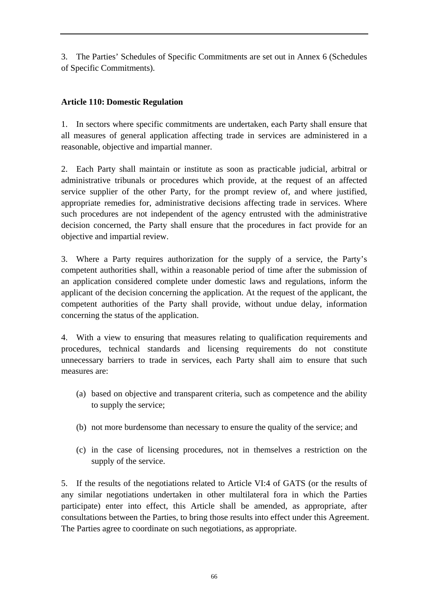3. The Parties' Schedules of Specific Commitments are set out in Annex 6 (Schedules of Specific Commitments).

# **Article 110: Domestic Regulation**

1. In sectors where specific commitments are undertaken, each Party shall ensure that all measures of general application affecting trade in services are administered in a reasonable, objective and impartial manner.

2. Each Party shall maintain or institute as soon as practicable judicial, arbitral or administrative tribunals or procedures which provide, at the request of an affected service supplier of the other Party, for the prompt review of, and where justified, appropriate remedies for, administrative decisions affecting trade in services. Where such procedures are not independent of the agency entrusted with the administrative decision concerned, the Party shall ensure that the procedures in fact provide for an objective and impartial review.

3. Where a Party requires authorization for the supply of a service, the Party's competent authorities shall, within a reasonable period of time after the submission of an application considered complete under domestic laws and regulations, inform the applicant of the decision concerning the application. At the request of the applicant, the competent authorities of the Party shall provide, without undue delay, information concerning the status of the application.

4. With a view to ensuring that measures relating to qualification requirements and procedures, technical standards and licensing requirements do not constitute unnecessary barriers to trade in services, each Party shall aim to ensure that such measures are:

- (a) based on objective and transparent criteria, such as competence and the ability to supply the service;
- (b) not more burdensome than necessary to ensure the quality of the service; and
- (c) in the case of licensing procedures, not in themselves a restriction on the supply of the service.

5. If the results of the negotiations related to Article VI:4 of GATS (or the results of any similar negotiations undertaken in other multilateral fora in which the Parties participate) enter into effect, this Article shall be amended, as appropriate, after consultations between the Parties, to bring those results into effect under this Agreement. The Parties agree to coordinate on such negotiations, as appropriate.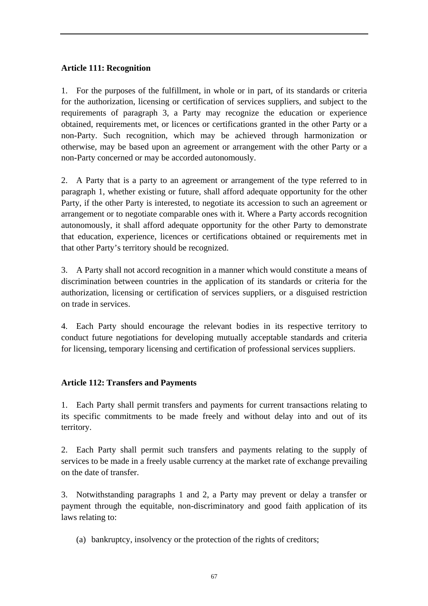## **Article 111: Recognition**

1. For the purposes of the fulfillment, in whole or in part, of its standards or criteria for the authorization, licensing or certification of services suppliers, and subject to the requirements of paragraph 3, a Party may recognize the education or experience obtained, requirements met, or licences or certifications granted in the other Party or a non-Party. Such recognition, which may be achieved through harmonization or otherwise, may be based upon an agreement or arrangement with the other Party or a non-Party concerned or may be accorded autonomously.

2. A Party that is a party to an agreement or arrangement of the type referred to in paragraph 1, whether existing or future, shall afford adequate opportunity for the other Party, if the other Party is interested, to negotiate its accession to such an agreement or arrangement or to negotiate comparable ones with it. Where a Party accords recognition autonomously, it shall afford adequate opportunity for the other Party to demonstrate that education, experience, licences or certifications obtained or requirements met in that other Party's territory should be recognized.

3. A Party shall not accord recognition in a manner which would constitute a means of discrimination between countries in the application of its standards or criteria for the authorization, licensing or certification of services suppliers, or a disguised restriction on trade in services.

4. Each Party should encourage the relevant bodies in its respective territory to conduct future negotiations for developing mutually acceptable standards and criteria for licensing, temporary licensing and certification of professional services suppliers.

## **Article 112: Transfers and Payments**

1. Each Party shall permit transfers and payments for current transactions relating to its specific commitments to be made freely and without delay into and out of its territory.

2. Each Party shall permit such transfers and payments relating to the supply of services to be made in a freely usable currency at the market rate of exchange prevailing on the date of transfer.

3. Notwithstanding paragraphs 1 and 2, a Party may prevent or delay a transfer or payment through the equitable, non-discriminatory and good faith application of its laws relating to:

(a) bankruptcy, insolvency or the protection of the rights of creditors;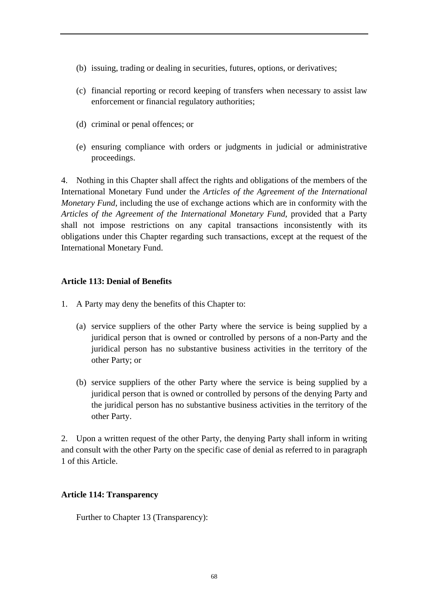- (b) issuing, trading or dealing in securities, futures, options, or derivatives;
- (c) financial reporting or record keeping of transfers when necessary to assist law enforcement or financial regulatory authorities;
- (d) criminal or penal offences; or
- (e) ensuring compliance with orders or judgments in judicial or administrative proceedings.

4. Nothing in this Chapter shall affect the rights and obligations of the members of the International Monetary Fund under the *Articles of the Agreement of the International Monetary Fund*, including the use of exchange actions which are in conformity with the *Articles of the Agreement of the International Monetary Fund*, provided that a Party shall not impose restrictions on any capital transactions inconsistently with its obligations under this Chapter regarding such transactions, except at the request of the International Monetary Fund.

## **Article 113: Denial of Benefits**

- 1. A Party may deny the benefits of this Chapter to:
	- (a) service suppliers of the other Party where the service is being supplied by a juridical person that is owned or controlled by persons of a non-Party and the juridical person has no substantive business activities in the territory of the other Party; or
	- (b) service suppliers of the other Party where the service is being supplied by a juridical person that is owned or controlled by persons of the denying Party and the juridical person has no substantive business activities in the territory of the other Party.

2. Upon a written request of the other Party, the denying Party shall inform in writing and consult with the other Party on the specific case of denial as referred to in paragraph 1 of this Article.

## **Article 114: Transparency**

Further to Chapter 13 (Transparency):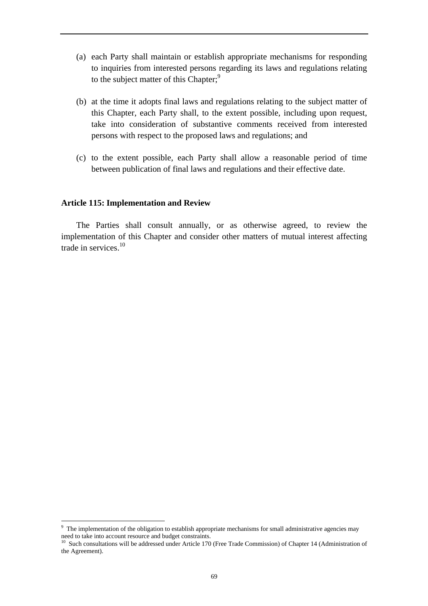- (a) each Party shall maintain or establish appropriate mechanisms for responding to inquiries from interested persons regarding its laws and regulations relating to the subject matter of this Chapter;<sup>9</sup>
- (b) at the time it adopts final laws and regulations relating to the subject matter of this Chapter, each Party shall, to the extent possible, including upon request, take into consideration of substantive comments received from interested persons with respect to the proposed laws and regulations; and
- (c) to the extent possible, each Party shall allow a reasonable period of time between publication of final laws and regulations and their effective date.

### **Article 115: Implementation and Review**

 $\overline{a}$ 

The Parties shall consult annually, or as otherwise agreed, to review the implementation of this Chapter and consider other matters of mutual interest affecting trade in services.10

<sup>&</sup>lt;sup>9</sup> The implementation of the obligation to establish appropriate mechanisms for small administrative agencies may need to take into account resource and budget constraints.<br><sup>10</sup> Such consultations will be addressed under Article 170 (Free Trade Commission) of Chapter 14 (Administration of

the Agreement).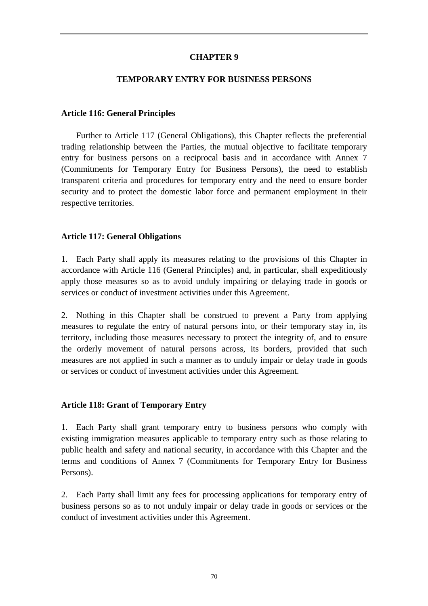## **CHAPTER 9**

### **TEMPORARY ENTRY FOR BUSINESS PERSONS**

#### **Article 116: General Principles**

Further to Article 117 (General Obligations), this Chapter reflects the preferential trading relationship between the Parties, the mutual objective to facilitate temporary entry for business persons on a reciprocal basis and in accordance with Annex 7 (Commitments for Temporary Entry for Business Persons), the need to establish transparent criteria and procedures for temporary entry and the need to ensure border security and to protect the domestic labor force and permanent employment in their respective territories.

### **Article 117: General Obligations**

1. Each Party shall apply its measures relating to the provisions of this Chapter in accordance with Article 116 (General Principles) and, in particular, shall expeditiously apply those measures so as to avoid unduly impairing or delaying trade in goods or services or conduct of investment activities under this Agreement.

2. Nothing in this Chapter shall be construed to prevent a Party from applying measures to regulate the entry of natural persons into, or their temporary stay in, its territory, including those measures necessary to protect the integrity of, and to ensure the orderly movement of natural persons across, its borders, provided that such measures are not applied in such a manner as to unduly impair or delay trade in goods or services or conduct of investment activities under this Agreement.

#### **Article 118: Grant of Temporary Entry**

1. Each Party shall grant temporary entry to business persons who comply with existing immigration measures applicable to temporary entry such as those relating to public health and safety and national security, in accordance with this Chapter and the terms and conditions of Annex 7 (Commitments for Temporary Entry for Business Persons).

2. Each Party shall limit any fees for processing applications for temporary entry of business persons so as to not unduly impair or delay trade in goods or services or the conduct of investment activities under this Agreement.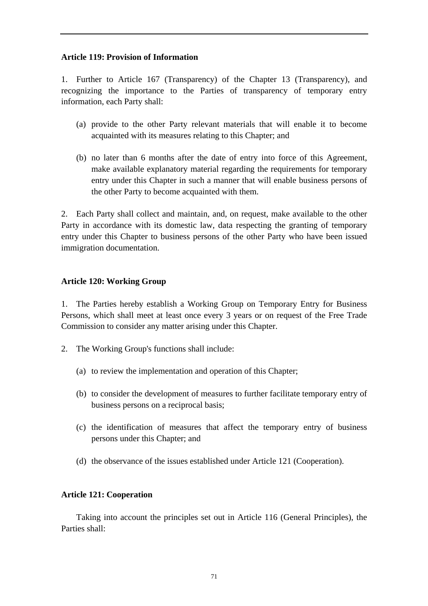### **Article 119: Provision of Information**

1. Further to Article 167 (Transparency) of the Chapter 13 (Transparency), and recognizing the importance to the Parties of transparency of temporary entry information, each Party shall:

- (a) provide to the other Party relevant materials that will enable it to become acquainted with its measures relating to this Chapter; and
- (b) no later than 6 months after the date of entry into force of this Agreement, make available explanatory material regarding the requirements for temporary entry under this Chapter in such a manner that will enable business persons of the other Party to become acquainted with them.

2. Each Party shall collect and maintain, and, on request, make available to the other Party in accordance with its domestic law, data respecting the granting of temporary entry under this Chapter to business persons of the other Party who have been issued immigration documentation.

### **Article 120: Working Group**

1. The Parties hereby establish a Working Group on Temporary Entry for Business Persons, which shall meet at least once every 3 years or on request of the Free Trade Commission to consider any matter arising under this Chapter.

- 2. The Working Group's functions shall include:
	- (a) to review the implementation and operation of this Chapter;
	- (b) to consider the development of measures to further facilitate temporary entry of business persons on a reciprocal basis;
	- (c) the identification of measures that affect the temporary entry of business persons under this Chapter; and
	- (d) the observance of the issues established under Article 121 (Cooperation).

### **Article 121: Cooperation**

Taking into account the principles set out in Article 116 (General Principles), the Parties shall: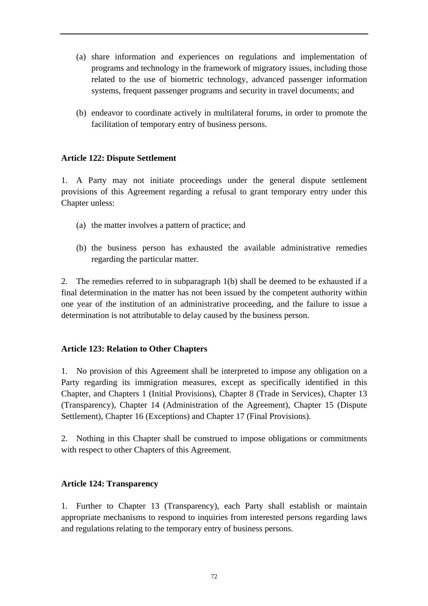- (a) share information and experiences on regulations and implementation of programs and technology in the framework of migratory issues, including those related to the use of biometric technology, advanced passenger information systems, frequent passenger programs and security in travel documents; and
- (b) endeavor to coordinate actively in multilateral forums, in order to promote the facilitation of temporary entry of business persons.

## **Article 122: Dispute Settlement**

1. A Party may not initiate proceedings under the general dispute settlement provisions of this Agreement regarding a refusal to grant temporary entry under this Chapter unless:

- (a) the matter involves a pattern of practice; and
- (b) the business person has exhausted the available administrative remedies regarding the particular matter.

2. The remedies referred to in subparagraph 1(b) shall be deemed to be exhausted if a final determination in the matter has not been issued by the competent authority within one year of the institution of an administrative proceeding, and the failure to issue a determination is not attributable to delay caused by the business person.

## **Article 123: Relation to Other Chapters**

1. No provision of this Agreement shall be interpreted to impose any obligation on a Party regarding its immigration measures, except as specifically identified in this Chapter, and Chapters 1 (Initial Provisions), Chapter 8 (Trade in Services), Chapter 13 (Transparency), Chapter 14 (Administration of the Agreement), Chapter 15 (Dispute Settlement), Chapter 16 (Exceptions) and Chapter 17 (Final Provisions).

2. Nothing in this Chapter shall be construed to impose obligations or commitments with respect to other Chapters of this Agreement.

### **Article 124: Transparency**

1. Further to Chapter 13 (Transparency), each Party shall establish or maintain appropriate mechanisms to respond to inquiries from interested persons regarding laws and regulations relating to the temporary entry of business persons.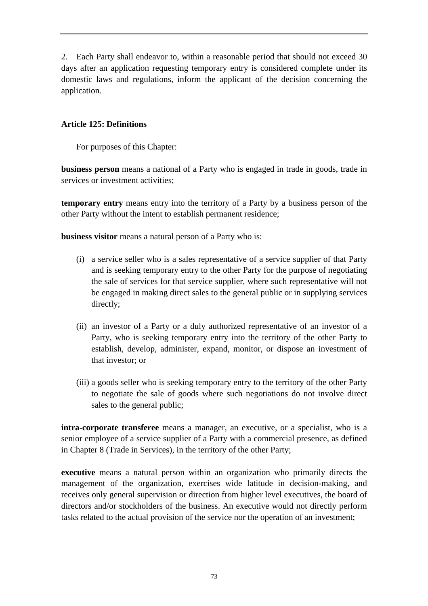2. Each Party shall endeavor to, within a reasonable period that should not exceed 30 days after an application requesting temporary entry is considered complete under its domestic laws and regulations, inform the applicant of the decision concerning the application.

## **Article 125: Definitions**

For purposes of this Chapter:

**business person** means a national of a Party who is engaged in trade in goods, trade in services or investment activities;

**temporary entry** means entry into the territory of a Party by a business person of the other Party without the intent to establish permanent residence;

**business visitor** means a natural person of a Party who is:

- (i) a service seller who is a sales representative of a service supplier of that Party and is seeking temporary entry to the other Party for the purpose of negotiating the sale of services for that service supplier, where such representative will not be engaged in making direct sales to the general public or in supplying services directly;
- (ii) an investor of a Party or a duly authorized representative of an investor of a Party, who is seeking temporary entry into the territory of the other Party to establish, develop, administer, expand, monitor, or dispose an investment of that investor; or
- (iii) a goods seller who is seeking temporary entry to the territory of the other Party to negotiate the sale of goods where such negotiations do not involve direct sales to the general public;

**intra-corporate transferee** means a manager, an executive, or a specialist, who is a senior employee of a service supplier of a Party with a commercial presence, as defined in Chapter 8 (Trade in Services), in the territory of the other Party;

**executive** means a natural person within an organization who primarily directs the management of the organization, exercises wide latitude in decision-making, and receives only general supervision or direction from higher level executives, the board of directors and/or stockholders of the business. An executive would not directly perform tasks related to the actual provision of the service nor the operation of an investment;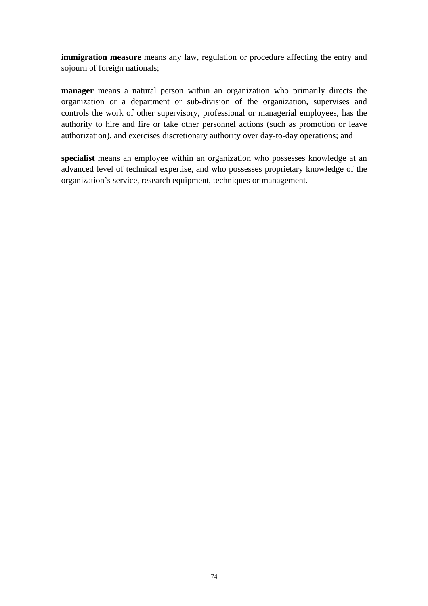**immigration measure** means any law, regulation or procedure affecting the entry and sojourn of foreign nationals;

**manager** means a natural person within an organization who primarily directs the organization or a department or sub-division of the organization, supervises and controls the work of other supervisory, professional or managerial employees, has the authority to hire and fire or take other personnel actions (such as promotion or leave authorization), and exercises discretionary authority over day-to-day operations; and

**specialist** means an employee within an organization who possesses knowledge at an advanced level of technical expertise, and who possesses proprietary knowledge of the organization's service, research equipment, techniques or management.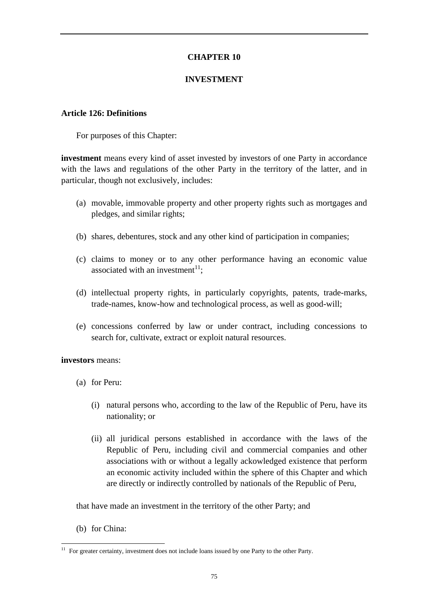### **CHAPTER 10**

### **INVESTMENT**

#### **Article 126: Definitions**

For purposes of this Chapter:

**investment** means every kind of asset invested by investors of one Party in accordance with the laws and regulations of the other Party in the territory of the latter, and in particular, though not exclusively, includes:

- (a) movable, immovable property and other property rights such as mortgages and pledges, and similar rights;
- (b) shares, debentures, stock and any other kind of participation in companies;
- (c) claims to money or to any other performance having an economic value associated with an investment<sup>11</sup>;
- (d) intellectual property rights, in particularly copyrights, patents, trade-marks, trade-names, know-how and technological process, as well as good-will;
- (e) concessions conferred by law or under contract, including concessions to search for, cultivate, extract or exploit natural resources.

#### **investors** means:

- (a) for Peru:
	- (i) natural persons who, according to the law of the Republic of Peru, have its nationality; or
	- (ii) all juridical persons established in accordance with the laws of the Republic of Peru, including civil and commercial companies and other associations with or without a legally ackowledged existence that perform an economic activity included within the sphere of this Chapter and which are directly or indirectly controlled by nationals of the Republic of Peru,

that have made an investment in the territory of the other Party; and

(b) for China:

 $\overline{a}$  $11$  For greater certainty, investment does not include loans issued by one Party to the other Party.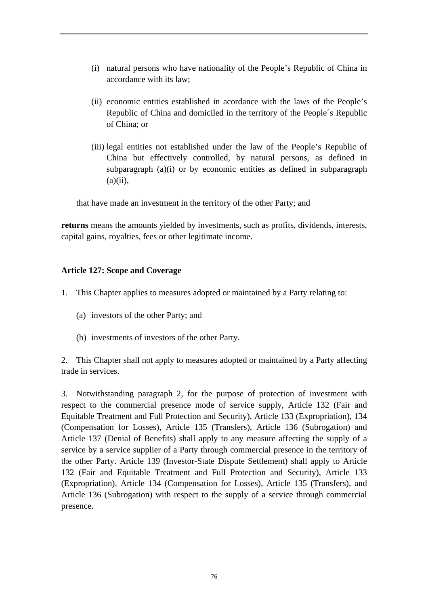- (i) natural persons who have nationality of the People's Republic of China in accordance with its law;
- (ii) economic entities established in acordance with the laws of the People's Republic of China and domiciled in the territory of the People´s Republic of China; or
- (iii) legal entities not established under the law of the People's Republic of China but effectively controlled, by natural persons, as defined in subparagraph (a)(i) or by economic entities as defined in subparagraph  $(a)(ii)$ ,

that have made an investment in the territory of the other Party; and

**returns** means the amounts yielded by investments, such as profits, dividends, interests, capital gains, royalties, fees or other legitimate income.

### **Article 127: Scope and Coverage**

- 1. This Chapter applies to measures adopted or maintained by a Party relating to:
	- (a) investors of the other Party; and
	- (b) investments of investors of the other Party.

2. This Chapter shall not apply to measures adopted or maintained by a Party affecting trade in services.

3. Notwithstanding paragraph 2, for the purpose of protection of investment with respect to the commercial presence mode of service supply, Article 132 (Fair and Equitable Treatment and Full Protection and Security), Article 133 (Expropriation), 134 (Compensation for Losses), Article 135 (Transfers), Article 136 (Subrogation) and Article 137 (Denial of Benefits) shall apply to any measure affecting the supply of a service by a service supplier of a Party through commercial presence in the territory of the other Party. Article 139 (Investor-State Dispute Settlement) shall apply to Article 132 (Fair and Equitable Treatment and Full Protection and Security), Article 133 (Expropriation), Article 134 (Compensation for Losses), Article 135 (Transfers), and Article 136 (Subrogation) with respect to the supply of a service through commercial presence.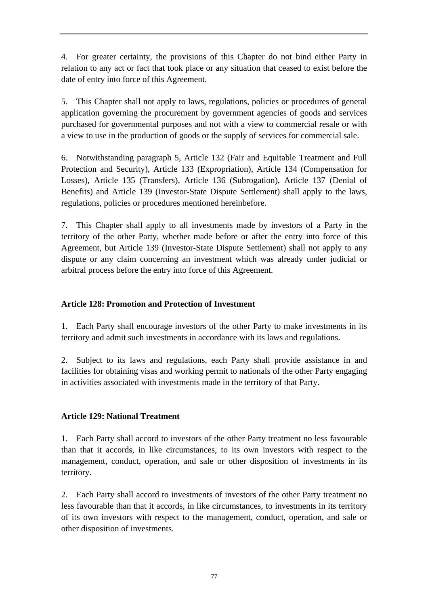4. For greater certainty, the provisions of this Chapter do not bind either Party in relation to any act or fact that took place or any situation that ceased to exist before the date of entry into force of this Agreement.

5. This Chapter shall not apply to laws, regulations, policies or procedures of general application governing the procurement by government agencies of goods and services purchased for governmental purposes and not with a view to commercial resale or with a view to use in the production of goods or the supply of services for commercial sale.

6. Notwithstanding paragraph 5, Article 132 (Fair and Equitable Treatment and Full Protection and Security), Article 133 (Expropriation), Article 134 (Compensation for Losses), Article 135 (Transfers), Article 136 (Subrogation), Article 137 (Denial of Benefits) and Article 139 (Investor-State Dispute Settlement) shall apply to the laws, regulations, policies or procedures mentioned hereinbefore.

7. This Chapter shall apply to all investments made by investors of a Party in the territory of the other Party, whether made before or after the entry into force of this Agreement, but Article 139 (Investor-State Dispute Settlement) shall not apply to any dispute or any claim concerning an investment which was already under judicial or arbitral process before the entry into force of this Agreement.

# **Article 128: Promotion and Protection of Investment**

1. Each Party shall encourage investors of the other Party to make investments in its territory and admit such investments in accordance with its laws and regulations.

2. Subject to its laws and regulations, each Party shall provide assistance in and facilities for obtaining visas and working permit to nationals of the other Party engaging in activities associated with investments made in the territory of that Party.

## **Article 129: National Treatment**

1. Each Party shall accord to investors of the other Party treatment no less favourable than that it accords, in like circumstances, to its own investors with respect to the management, conduct, operation, and sale or other disposition of investments in its territory.

2. Each Party shall accord to investments of investors of the other Party treatment no less favourable than that it accords, in like circumstances, to investments in its territory of its own investors with respect to the management, conduct, operation, and sale or other disposition of investments.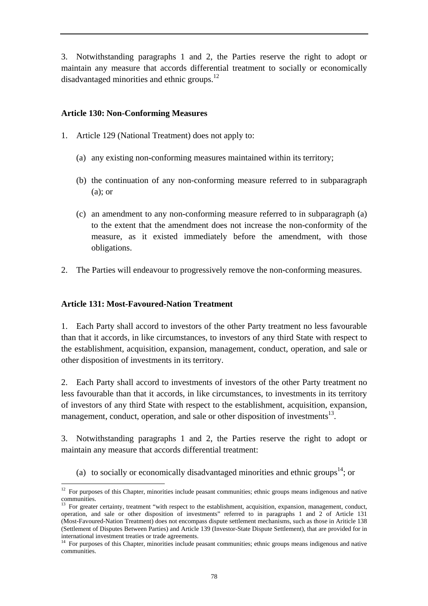3. Notwithstanding paragraphs 1 and 2, the Parties reserve the right to adopt or maintain any measure that accords differential treatment to socially or economically disadvantaged minorities and ethnic groups.<sup>12</sup>

### **Article 130: Non-Conforming Measures**

- 1. Article 129 (National Treatment) does not apply to:
	- (a) any existing non-conforming measures maintained within its territory;
	- (b) the continuation of any non-conforming measure referred to in subparagraph (a); or
	- (c) an amendment to any non-conforming measure referred to in subparagraph (a) to the extent that the amendment does not increase the non-conformity of the measure, as it existed immediately before the amendment, with those obligations.
- 2. The Parties will endeavour to progressively remove the non-conforming measures.

#### **Article 131: Most-Favoured-Nation Treatment**

1. Each Party shall accord to investors of the other Party treatment no less favourable than that it accords, in like circumstances, to investors of any third State with respect to the establishment, acquisition, expansion, management, conduct, operation, and sale or other disposition of investments in its territory.

2. Each Party shall accord to investments of investors of the other Party treatment no less favourable than that it accords, in like circumstances, to investments in its territory of investors of any third State with respect to the establishment, acquisition, expansion, management, conduct, operation, and sale or other disposition of investments<sup>13</sup>.

3. Notwithstanding paragraphs 1 and 2, the Parties reserve the right to adopt or maintain any measure that accords differential treatment:

(a) to socially or economically disadvantaged minorities and ethnic groups<sup>14</sup>; or

 $\overline{a}$ <sup>12</sup> For purposes of this Chapter, minorities include peasant communities; ethnic groups means indigenous and native communities.

 $13$  For greater certainty, treatment "with respect to the establishment, acquisition, expansion, management, conduct, operation, and sale or other disposition of investments" referred to in paragraphs 1 and 2 of Article 131 (Most-Favoured-Nation Treatment) does not encompass dispute settlement mechanisms, such as those in Ariticle 138 (Settlement of Disputes Between Parties) and Article 139 (Investor-State Dispute Settlement), that are provided for in international investment treaties or trade agreements.

<sup>&</sup>lt;sup>14</sup> For purposes of this Chapter, minorities include peasant communities; ethnic groups means indigenous and native communities.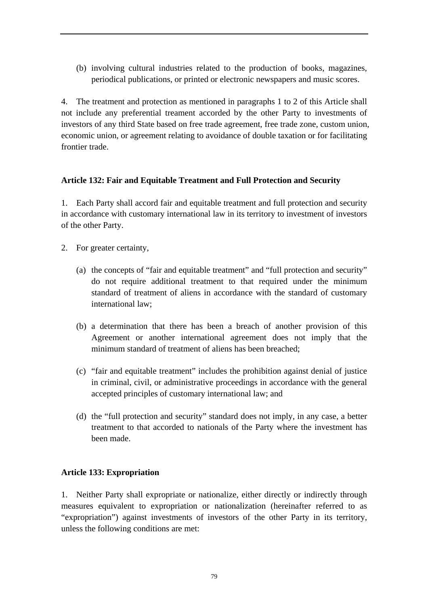(b) involving cultural industries related to the production of books, magazines, periodical publications, or printed or electronic newspapers and music scores.

4. The treatment and protection as mentioned in paragraphs 1 to 2 of this Article shall not include any preferential treament accorded by the other Party to investments of investors of any third State based on free trade agreement, free trade zone, custom union, economic union, or agreement relating to avoidance of double taxation or for facilitating frontier trade.

# **Article 132: Fair and Equitable Treatment and Full Protection and Security**

1. Each Party shall accord fair and equitable treatment and full protection and security in accordance with customary international law in its territory to investment of investors of the other Party.

- 2. For greater certainty,
	- (a) the concepts of "fair and equitable treatment" and "full protection and security" do not require additional treatment to that required under the minimum standard of treatment of aliens in accordance with the standard of customary international law;
	- (b) a determination that there has been a breach of another provision of this Agreement or another international agreement does not imply that the minimum standard of treatment of aliens has been breached;
	- (c) "fair and equitable treatment" includes the prohibition against denial of justice in criminal, civil, or administrative proceedings in accordance with the general accepted principles of customary international law; and
	- (d) the "full protection and security" standard does not imply, in any case, a better treatment to that accorded to nationals of the Party where the investment has been made.

## **Article 133: Expropriation**

1. Neither Party shall expropriate or nationalize, either directly or indirectly through measures equivalent to expropriation or nationalization (hereinafter referred to as "expropriation") against investments of investors of the other Party in its territory, unless the following conditions are met: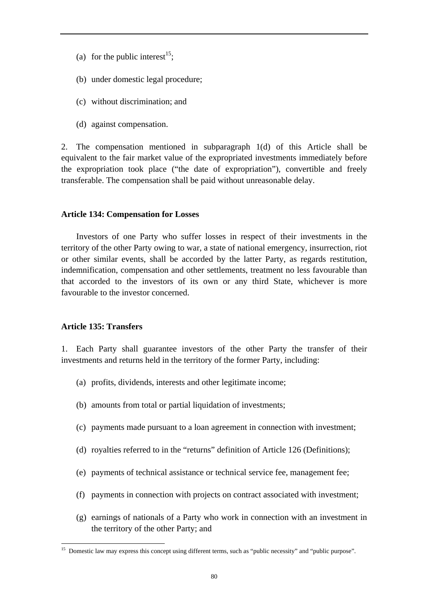- (a) for the public interest<sup>15</sup>;
- (b) under domestic legal procedure;
- (c) without discrimination; and
- (d) against compensation.

2. The compensation mentioned in subparagraph 1(d) of this Article shall be equivalent to the fair market value of the expropriated investments immediately before the expropriation took place ("the date of expropriation"), convertible and freely transferable. The compensation shall be paid without unreasonable delay.

#### **Article 134: Compensation for Losses**

Investors of one Party who suffer losses in respect of their investments in the territory of the other Party owing to war, a state of national emergency, insurrection, riot or other similar events, shall be accorded by the latter Party, as regards restitution, indemnification, compensation and other settlements, treatment no less favourable than that accorded to the investors of its own or any third State, whichever is more favourable to the investor concerned.

#### **Article 135: Transfers**

 $\overline{a}$ 

1. Each Party shall guarantee investors of the other Party the transfer of their investments and returns held in the territory of the former Party, including:

- (a) profits, dividends, interests and other legitimate income;
- (b) amounts from total or partial liquidation of investments;
- (c) payments made pursuant to a loan agreement in connection with investment;
- (d) royalties referred to in the "returns" definition of Article 126 (Definitions);
- (e) payments of technical assistance or technical service fee, management fee;
- (f) payments in connection with projects on contract associated with investment;
- (g) earnings of nationals of a Party who work in connection with an investment in the territory of the other Party; and

<sup>&</sup>lt;sup>15</sup> Domestic law may express this concept using different terms, such as "public necessity" and "public purpose".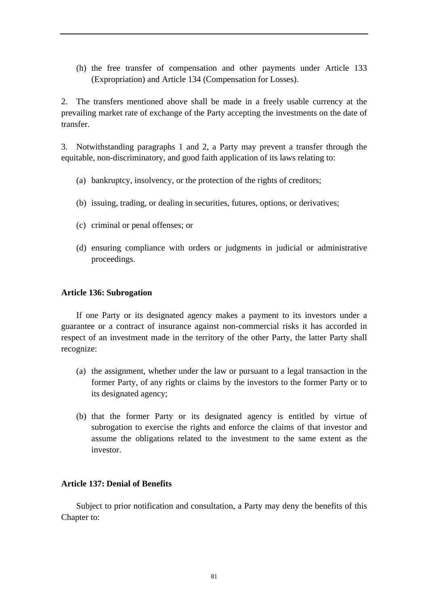(h) the free transfer of compensation and other payments under Article 133 (Expropriation) and Article 134 (Compensation for Losses).

2. The transfers mentioned above shall be made in a freely usable currency at the prevailing market rate of exchange of the Party accepting the investments on the date of transfer.

3. Notwithstanding paragraphs 1 and 2, a Party may prevent a transfer through the equitable, non-discriminatory, and good faith application of its laws relating to:

- (a) bankruptcy, insolvency, or the protection of the rights of creditors;
- (b) issuing, trading, or dealing in securities, futures, options, or derivatives;
- (c) criminal or penal offenses; or
- (d) ensuring compliance with orders or judgments in judicial or administrative proceedings.

#### **Article 136: Subrogation**

If one Party or its designated agency makes a payment to its investors under a guarantee or a contract of insurance against non-commercial risks it has accorded in respect of an investment made in the territory of the other Party, the latter Party shall recognize:

- (a) the assignment, whether under the law or pursuant to a legal transaction in the former Party, of any rights or claims by the investors to the former Party or to its designated agency;
- (b) that the former Party or its designated agency is entitled by virtue of subrogation to exercise the rights and enforce the claims of that investor and assume the obligations related to the investment to the same extent as the investor.

### **Article 137: Denial of Benefits**

Subject to prior notification and consultation, a Party may deny the benefits of this Chapter to: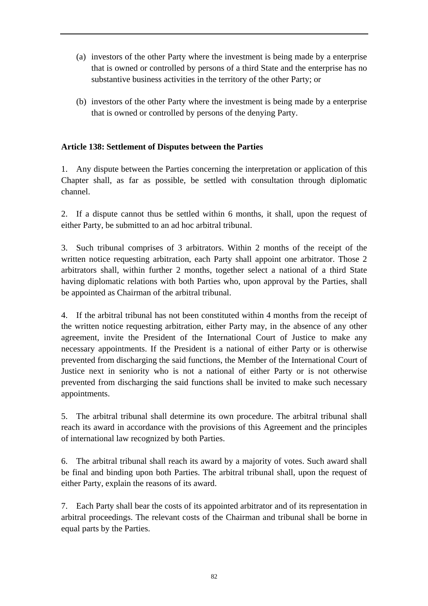- (a) investors of the other Party where the investment is being made by a enterprise that is owned or controlled by persons of a third State and the enterprise has no substantive business activities in the territory of the other Party; or
- (b) investors of the other Party where the investment is being made by a enterprise that is owned or controlled by persons of the denying Party.

# **Article 138: Settlement of Disputes between the Parties**

1. Any dispute between the Parties concerning the interpretation or application of this Chapter shall, as far as possible, be settled with consultation through diplomatic channel.

2. If a dispute cannot thus be settled within 6 months, it shall, upon the request of either Party, be submitted to an ad hoc arbitral tribunal.

3. Such tribunal comprises of 3 arbitrators. Within 2 months of the receipt of the written notice requesting arbitration, each Party shall appoint one arbitrator. Those 2 arbitrators shall, within further 2 months, together select a national of a third State having diplomatic relations with both Parties who, upon approval by the Parties, shall be appointed as Chairman of the arbitral tribunal.

4. If the arbitral tribunal has not been constituted within 4 months from the receipt of the written notice requesting arbitration, either Party may, in the absence of any other agreement, invite the President of the International Court of Justice to make any necessary appointments. If the President is a national of either Party or is otherwise prevented from discharging the said functions, the Member of the International Court of Justice next in seniority who is not a national of either Party or is not otherwise prevented from discharging the said functions shall be invited to make such necessary appointments.

5. The arbitral tribunal shall determine its own procedure. The arbitral tribunal shall reach its award in accordance with the provisions of this Agreement and the principles of international law recognized by both Parties.

6. The arbitral tribunal shall reach its award by a majority of votes. Such award shall be final and binding upon both Parties. The arbitral tribunal shall, upon the request of either Party, explain the reasons of its award.

7. Each Party shall bear the costs of its appointed arbitrator and of its representation in arbitral proceedings. The relevant costs of the Chairman and tribunal shall be borne in equal parts by the Parties.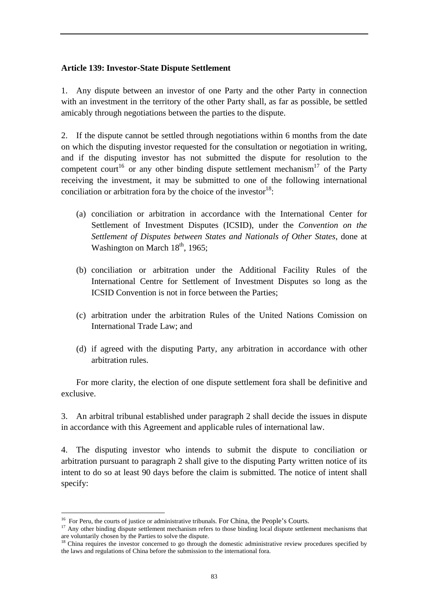#### **Article 139: Investor-State Dispute Settlement**

1. Any dispute between an investor of one Party and the other Party in connection with an investment in the territory of the other Party shall, as far as possible, be settled amicably through negotiations between the parties to the dispute.

2. If the dispute cannot be settled through negotiations within 6 months from the date on which the disputing investor requested for the consultation or negotiation in writing, and if the disputing investor has not submitted the dispute for resolution to the competent court<sup>16</sup> or any other binding dispute settlement mechanism<sup>17</sup> of the Party receiving the investment, it may be submitted to one of the following international conciliation or arbitration fora by the choice of the investor  $18$ :

- (a) conciliation or arbitration in accordance with the International Center for Settlement of Investment Disputes (ICSID), under the *Convention on the Settlement of Disputes between States and Nationals of Other States*, done at Washington on March  $18<sup>th</sup>$ , 1965;
- (b) conciliation or arbitration under the Additional Facility Rules of the International Centre for Settlement of Investment Disputes so long as the ICSID Convention is not in force between the Parties;
- (c) arbitration under the arbitration Rules of the United Nations Comission on International Trade Law; and
- (d) if agreed with the disputing Party, any arbitration in accordance with other arbitration rules.

For more clarity, the election of one dispute settlement fora shall be definitive and exclusive.

3. An arbitral tribunal established under paragraph 2 shall decide the issues in dispute in accordance with this Agreement and applicable rules of international law.

4. The disputing investor who intends to submit the dispute to conciliation or arbitration pursuant to paragraph 2 shall give to the disputing Party written notice of its intent to do so at least 90 days before the claim is submitted. The notice of intent shall specify:

 $\overline{a}$ 

<sup>&</sup>lt;sup>16</sup> For Peru, the courts of justice or administrative tribunals. For China, the People's Courts. <sup>17</sup> Any other binding dispute settlement mechanisms that  $\frac{17}{1}$ are voluntarily chosen by the Parties to solve the dispute.

 $18$  China requires the investor concerned to go through the domestic administrative review procedures specified by the laws and regulations of China before the submission to the international fora.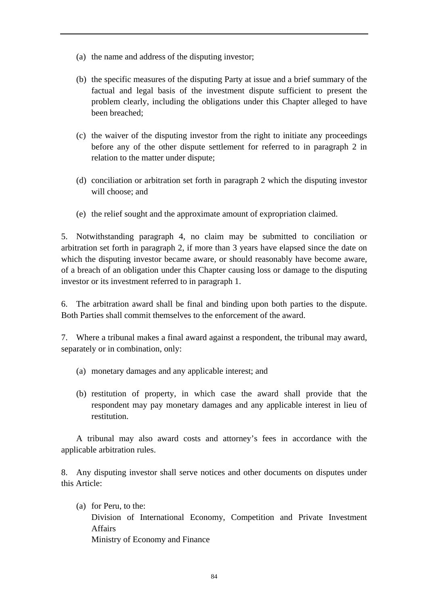- (a) the name and address of the disputing investor;
- (b) the specific measures of the disputing Party at issue and a brief summary of the factual and legal basis of the investment dispute sufficient to present the problem clearly, including the obligations under this Chapter alleged to have been breached;
- (c) the waiver of the disputing investor from the right to initiate any proceedings before any of the other dispute settlement for referred to in paragraph 2 in relation to the matter under dispute;
- (d) conciliation or arbitration set forth in paragraph 2 which the disputing investor will choose; and
- (e) the relief sought and the approximate amount of expropriation claimed.

5. Notwithstanding paragraph 4, no claim may be submitted to conciliation or arbitration set forth in paragraph 2, if more than 3 years have elapsed since the date on which the disputing investor became aware, or should reasonably have become aware, of a breach of an obligation under this Chapter causing loss or damage to the disputing investor or its investment referred to in paragraph 1.

6. The arbitration award shall be final and binding upon both parties to the dispute. Both Parties shall commit themselves to the enforcement of the award.

7. Where a tribunal makes a final award against a respondent, the tribunal may award, separately or in combination, only:

- (a) monetary damages and any applicable interest; and
- (b) restitution of property, in which case the award shall provide that the respondent may pay monetary damages and any applicable interest in lieu of restitution.

A tribunal may also award costs and attorney's fees in accordance with the applicable arbitration rules.

8. Any disputing investor shall serve notices and other documents on disputes under this Article:

(a) for Peru, to the: Division of International Economy, Competition and Private Investment Affairs Ministry of Economy and Finance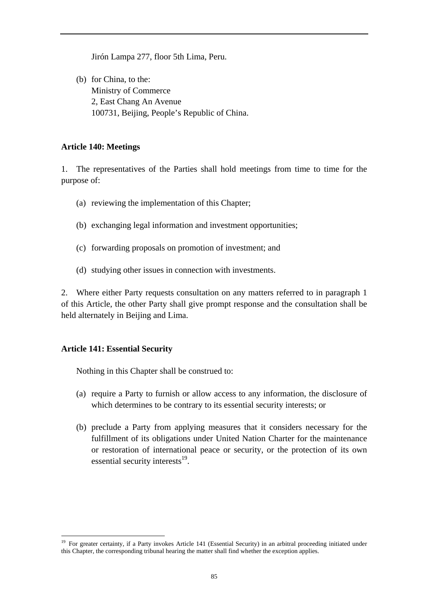Jirón Lampa 277, floor 5th Lima, Peru.

(b) for China, to the: Ministry of Commerce 2, East Chang An Avenue 100731, Beijing, People's Republic of China.

### **Article 140: Meetings**

1. The representatives of the Parties shall hold meetings from time to time for the purpose of:

- (a) reviewing the implementation of this Chapter;
- (b) exchanging legal information and investment opportunities;
- (c) forwarding proposals on promotion of investment; and
- (d) studying other issues in connection with investments.

2. Where either Party requests consultation on any matters referred to in paragraph 1 of this Article, the other Party shall give prompt response and the consultation shall be held alternately in Beijing and Lima.

## **Article 141: Essential Security**

 $\overline{a}$ 

Nothing in this Chapter shall be construed to:

- (a) require a Party to furnish or allow access to any information, the disclosure of which determines to be contrary to its essential security interests; or
- (b) preclude a Party from applying measures that it considers necessary for the fulfillment of its obligations under United Nation Charter for the maintenance or restoration of international peace or security, or the protection of its own essential security interests $^{19}$ .

<sup>&</sup>lt;sup>19</sup> For greater certainty, if a Party invokes Article 141 (Essential Security) in an arbitral proceeding initiated under this Chapter, the corresponding tribunal hearing the matter shall find whether the exception applies.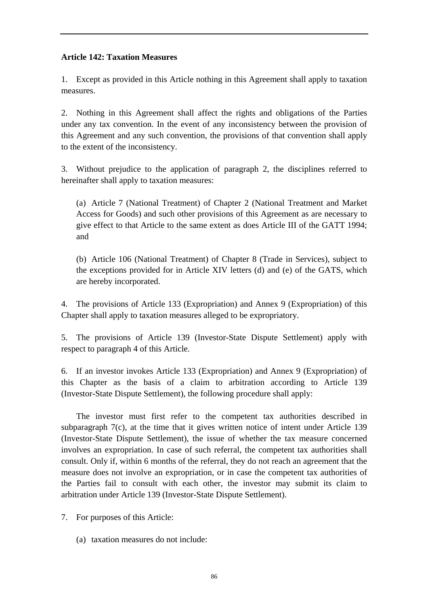### **Article 142: Taxation Measures**

1. Except as provided in this Article nothing in this Agreement shall apply to taxation measures.

2. Nothing in this Agreement shall affect the rights and obligations of the Parties under any tax convention. In the event of any inconsistency between the provision of this Agreement and any such convention, the provisions of that convention shall apply to the extent of the inconsistency.

3. Without prejudice to the application of paragraph 2, the disciplines referred to hereinafter shall apply to taxation measures:

(a) Article 7 (National Treatment) of Chapter 2 (National Treatment and Market Access for Goods) and such other provisions of this Agreement as are necessary to give effect to that Article to the same extent as does Article III of the GATT 1994; and

(b) Article 106 (National Treatment) of Chapter 8 (Trade in Services), subject to the exceptions provided for in Article XIV letters (d) and (e) of the GATS, which are hereby incorporated.

4. The provisions of Article 133 (Expropriation) and Annex 9 (Expropriation) of this Chapter shall apply to taxation measures alleged to be expropriatory.

5. The provisions of Article 139 (Investor-State Dispute Settlement) apply with respect to paragraph 4 of this Article.

6. If an investor invokes Article 133 (Expropriation) and Annex 9 (Expropriation) of this Chapter as the basis of a claim to arbitration according to Article 139 (Investor-State Dispute Settlement), the following procedure shall apply:

The investor must first refer to the competent tax authorities described in subparagraph 7(c), at the time that it gives written notice of intent under Article 139 (Investor-State Dispute Settlement), the issue of whether the tax measure concerned involves an expropriation. In case of such referral, the competent tax authorities shall consult. Only if, within 6 months of the referral, they do not reach an agreement that the measure does not involve an expropriation, or in case the competent tax authorities of the Parties fail to consult with each other, the investor may submit its claim to arbitration under Article 139 (Investor-State Dispute Settlement).

7. For purposes of this Article:

(a) taxation measures do not include: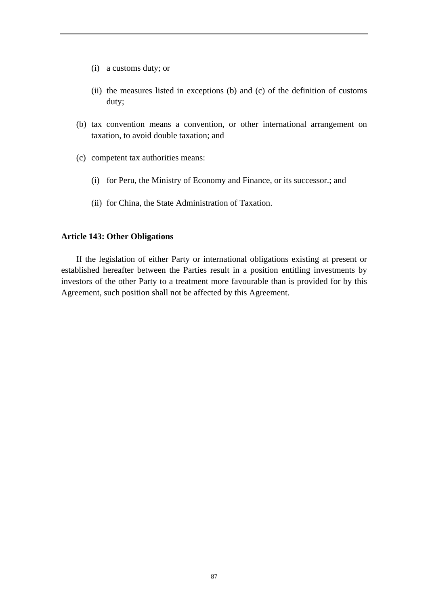- (i) a customs duty; or
- (ii) the measures listed in exceptions (b) and (c) of the definition of customs duty;
- (b) tax convention means a convention, or other international arrangement on taxation, to avoid double taxation; and
- (c) competent tax authorities means:
	- (i) for Peru, the Ministry of Economy and Finance, or its successor.; and
	- (ii) for China, the State Administration of Taxation.

#### **Article 143: Other Obligations**

If the legislation of either Party or international obligations existing at present or established hereafter between the Parties result in a position entitling investments by investors of the other Party to a treatment more favourable than is provided for by this Agreement, such position shall not be affected by this Agreement.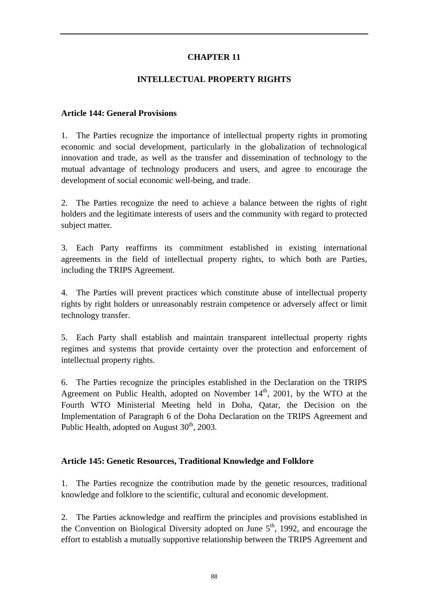# **CHAPTER 11**

# **INTELLECTUAL PROPERTY RIGHTS**

### **Article 144: General Provisions**

1. The Parties recognize the importance of intellectual property rights in promoting economic and social development, particularly in the globalization of technological innovation and trade, as well as the transfer and dissemination of technology to the mutual advantage of technology producers and users, and agree to encourage the development of social economic well-being, and trade.

2. The Parties recognize the need to achieve a balance between the rights of right holders and the legitimate interests of users and the community with regard to protected subject matter.

3. Each Party reaffirms its commitment established in existing international agreements in the field of intellectual property rights, to which both are Parties, including the TRIPS Agreement.

4. The Parties will prevent practices which constitute abuse of intellectual property rights by right holders or unreasonably restrain competence or adversely affect or limit technology transfer.

5. Each Party shall establish and maintain transparent intellectual property rights regimes and systems that provide certainty over the protection and enforcement of intellectual property rights.

6. The Parties recognize the principles established in the Declaration on the TRIPS Agreement on Public Health, adopted on November  $14<sup>th</sup>$ , 2001, by the WTO at the Fourth WTO Ministerial Meeting held in Doha, Qatar, the Decision on the Implementation of Paragraph 6 of the Doha Declaration on the TRIPS Agreement and Public Health, adopted on August  $30<sup>th</sup>$ , 2003.

#### **Article 145: Genetic Resources, Traditional Knowledge and Folklore**

1. The Parties recognize the contribution made by the genetic resources, traditional knowledge and folklore to the scientific, cultural and economic development.

2. The Parties acknowledge and reaffirm the principles and provisions established in the Convention on Biological Diversity adopted on June  $5<sup>th</sup>$ , 1992, and encourage the effort to establish a mutually supportive relationship between the TRIPS Agreement and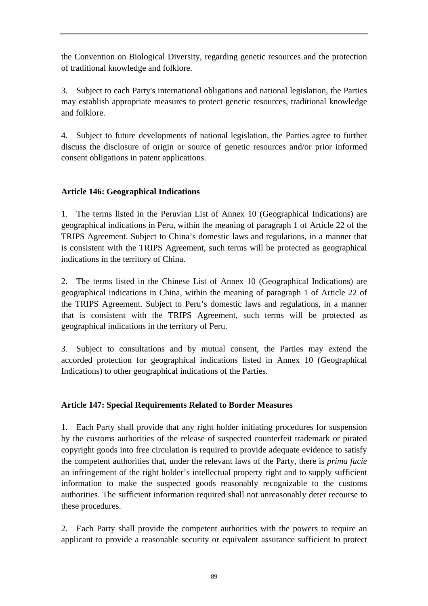the Convention on Biological Diversity, regarding genetic resources and the protection of traditional knowledge and folklore.

3. Subject to each Party's international obligations and national legislation, the Parties may establish appropriate measures to protect genetic resources, traditional knowledge and folklore.

4. Subject to future developments of national legislation, the Parties agree to further discuss the disclosure of origin or source of genetic resources and/or prior informed consent obligations in patent applications.

# **Article 146: Geographical Indications**

1. The terms listed in the Peruvian List of Annex 10 (Geographical Indications) are geographical indications in Peru, within the meaning of paragraph 1 of Article 22 of the TRIPS Agreement. Subject to China's domestic laws and regulations, in a manner that is consistent with the TRIPS Agreement, such terms will be protected as geographical indications in the territory of China.

2. The terms listed in the Chinese List of Annex 10 (Geographical Indications) are geographical indications in China, within the meaning of paragraph 1 of Article 22 of the TRIPS Agreement. Subject to Peru's domestic laws and regulations, in a manner that is consistent with the TRIPS Agreement, such terms will be protected as geographical indications in the territory of Peru.

3. Subject to consultations and by mutual consent, the Parties may extend the accorded protection for geographical indications listed in Annex 10 (Geographical Indications) to other geographical indications of the Parties.

## **Article 147: Special Requirements Related to Border Measures**

1. Each Party shall provide that any right holder initiating procedures for suspension by the customs authorities of the release of suspected counterfeit trademark or pirated copyright goods into free circulation is required to provide adequate evidence to satisfy the competent authorities that, under the relevant laws of the Party, there is *prima facie* an infringement of the right holder's intellectual property right and to supply sufficient information to make the suspected goods reasonably recognizable to the customs authorities. The sufficient information required shall not unreasonably deter recourse to these procedures.

2. Each Party shall provide the competent authorities with the powers to require an applicant to provide a reasonable security or equivalent assurance sufficient to protect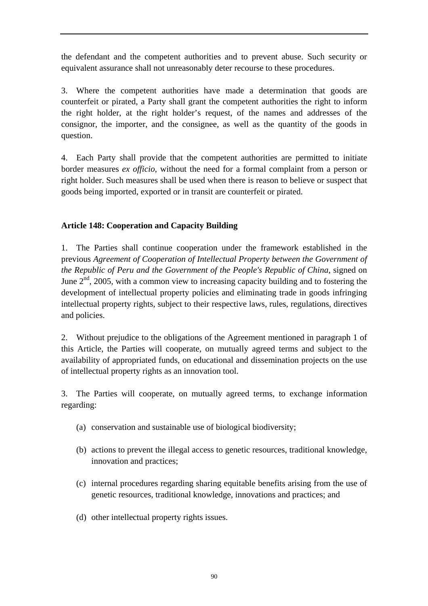the defendant and the competent authorities and to prevent abuse. Such security or equivalent assurance shall not unreasonably deter recourse to these procedures.

3. Where the competent authorities have made a determination that goods are counterfeit or pirated, a Party shall grant the competent authorities the right to inform the right holder, at the right holder's request, of the names and addresses of the consignor, the importer, and the consignee, as well as the quantity of the goods in question.

4. Each Party shall provide that the competent authorities are permitted to initiate border measures *ex officio*, without the need for a formal complaint from a person or right holder. Such measures shall be used when there is reason to believe or suspect that goods being imported, exported or in transit are counterfeit or pirated.

# **Article 148: Cooperation and Capacity Building**

1. The Parties shall continue cooperation under the framework established in the previous *Agreement of Cooperation of Intellectual Property between the Government of the Republic of Peru and the Government of the People's Republic of China*, signed on June  $2<sup>nd</sup>$ , 2005, with a common view to increasing capacity building and to fostering the development of intellectual property policies and eliminating trade in goods infringing intellectual property rights, subject to their respective laws, rules, regulations, directives and policies.

2. Without prejudice to the obligations of the Agreement mentioned in paragraph 1 of this Article, the Parties will cooperate, on mutually agreed terms and subject to the availability of appropriated funds, on educational and dissemination projects on the use of intellectual property rights as an innovation tool.

3. The Parties will cooperate, on mutually agreed terms, to exchange information regarding:

- (a) conservation and sustainable use of biological biodiversity;
- (b) actions to prevent the illegal access to genetic resources, traditional knowledge, innovation and practices;
- (c) internal procedures regarding sharing equitable benefits arising from the use of genetic resources, traditional knowledge, innovations and practices; and
- (d) other intellectual property rights issues.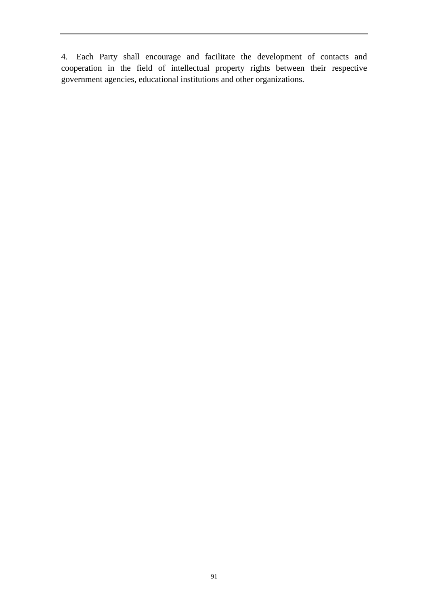4. Each Party shall encourage and facilitate the development of contacts and cooperation in the field of intellectual property rights between their respective government agencies, educational institutions and other organizations.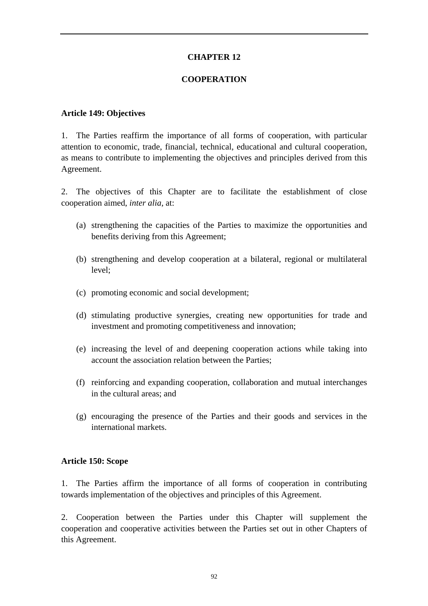### **CHAPTER 12**

#### **COOPERATION**

#### **Article 149: Objectives**

1. The Parties reaffirm the importance of all forms of cooperation, with particular attention to economic, trade, financial, technical, educational and cultural cooperation, as means to contribute to implementing the objectives and principles derived from this Agreement.

2. The objectives of this Chapter are to facilitate the establishment of close cooperation aimed, *inter alia*, at:

- (a) strengthening the capacities of the Parties to maximize the opportunities and benefits deriving from this Agreement;
- (b) strengthening and develop cooperation at a bilateral, regional or multilateral level;
- (c) promoting economic and social development;
- (d) stimulating productive synergies, creating new opportunities for trade and investment and promoting competitiveness and innovation;
- (e) increasing the level of and deepening cooperation actions while taking into account the association relation between the Parties;
- (f) reinforcing and expanding cooperation, collaboration and mutual interchanges in the cultural areas; and
- (g) encouraging the presence of the Parties and their goods and services in the international markets.

#### **Article 150: Scope**

1. The Parties affirm the importance of all forms of cooperation in contributing towards implementation of the objectives and principles of this Agreement.

2. Cooperation between the Parties under this Chapter will supplement the cooperation and cooperative activities between the Parties set out in other Chapters of this Agreement.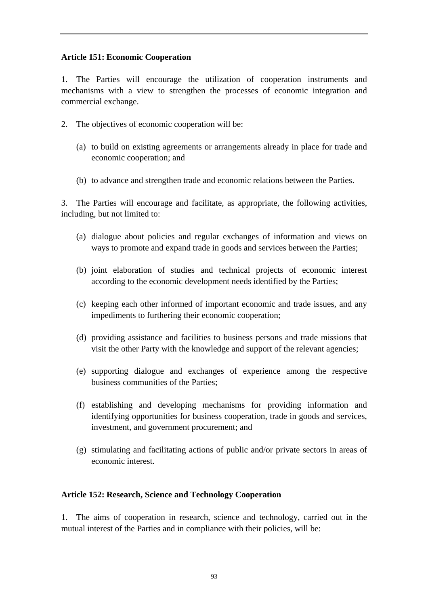### **Article 151: Economic Cooperation**

1. The Parties will encourage the utilization of cooperation instruments and mechanisms with a view to strengthen the processes of economic integration and commercial exchange.

- 2. The objectives of economic cooperation will be:
	- (a) to build on existing agreements or arrangements already in place for trade and economic cooperation; and
	- (b) to advance and strengthen trade and economic relations between the Parties.

3. The Parties will encourage and facilitate, as appropriate, the following activities, including, but not limited to:

- (a) dialogue about policies and regular exchanges of information and views on ways to promote and expand trade in goods and services between the Parties;
- (b) joint elaboration of studies and technical projects of economic interest according to the economic development needs identified by the Parties;
- (c) keeping each other informed of important economic and trade issues, and any impediments to furthering their economic cooperation;
- (d) providing assistance and facilities to business persons and trade missions that visit the other Party with the knowledge and support of the relevant agencies;
- (e) supporting dialogue and exchanges of experience among the respective business communities of the Parties;
- (f) establishing and developing mechanisms for providing information and identifying opportunities for business cooperation, trade in goods and services, investment, and government procurement; and
- (g) stimulating and facilitating actions of public and/or private sectors in areas of economic interest.

#### **Article 152: Research, Science and Technology Cooperation**

1. The aims of cooperation in research, science and technology, carried out in the mutual interest of the Parties and in compliance with their policies, will be: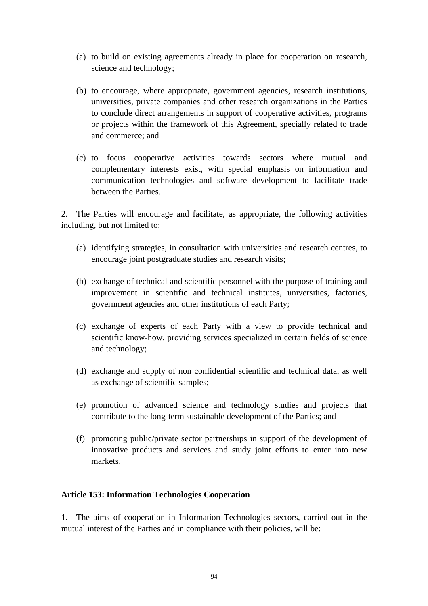- (a) to build on existing agreements already in place for cooperation on research, science and technology;
- (b) to encourage, where appropriate, government agencies, research institutions, universities, private companies and other research organizations in the Parties to conclude direct arrangements in support of cooperative activities, programs or projects within the framework of this Agreement, specially related to trade and commerce; and
- (c) to focus cooperative activities towards sectors where mutual and complementary interests exist, with special emphasis on information and communication technologies and software development to facilitate trade between the Parties.

2. The Parties will encourage and facilitate, as appropriate, the following activities including, but not limited to:

- (a) identifying strategies, in consultation with universities and research centres, to encourage joint postgraduate studies and research visits;
- (b) exchange of technical and scientific personnel with the purpose of training and improvement in scientific and technical institutes, universities, factories, government agencies and other institutions of each Party;
- (c) exchange of experts of each Party with a view to provide technical and scientific know-how, providing services specialized in certain fields of science and technology;
- (d) exchange and supply of non confidential scientific and technical data, as well as exchange of scientific samples;
- (e) promotion of advanced science and technology studies and projects that contribute to the long-term sustainable development of the Parties; and
- (f) promoting public/private sector partnerships in support of the development of innovative products and services and study joint efforts to enter into new markets.

## **Article 153: Information Technologies Cooperation**

1. The aims of cooperation in Information Technologies sectors, carried out in the mutual interest of the Parties and in compliance with their policies, will be: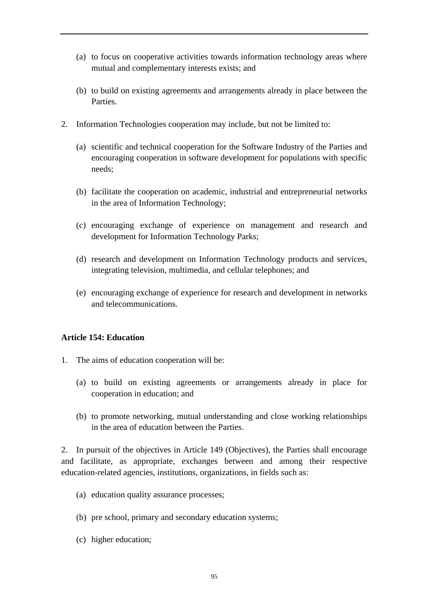- (a) to focus on cooperative activities towards information technology areas where mutual and complementary interests exists; and
- (b) to build on existing agreements and arrangements already in place between the Parties.
- 2. Information Technologies cooperation may include, but not be limited to:
	- (a) scientific and technical cooperation for the Software Industry of the Parties and encouraging cooperation in software development for populations with specific needs;
	- (b) facilitate the cooperation on academic, industrial and entrepreneurial networks in the area of Information Technology;
	- (c) encouraging exchange of experience on management and research and development for Information Technology Parks;
	- (d) research and development on Information Technology products and services, integrating television, multimedia, and cellular telephones; and
	- (e) encouraging exchange of experience for research and development in networks and telecommunications.

## **Article 154: Education**

- 1. The aims of education cooperation will be:
	- (a) to build on existing agreements or arrangements already in place for cooperation in education; and
	- (b) to promote networking, mutual understanding and close working relationships in the area of education between the Parties.

2. In pursuit of the objectives in Article 149 (Objectives), the Parties shall encourage and facilitate, as appropriate, exchanges between and among their respective education-related agencies, institutions, organizations, in fields such as:

- (a) education quality assurance processes;
- (b) pre school, primary and secondary education systems;
- (c) higher education;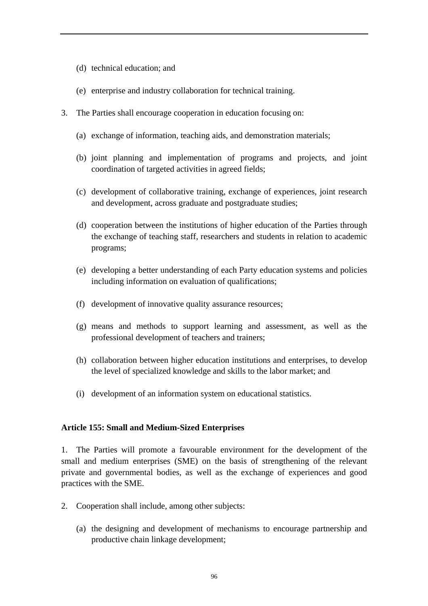- (d) technical education; and
- (e) enterprise and industry collaboration for technical training.
- 3. The Parties shall encourage cooperation in education focusing on:
	- (a) exchange of information, teaching aids, and demonstration materials;
	- (b) joint planning and implementation of programs and projects, and joint coordination of targeted activities in agreed fields;
	- (c) development of collaborative training, exchange of experiences, joint research and development, across graduate and postgraduate studies;
	- (d) cooperation between the institutions of higher education of the Parties through the exchange of teaching staff, researchers and students in relation to academic programs;
	- (e) developing a better understanding of each Party education systems and policies including information on evaluation of qualifications;
	- (f) development of innovative quality assurance resources;
	- (g) means and methods to support learning and assessment, as well as the professional development of teachers and trainers;
	- (h) collaboration between higher education institutions and enterprises, to develop the level of specialized knowledge and skills to the labor market; and
	- (i) development of an information system on educational statistics.

## **Article 155: Small and Medium-Sized Enterprises**

1. The Parties will promote a favourable environment for the development of the small and medium enterprises (SME) on the basis of strengthening of the relevant private and governmental bodies, as well as the exchange of experiences and good practices with the SME.

- 2. Cooperation shall include, among other subjects:
	- (a) the designing and development of mechanisms to encourage partnership and productive chain linkage development;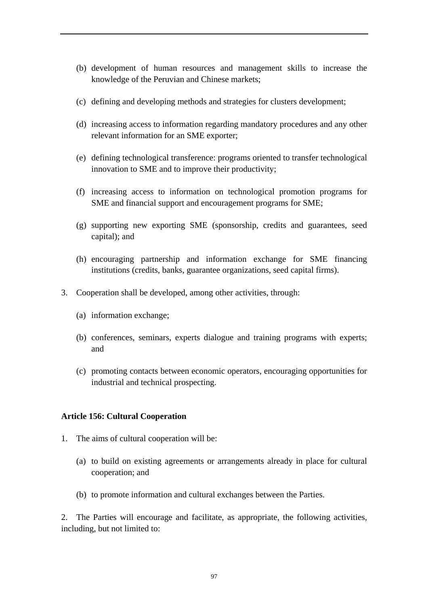- (b) development of human resources and management skills to increase the knowledge of the Peruvian and Chinese markets;
- (c) defining and developing methods and strategies for clusters development;
- (d) increasing access to information regarding mandatory procedures and any other relevant information for an SME exporter;
- (e) defining technological transference: programs oriented to transfer technological innovation to SME and to improve their productivity;
- (f) increasing access to information on technological promotion programs for SME and financial support and encouragement programs for SME;
- (g) supporting new exporting SME (sponsorship, credits and guarantees, seed capital); and
- (h) encouraging partnership and information exchange for SME financing institutions (credits, banks, guarantee organizations, seed capital firms).
- 3. Cooperation shall be developed, among other activities, through:
	- (a) information exchange;
	- (b) conferences, seminars, experts dialogue and training programs with experts; and
	- (c) promoting contacts between economic operators, encouraging opportunities for industrial and technical prospecting.

#### **Article 156: Cultural Cooperation**

- 1. The aims of cultural cooperation will be:
	- (a) to build on existing agreements or arrangements already in place for cultural cooperation; and
	- (b) to promote information and cultural exchanges between the Parties.

2. The Parties will encourage and facilitate, as appropriate, the following activities, including, but not limited to: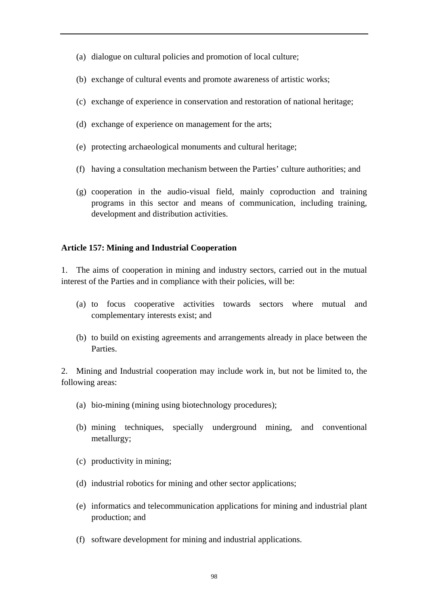- (a) dialogue on cultural policies and promotion of local culture;
- (b) exchange of cultural events and promote awareness of artistic works;
- (c) exchange of experience in conservation and restoration of national heritage;
- (d) exchange of experience on management for the arts;
- (e) protecting archaeological monuments and cultural heritage;
- (f) having a consultation mechanism between the Parties' culture authorities; and
- (g) cooperation in the audio-visual field, mainly coproduction and training programs in this sector and means of communication, including training, development and distribution activities.

#### **Article 157: Mining and Industrial Cooperation**

1. The aims of cooperation in mining and industry sectors, carried out in the mutual interest of the Parties and in compliance with their policies, will be:

- (a) to focus cooperative activities towards sectors where mutual and complementary interests exist; and
- (b) to build on existing agreements and arrangements already in place between the Parties.

2. Mining and Industrial cooperation may include work in, but not be limited to, the following areas:

- (a) bio-mining (mining using biotechnology procedures);
- (b) mining techniques, specially underground mining, and conventional metallurgy;
- (c) productivity in mining;
- (d) industrial robotics for mining and other sector applications;
- (e) informatics and telecommunication applications for mining and industrial plant production; and
- (f) software development for mining and industrial applications.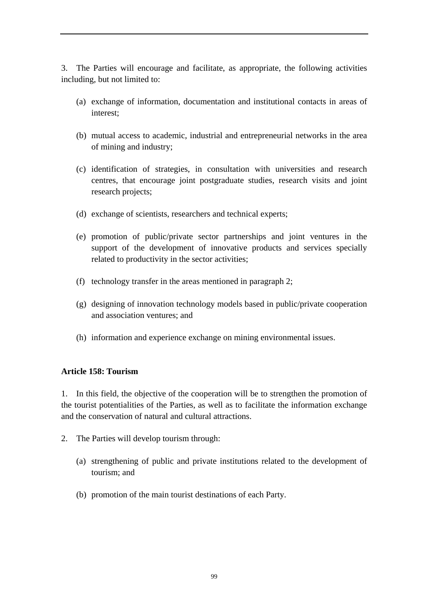3. The Parties will encourage and facilitate, as appropriate, the following activities including, but not limited to:

- (a) exchange of information, documentation and institutional contacts in areas of interest;
- (b) mutual access to academic, industrial and entrepreneurial networks in the area of mining and industry;
- (c) identification of strategies, in consultation with universities and research centres, that encourage joint postgraduate studies, research visits and joint research projects;
- (d) exchange of scientists, researchers and technical experts;
- (e) promotion of public/private sector partnerships and joint ventures in the support of the development of innovative products and services specially related to productivity in the sector activities;
- (f) technology transfer in the areas mentioned in paragraph 2;
- (g) designing of innovation technology models based in public/private cooperation and association ventures; and
- (h) information and experience exchange on mining environmental issues.

### **Article 158: Tourism**

1. In this field, the objective of the cooperation will be to strengthen the promotion of the tourist potentialities of the Parties, as well as to facilitate the information exchange and the conservation of natural and cultural attractions.

- 2. The Parties will develop tourism through:
	- (a) strengthening of public and private institutions related to the development of tourism; and
	- (b) promotion of the main tourist destinations of each Party.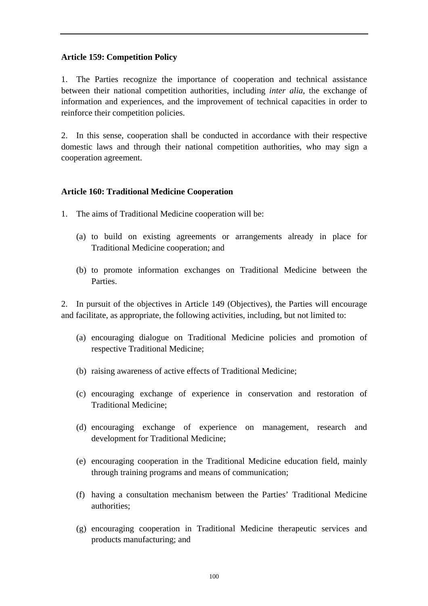### **Article 159: Competition Policy**

1. The Parties recognize the importance of cooperation and technical assistance between their national competition authorities, including *inter alia*, the exchange of information and experiences, and the improvement of technical capacities in order to reinforce their competition policies.

2. In this sense, cooperation shall be conducted in accordance with their respective domestic laws and through their national competition authorities, who may sign a cooperation agreement.

## **Article 160: Traditional Medicine Cooperation**

- 1. The aims of Traditional Medicine cooperation will be:
	- (a) to build on existing agreements or arrangements already in place for Traditional Medicine cooperation; and
	- (b) to promote information exchanges on Traditional Medicine between the Parties.

2. In pursuit of the objectives in Article 149 (Objectives), the Parties will encourage and facilitate, as appropriate, the following activities, including, but not limited to:

- (a) encouraging dialogue on Traditional Medicine policies and promotion of respective Traditional Medicine;
- (b) raising awareness of active effects of Traditional Medicine;
- (c) encouraging exchange of experience in conservation and restoration of Traditional Medicine;
- (d) encouraging exchange of experience on management, research and development for Traditional Medicine;
- (e) encouraging cooperation in the Traditional Medicine education field, mainly through training programs and means of communication;
- (f) having a consultation mechanism between the Parties' Traditional Medicine authorities;
- (g) encouraging cooperation in Traditional Medicine therapeutic services and products manufacturing; and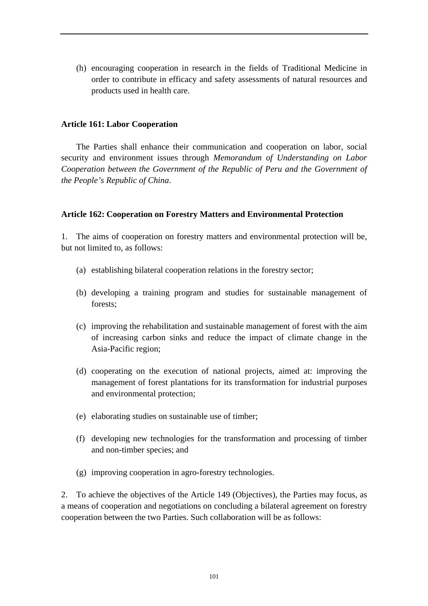(h) encouraging cooperation in research in the fields of Traditional Medicine in order to contribute in efficacy and safety assessments of natural resources and products used in health care.

#### **Article 161: Labor Cooperation**

The Parties shall enhance their communication and cooperation on labor, social security and environment issues through *Memorandum of Understanding on Labor Cooperation between the Government of the Republic of Peru and the Government of the People's Republic of China*.

#### **Article 162: Cooperation on Forestry Matters and Environmental Protection**

1. The aims of cooperation on forestry matters and environmental protection will be, but not limited to, as follows:

- (a) establishing bilateral cooperation relations in the forestry sector;
- (b) developing a training program and studies for sustainable management of forests;
- (c) improving the rehabilitation and sustainable management of forest with the aim of increasing carbon sinks and reduce the impact of climate change in the Asia-Pacific region;
- (d) cooperating on the execution of national projects, aimed at: improving the management of forest plantations for its transformation for industrial purposes and environmental protection;
- (e) elaborating studies on sustainable use of timber;
- (f) developing new technologies for the transformation and processing of timber and non-timber species; and
- (g) improving cooperation in agro-forestry technologies.

2. To achieve the objectives of the Article 149 (Objectives), the Parties may focus, as a means of cooperation and negotiations on concluding a bilateral agreement on forestry cooperation between the two Parties. Such collaboration will be as follows: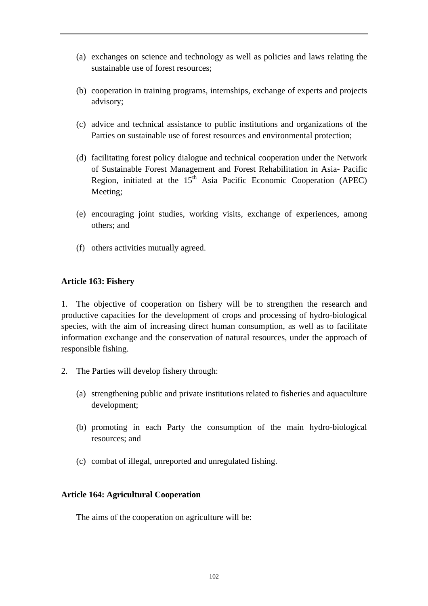- (a) exchanges on science and technology as well as policies and laws relating the sustainable use of forest resources;
- (b) cooperation in training programs, internships, exchange of experts and projects advisory;
- (c) advice and technical assistance to public institutions and organizations of the Parties on sustainable use of forest resources and environmental protection;
- (d) facilitating forest policy dialogue and technical cooperation under the Network of Sustainable Forest Management and Forest Rehabilitation in Asia- Pacific Region, initiated at the  $15<sup>th</sup>$  Asia Pacific Economic Cooperation (APEC) Meeting;
- (e) encouraging joint studies, working visits, exchange of experiences, among others; and
- (f) others activities mutually agreed.

### **Article 163: Fishery**

1. The objective of cooperation on fishery will be to strengthen the research and productive capacities for the development of crops and processing of hydro-biological species, with the aim of increasing direct human consumption, as well as to facilitate information exchange and the conservation of natural resources, under the approach of responsible fishing.

- 2. The Parties will develop fishery through:
	- (a) strengthening public and private institutions related to fisheries and aquaculture development;
	- (b) promoting in each Party the consumption of the main hydro-biological resources; and
	- (c) combat of illegal, unreported and unregulated fishing.

#### **Article 164: Agricultural Cooperation**

The aims of the cooperation on agriculture will be: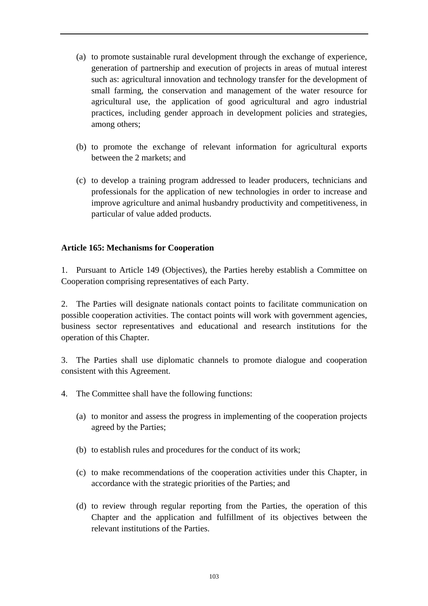- (a) to promote sustainable rural development through the exchange of experience, generation of partnership and execution of projects in areas of mutual interest such as: agricultural innovation and technology transfer for the development of small farming, the conservation and management of the water resource for agricultural use, the application of good agricultural and agro industrial practices, including gender approach in development policies and strategies, among others;
- (b) to promote the exchange of relevant information for agricultural exports between the 2 markets; and
- (c) to develop a training program addressed to leader producers, technicians and professionals for the application of new technologies in order to increase and improve agriculture and animal husbandry productivity and competitiveness, in particular of value added products.

## **Article 165: Mechanisms for Cooperation**

1. Pursuant to Article 149 (Objectives), the Parties hereby establish a Committee on Cooperation comprising representatives of each Party.

2. The Parties will designate nationals contact points to facilitate communication on possible cooperation activities. The contact points will work with government agencies, business sector representatives and educational and research institutions for the operation of this Chapter.

3. The Parties shall use diplomatic channels to promote dialogue and cooperation consistent with this Agreement.

- 4. The Committee shall have the following functions:
	- (a) to monitor and assess the progress in implementing of the cooperation projects agreed by the Parties;
	- (b) to establish rules and procedures for the conduct of its work;
	- (c) to make recommendations of the cooperation activities under this Chapter, in accordance with the strategic priorities of the Parties; and
	- (d) to review through regular reporting from the Parties, the operation of this Chapter and the application and fulfillment of its objectives between the relevant institutions of the Parties.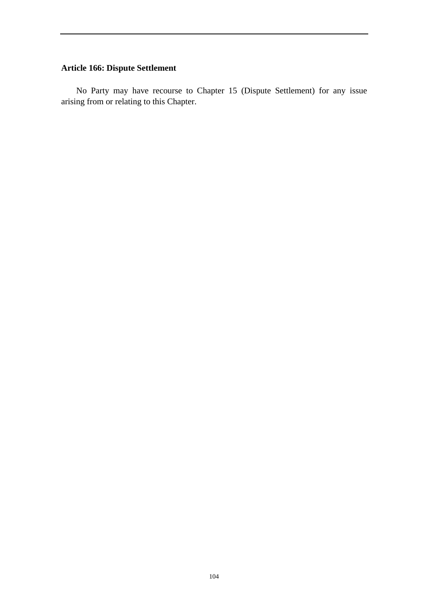# **Article 166: Dispute Settlement**

No Party may have recourse to Chapter 15 (Dispute Settlement) for any issue arising from or relating to this Chapter.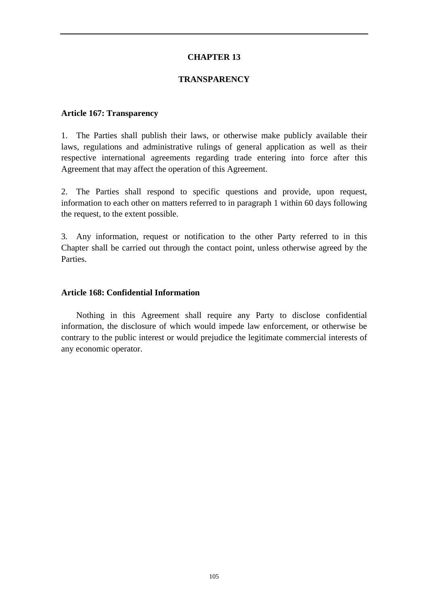### **CHAPTER 13**

#### **TRANSPARENCY**

#### **Article 167: Transparency**

1. The Parties shall publish their laws, or otherwise make publicly available their laws, regulations and administrative rulings of general application as well as their respective international agreements regarding trade entering into force after this Agreement that may affect the operation of this Agreement.

2. The Parties shall respond to specific questions and provide, upon request, information to each other on matters referred to in paragraph 1 within 60 days following the request, to the extent possible.

3. Any information, request or notification to the other Party referred to in this Chapter shall be carried out through the contact point, unless otherwise agreed by the Parties.

#### **Article 168: Confidential Information**

 Nothing in this Agreement shall require any Party to disclose confidential information, the disclosure of which would impede law enforcement, or otherwise be contrary to the public interest or would prejudice the legitimate commercial interests of any economic operator.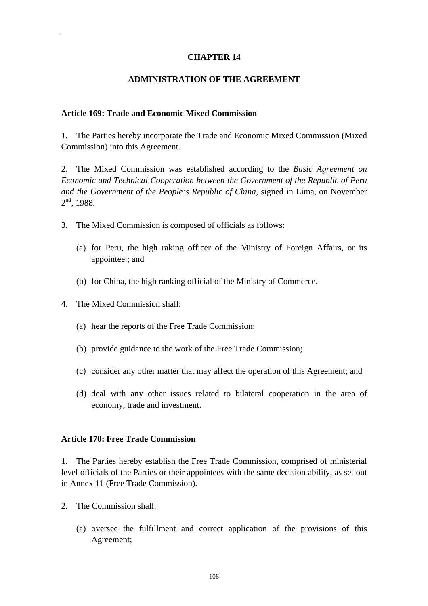## **CHAPTER 14**

## **ADMINISTRATION OF THE AGREEMENT**

### **Article 169: Trade and Economic Mixed Commission**

1. The Parties hereby incorporate the Trade and Economic Mixed Commission (Mixed Commission) into this Agreement.

2. The Mixed Commission was established according to the *Basic Agreement on Economic and Technical Cooperation between the Government of the Republic of Peru and the Government of the People's Republic of China*, signed in Lima, on November  $2<sup>nd</sup>$ , 1988.

- 3. The Mixed Commission is composed of officials as follows:
	- (a) for Peru, the high raking officer of the Ministry of Foreign Affairs, or its appointee.; and
	- (b) for China, the high ranking official of the Ministry of Commerce.
- 4. The Mixed Commission shall:
	- (a) hear the reports of the Free Trade Commission;
	- (b) provide guidance to the work of the Free Trade Commission;
	- (c) consider any other matter that may affect the operation of this Agreement; and
	- (d) deal with any other issues related to bilateral cooperation in the area of economy, trade and investment.

#### **Article 170: Free Trade Commission**

1. The Parties hereby establish the Free Trade Commission, comprised of ministerial level officials of the Parties or their appointees with the same decision ability, as set out in Annex 11 (Free Trade Commission).

- 2. The Commission shall:
	- (a) oversee the fulfillment and correct application of the provisions of this Agreement;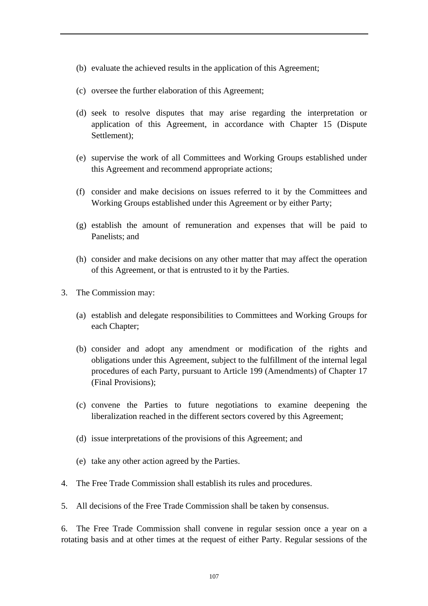- (b) evaluate the achieved results in the application of this Agreement;
- (c) oversee the further elaboration of this Agreement;
- (d) seek to resolve disputes that may arise regarding the interpretation or application of this Agreement, in accordance with Chapter 15 (Dispute Settlement);
- (e) supervise the work of all Committees and Working Groups established under this Agreement and recommend appropriate actions;
- (f) consider and make decisions on issues referred to it by the Committees and Working Groups established under this Agreement or by either Party;
- (g) establish the amount of remuneration and expenses that will be paid to Panelists; and
- (h) consider and make decisions on any other matter that may affect the operation of this Agreement, or that is entrusted to it by the Parties.
- 3. The Commission may:
	- (a) establish and delegate responsibilities to Committees and Working Groups for each Chapter;
	- (b) consider and adopt any amendment or modification of the rights and obligations under this Agreement, subject to the fulfillment of the internal legal procedures of each Party, pursuant to Article 199 (Amendments) of Chapter 17 (Final Provisions);
	- (c) convene the Parties to future negotiations to examine deepening the liberalization reached in the different sectors covered by this Agreement;
	- (d) issue interpretations of the provisions of this Agreement; and
	- (e) take any other action agreed by the Parties.
- 4. The Free Trade Commission shall establish its rules and procedures.
- 5. All decisions of the Free Trade Commission shall be taken by consensus.

6. The Free Trade Commission shall convene in regular session once a year on a rotating basis and at other times at the request of either Party. Regular sessions of the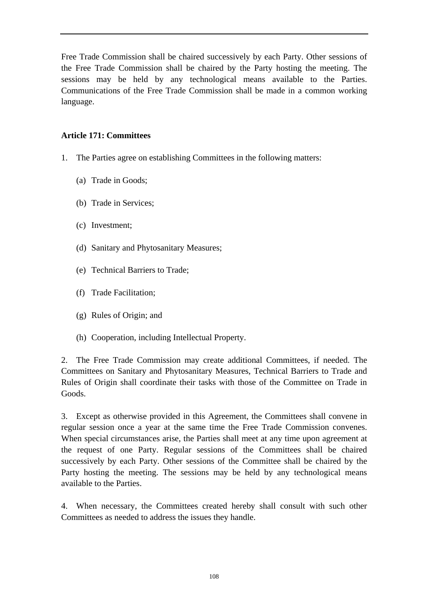Free Trade Commission shall be chaired successively by each Party. Other sessions of the Free Trade Commission shall be chaired by the Party hosting the meeting. The sessions may be held by any technological means available to the Parties. Communications of the Free Trade Commission shall be made in a common working language.

# **Article 171: Committees**

- 1. The Parties agree on establishing Committees in the following matters:
	- (a) Trade in Goods;
	- (b) Trade in Services;
	- (c) Investment;
	- (d) Sanitary and Phytosanitary Measures;
	- (e) Technical Barriers to Trade;
	- (f) Trade Facilitation;
	- (g) Rules of Origin; and
	- (h) Cooperation, including Intellectual Property.

2. The Free Trade Commission may create additional Committees, if needed. The Committees on Sanitary and Phytosanitary Measures, Technical Barriers to Trade and Rules of Origin shall coordinate their tasks with those of the Committee on Trade in Goods.

3. Except as otherwise provided in this Agreement, the Committees shall convene in regular session once a year at the same time the Free Trade Commission convenes. When special circumstances arise, the Parties shall meet at any time upon agreement at the request of one Party. Regular sessions of the Committees shall be chaired successively by each Party. Other sessions of the Committee shall be chaired by the Party hosting the meeting. The sessions may be held by any technological means available to the Parties.

4. When necessary, the Committees created hereby shall consult with such other Committees as needed to address the issues they handle.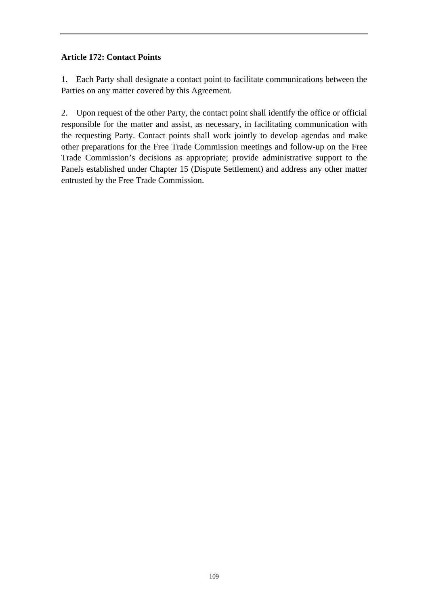# **Article 172: Contact Points**

1. Each Party shall designate a contact point to facilitate communications between the Parties on any matter covered by this Agreement.

2. Upon request of the other Party, the contact point shall identify the office or official responsible for the matter and assist, as necessary, in facilitating communication with the requesting Party. Contact points shall work jointly to develop agendas and make other preparations for the Free Trade Commission meetings and follow-up on the Free Trade Commission's decisions as appropriate; provide administrative support to the Panels established under Chapter 15 (Dispute Settlement) and address any other matter entrusted by the Free Trade Commission.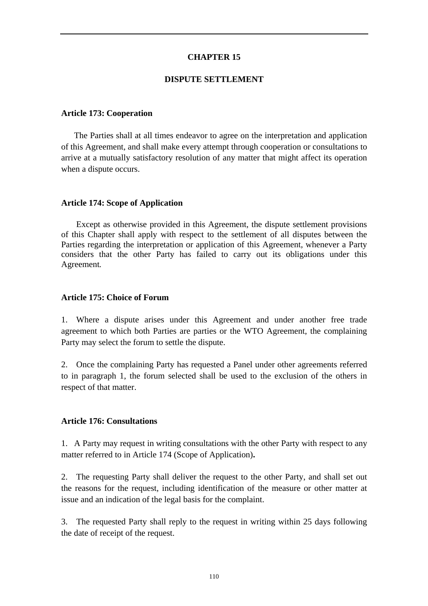### **CHAPTER 15**

### **DISPUTE SETTLEMENT**

#### **Article 173: Cooperation**

 The Parties shall at all times endeavor to agree on the interpretation and application of this Agreement, and shall make every attempt through cooperation or consultations to arrive at a mutually satisfactory resolution of any matter that might affect its operation when a dispute occurs.

#### **Article 174: Scope of Application**

Except as otherwise provided in this Agreement, the dispute settlement provisions of this Chapter shall apply with respect to the settlement of all disputes between the Parties regarding the interpretation or application of this Agreement, whenever a Party considers that the other Party has failed to carry out its obligations under this Agreement*.* 

#### **Article 175: Choice of Forum**

1. Where a dispute arises under this Agreement and under another free trade agreement to which both Parties are parties or the WTO Agreement, the complaining Party may select the forum to settle the dispute.

2. Once the complaining Party has requested a Panel under other agreements referred to in paragraph 1, the forum selected shall be used to the exclusion of the others in respect of that matter.

### **Article 176: Consultations**

1. A Party may request in writing consultations with the other Party with respect to any matter referred to in Article 174 (Scope of Application)**.**

2. The requesting Party shall deliver the request to the other Party, and shall set out the reasons for the request, including identification of the measure or other matter at issue and an indication of the legal basis for the complaint.

3. The requested Party shall reply to the request in writing within 25 days following the date of receipt of the request.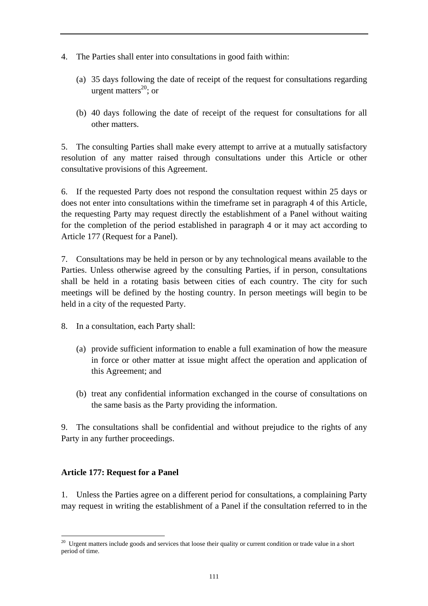- 4. The Parties shall enter into consultations in good faith within:
	- (a) 35 days following the date of receipt of the request for consultations regarding urgent matters $^{20}$ ; or
	- (b) 40 days following the date of receipt of the request for consultations for all other matters.

5. The consulting Parties shall make every attempt to arrive at a mutually satisfactory resolution of any matter raised through consultations under this Article or other consultative provisions of this Agreement.

6. If the requested Party does not respond the consultation request within 25 days or does not enter into consultations within the timeframe set in paragraph 4 of this Article, the requesting Party may request directly the establishment of a Panel without waiting for the completion of the period established in paragraph 4 or it may act according to Article 177 (Request for a Panel).

7. Consultations may be held in person or by any technological means available to the Parties. Unless otherwise agreed by the consulting Parties, if in person, consultations shall be held in a rotating basis between cities of each country. The city for such meetings will be defined by the hosting country. In person meetings will begin to be held in a city of the requested Party.

8. In a consultation, each Party shall:

- (a) provide sufficient information to enable a full examination of how the measure in force or other matter at issue might affect the operation and application of this Agreement; and
- (b) treat any confidential information exchanged in the course of consultations on the same basis as the Party providing the information.

9. The consultations shall be confidential and without prejudice to the rights of any Party in any further proceedings.

## **Article 177: Request for a Panel**

 $\overline{a}$ 

1. Unless the Parties agree on a different period for consultations, a complaining Party may request in writing the establishment of a Panel if the consultation referred to in the

<sup>&</sup>lt;sup>20</sup> Urgent matters include goods and services that loose their quality or current condition or trade value in a short period of time.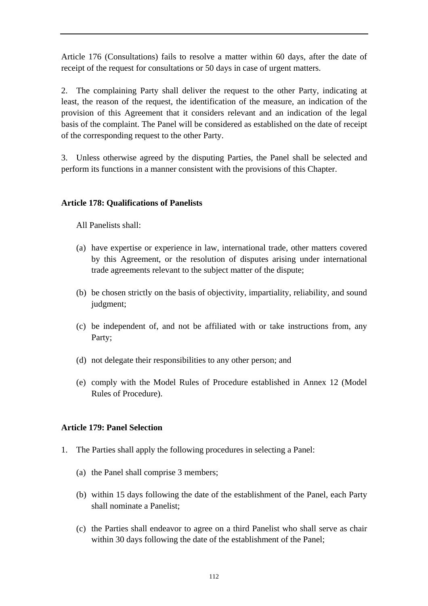Article 176 (Consultations) fails to resolve a matter within 60 days, after the date of receipt of the request for consultations or 50 days in case of urgent matters.

2. The complaining Party shall deliver the request to the other Party, indicating at least, the reason of the request, the identification of the measure, an indication of the provision of this Agreement that it considers relevant and an indication of the legal basis of the complaint. The Panel will be considered as established on the date of receipt of the corresponding request to the other Party.

3. Unless otherwise agreed by the disputing Parties, the Panel shall be selected and perform its functions in a manner consistent with the provisions of this Chapter.

# **Article 178: Qualifications of Panelists**

All Panelists shall:

- (a) have expertise or experience in law, international trade, other matters covered by this Agreement, or the resolution of disputes arising under international trade agreements relevant to the subject matter of the dispute;
- (b) be chosen strictly on the basis of objectivity, impartiality, reliability, and sound judgment;
- (c) be independent of, and not be affiliated with or take instructions from, any Party;
- (d) not delegate their responsibilities to any other person; and
- (e) comply with the Model Rules of Procedure established in Annex 12 (Model Rules of Procedure).

## **Article 179: Panel Selection**

- 1. The Parties shall apply the following procedures in selecting a Panel:
	- (a) the Panel shall comprise 3 members;
	- (b) within 15 days following the date of the establishment of the Panel, each Party shall nominate a Panelist;
	- (c) the Parties shall endeavor to agree on a third Panelist who shall serve as chair within 30 days following the date of the establishment of the Panel;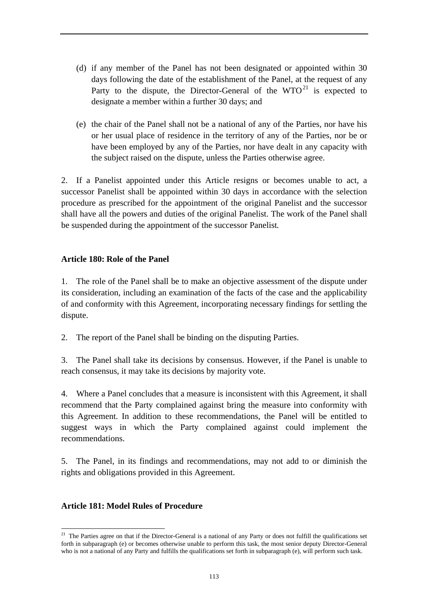- (d) if any member of the Panel has not been designated or appointed within 30 days following the date of the establishment of the Panel, at the request of any Party to the dispute, the Director-General of the  $WTO^{21}$  is expected to designate a member within a further 30 days; and
- (e) the chair of the Panel shall not be a national of any of the Parties, nor have his or her usual place of residence in the territory of any of the Parties, nor be or have been employed by any of the Parties, nor have dealt in any capacity with the subject raised on the dispute, unless the Parties otherwise agree.

2. If a Panelist appointed under this Article resigns or becomes unable to act, a successor Panelist shall be appointed within 30 days in accordance with the selection procedure as prescribed for the appointment of the original Panelist and the successor shall have all the powers and duties of the original Panelist. The work of the Panel shall be suspended during the appointment of the successor Panelist*.* 

# **Article 180: Role of the Panel**

1. The role of the Panel shall be to make an objective assessment of the dispute under its consideration, including an examination of the facts of the case and the applicability of and conformity with this Agreement, incorporating necessary findings for settling the dispute.

2. The report of the Panel shall be binding on the disputing Parties.

3. The Panel shall take its decisions by consensus. However, if the Panel is unable to reach consensus, it may take its decisions by majority vote.

4. Where a Panel concludes that a measure is inconsistent with this Agreement, it shall recommend that the Party complained against bring the measure into conformity with this Agreement. In addition to these recommendations, the Panel will be entitled to suggest ways in which the Party complained against could implement the recommendations.

5. The Panel, in its findings and recommendations, may not add to or diminish the rights and obligations provided in this Agreement.

## **Article 181: Model Rules of Procedure**

 $\overline{a}$ 

<sup>&</sup>lt;sup>21</sup> The Parties agree on that if the Director-General is a national of any Party or does not fulfill the qualifications set forth in subparagraph (e) or becomes otherwise unable to perform this task, the most senior deputy Director-General who is not a national of any Party and fulfills the qualifications set forth in subparagraph (e), will perform such task.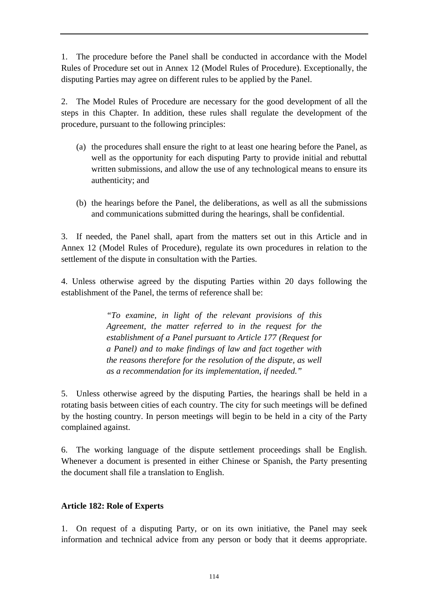1. The procedure before the Panel shall be conducted in accordance with the Model Rules of Procedure set out in Annex 12 (Model Rules of Procedure). Exceptionally, the disputing Parties may agree on different rules to be applied by the Panel.

2. The Model Rules of Procedure are necessary for the good development of all the steps in this Chapter. In addition, these rules shall regulate the development of the procedure, pursuant to the following principles:

- (a) the procedures shall ensure the right to at least one hearing before the Panel, as well as the opportunity for each disputing Party to provide initial and rebuttal written submissions, and allow the use of any technological means to ensure its authenticity; and
- (b) the hearings before the Panel, the deliberations, as well as all the submissions and communications submitted during the hearings, shall be confidential.

3. If needed, the Panel shall, apart from the matters set out in this Article and in Annex 12 (Model Rules of Procedure), regulate its own procedures in relation to the settlement of the dispute in consultation with the Parties.

4. Unless otherwise agreed by the disputing Parties within 20 days following the establishment of the Panel, the terms of reference shall be:

> *"To examine, in light of the relevant provisions of this Agreement, the matter referred to in the request for the establishment of a Panel pursuant to Article 177 (Request for a Panel) and to make findings of law and fact together with the reasons therefore for the resolution of the dispute, as well as a recommendation for its implementation, if needed."*

5. Unless otherwise agreed by the disputing Parties, the hearings shall be held in a rotating basis between cities of each country. The city for such meetings will be defined by the hosting country. In person meetings will begin to be held in a city of the Party complained against.

6. The working language of the dispute settlement proceedings shall be English. Whenever a document is presented in either Chinese or Spanish, the Party presenting the document shall file a translation to English.

## **Article 182: Role of Experts**

1. On request of a disputing Party, or on its own initiative, the Panel may seek information and technical advice from any person or body that it deems appropriate.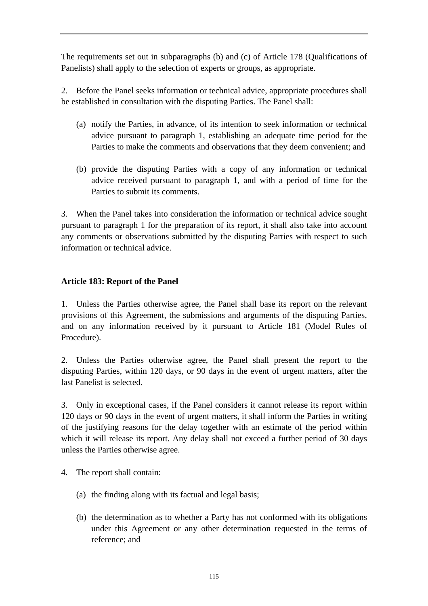The requirements set out in subparagraphs (b) and (c) of Article 178 (Qualifications of Panelists) shall apply to the selection of experts or groups, as appropriate.

2. Before the Panel seeks information or technical advice, appropriate procedures shall be established in consultation with the disputing Parties. The Panel shall:

- (a) notify the Parties, in advance, of its intention to seek information or technical advice pursuant to paragraph 1, establishing an adequate time period for the Parties to make the comments and observations that they deem convenient; and
- (b) provide the disputing Parties with a copy of any information or technical advice received pursuant to paragraph 1, and with a period of time for the Parties to submit its comments.

3. When the Panel takes into consideration the information or technical advice sought pursuant to paragraph 1 for the preparation of its report, it shall also take into account any comments or observations submitted by the disputing Parties with respect to such information or technical advice.

# **Article 183: Report of the Panel**

1. Unless the Parties otherwise agree, the Panel shall base its report on the relevant provisions of this Agreement, the submissions and arguments of the disputing Parties, and on any information received by it pursuant to Article 181 (Model Rules of Procedure).

2. Unless the Parties otherwise agree, the Panel shall present the report to the disputing Parties, within 120 days, or 90 days in the event of urgent matters, after the last Panelist is selected.

3*.* Only in exceptional cases, if the Panel considers it cannot release its report within 120 days or 90 days in the event of urgent matters, it shall inform the Parties in writing of the justifying reasons for the delay together with an estimate of the period within which it will release its report. Any delay shall not exceed a further period of 30 days unless the Parties otherwise agree.

- 4. The report shall contain:
	- (a) the finding along with its factual and legal basis;
	- (b) the determination as to whether a Party has not conformed with its obligations under this Agreement or any other determination requested in the terms of reference; and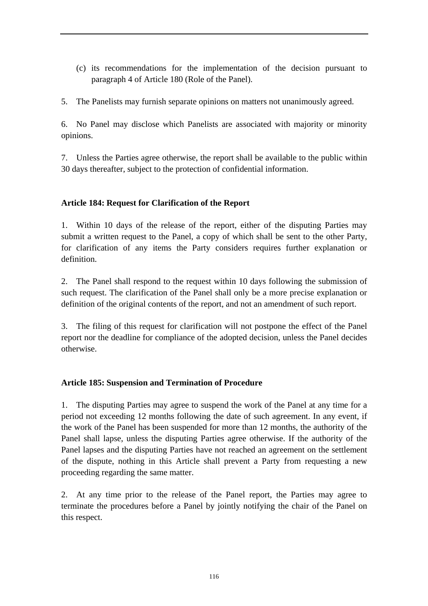(c) its recommendations for the implementation of the decision pursuant to paragraph 4 of Article 180 (Role of the Panel).

5. The Panelists may furnish separate opinions on matters not unanimously agreed.

6. No Panel may disclose which Panelists are associated with majority or minority opinions.

7. Unless the Parties agree otherwise, the report shall be available to the public within 30 days thereafter, subject to the protection of confidential information.

# **Article 184: Request for Clarification of the Report**

1. Within 10 days of the release of the report, either of the disputing Parties may submit a written request to the Panel, a copy of which shall be sent to the other Party, for clarification of any items the Party considers requires further explanation or definition.

2. The Panel shall respond to the request within 10 days following the submission of such request. The clarification of the Panel shall only be a more precise explanation or definition of the original contents of the report, and not an amendment of such report.

3. The filing of this request for clarification will not postpone the effect of the Panel report nor the deadline for compliance of the adopted decision, unless the Panel decides otherwise.

## **Article 185: Suspension and Termination of Procedure**

1. The disputing Parties may agree to suspend the work of the Panel at any time for a period not exceeding 12 months following the date of such agreement. In any event, if the work of the Panel has been suspended for more than 12 months, the authority of the Panel shall lapse, unless the disputing Parties agree otherwise. If the authority of the Panel lapses and the disputing Parties have not reached an agreement on the settlement of the dispute, nothing in this Article shall prevent a Party from requesting a new proceeding regarding the same matter.

2. At any time prior to the release of the Panel report, the Parties may agree to terminate the procedures before a Panel by jointly notifying the chair of the Panel on this respect.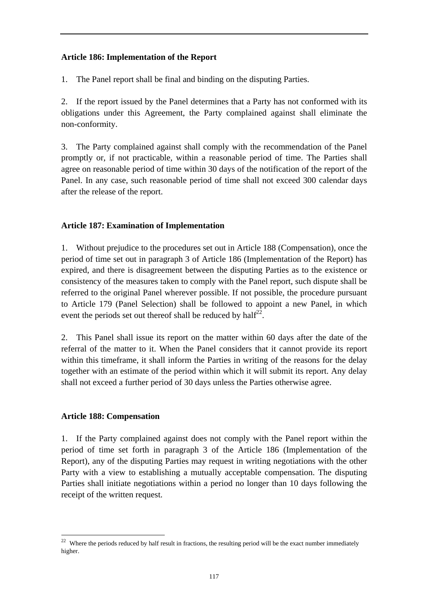# **Article 186: Implementation of the Report**

1. The Panel report shall be final and binding on the disputing Parties.

2. If the report issued by the Panel determines that a Party has not conformed with its obligations under this Agreement, the Party complained against shall eliminate the non-conformity.

3. The Party complained against shall comply with the recommendation of the Panel promptly or, if not practicable, within a reasonable period of time. The Parties shall agree on reasonable period of time within 30 days of the notification of the report of the Panel. In any case, such reasonable period of time shall not exceed 300 calendar days after the release of the report.

# **Article 187: Examination of Implementation**

1. Without prejudice to the procedures set out in Article 188 (Compensation), once the period of time set out in paragraph 3 of Article 186 (Implementation of the Report) has expired, and there is disagreement between the disputing Parties as to the existence or consistency of the measures taken to comply with the Panel report, such dispute shall be referred to the original Panel wherever possible. If not possible, the procedure pursuant to Article 179 (Panel Selection) shall be followed to appoint a new Panel, in which event the periods set out thereof shall be reduced by half<sup>22</sup>.

2. This Panel shall issue its report on the matter within 60 days after the date of the referral of the matter to it. When the Panel considers that it cannot provide its report within this timeframe, it shall inform the Parties in writing of the reasons for the delay together with an estimate of the period within which it will submit its report. Any delay shall not exceed a further period of 30 days unless the Parties otherwise agree.

## **Article 188: Compensation**

 $\overline{a}$ 

1. If the Party complained against does not comply with the Panel report within the period of time set forth in paragraph 3 of the Article 186 (Implementation of the Report), any of the disputing Parties may request in writing negotiations with the other Party with a view to establishing a mutually acceptable compensation. The disputing Parties shall initiate negotiations within a period no longer than 10 days following the receipt of the written request.

 $22$  Where the periods reduced by half result in fractions, the resulting period will be the exact number immediately higher.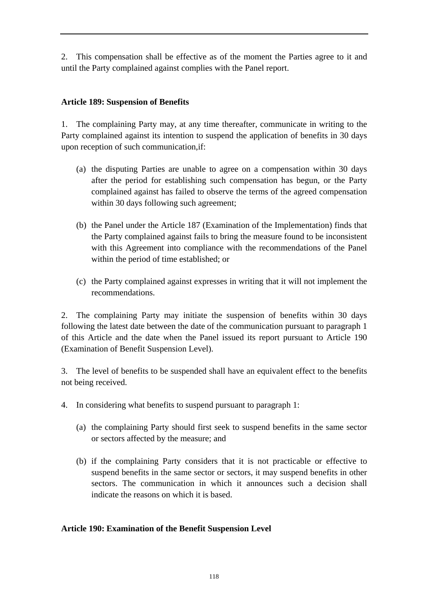2. This compensation shall be effective as of the moment the Parties agree to it and until the Party complained against complies with the Panel report.

# **Article 189: Suspension of Benefits**

1. The complaining Party may, at any time thereafter, communicate in writing to the Party complained against its intention to suspend the application of benefits in 30 days upon reception of such communication,if:

- (a) the disputing Parties are unable to agree on a compensation within 30 days after the period for establishing such compensation has begun, or the Party complained against has failed to observe the terms of the agreed compensation within 30 days following such agreement;
- (b) the Panel under the Article 187 (Examination of the Implementation) finds that the Party complained against fails to bring the measure found to be inconsistent with this Agreement into compliance with the recommendations of the Panel within the period of time established; or
- (c) the Party complained against expresses in writing that it will not implement the recommendations.

2. The complaining Party may initiate the suspension of benefits within 30 days following the latest date between the date of the communication pursuant to paragraph 1 of this Article and the date when the Panel issued its report pursuant to Article 190 (Examination of Benefit Suspension Level).

3. The level of benefits to be suspended shall have an equivalent effect to the benefits not being received.

- 4. In considering what benefits to suspend pursuant to paragraph 1:
	- (a) the complaining Party should first seek to suspend benefits in the same sector or sectors affected by the measure; and
	- (b) if the complaining Party considers that it is not practicable or effective to suspend benefits in the same sector or sectors, it may suspend benefits in other sectors. The communication in which it announces such a decision shall indicate the reasons on which it is based.

## **Article 190: Examination of the Benefit Suspension Level**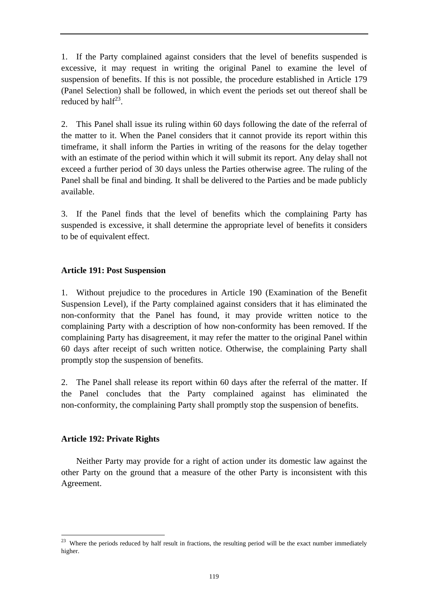1. If the Party complained against considers that the level of benefits suspended is excessive, it may request in writing the original Panel to examine the level of suspension of benefits. If this is not possible, the procedure established in Article 179 (Panel Selection) shall be followed, in which event the periods set out thereof shall be reduced by half<sup>23</sup>.

2. This Panel shall issue its ruling within 60 days following the date of the referral of the matter to it. When the Panel considers that it cannot provide its report within this timeframe, it shall inform the Parties in writing of the reasons for the delay together with an estimate of the period within which it will submit its report. Any delay shall not exceed a further period of 30 days unless the Parties otherwise agree. The ruling of the Panel shall be final and binding. It shall be delivered to the Parties and be made publicly available.

3. If the Panel finds that the level of benefits which the complaining Party has suspended is excessive, it shall determine the appropriate level of benefits it considers to be of equivalent effect.

### **Article 191: Post Suspension**

1. Without prejudice to the procedures in Article 190 (Examination of the Benefit Suspension Level), if the Party complained against considers that it has eliminated the non-conformity that the Panel has found, it may provide written notice to the complaining Party with a description of how non-conformity has been removed. If the complaining Party has disagreement, it may refer the matter to the original Panel within 60 days after receipt of such written notice. Otherwise, the complaining Party shall promptly stop the suspension of benefits.

2. The Panel shall release its report within 60 days after the referral of the matter. If the Panel concludes that the Party complained against has eliminated the non-conformity, the complaining Party shall promptly stop the suspension of benefits.

### **Article 192: Private Rights**

 $\overline{a}$ 

 Neither Party may provide for a right of action under its domestic law against the other Party on the ground that a measure of the other Party is inconsistent with this Agreement.

 $23$  Where the periods reduced by half result in fractions, the resulting period will be the exact number immediately higher.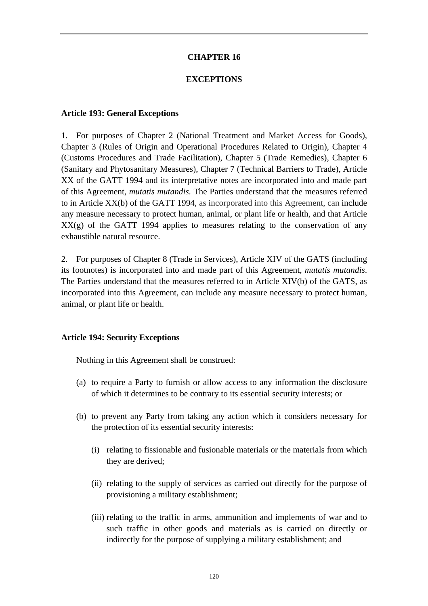# **CHAPTER 16**

# **EXCEPTIONS**

### **Article 193: General Exceptions**

1. For purposes of Chapter 2 (National Treatment and Market Access for Goods), Chapter 3 (Rules of Origin and Operational Procedures Related to Origin), Chapter 4 (Customs Procedures and Trade Facilitation), Chapter 5 (Trade Remedies), Chapter 6 (Sanitary and Phytosanitary Measures), Chapter 7 (Technical Barriers to Trade), Article XX of the GATT 1994 and its interpretative notes are incorporated into and made part of this Agreement, *mutatis mutandis*. The Parties understand that the measures referred to in Article XX(b) of the GATT 1994, as incorporated into this Agreement, can include any measure necessary to protect human, animal, or plant life or health, and that Article  $XX(g)$  of the GATT 1994 applies to measures relating to the conservation of any exhaustible natural resource.

2. For purposes of Chapter 8 (Trade in Services), Article XIV of the GATS (including its footnotes) is incorporated into and made part of this Agreement, *mutatis mutandis*. The Parties understand that the measures referred to in Article XIV(b) of the GATS, as incorporated into this Agreement, can include any measure necessary to protect human, animal, or plant life or health.

## **Article 194: Security Exceptions**

Nothing in this Agreement shall be construed:

- (a) to require a Party to furnish or allow access to any information the disclosure of which it determines to be contrary to its essential security interests; or
- (b) to prevent any Party from taking any action which it considers necessary for the protection of its essential security interests:
	- (i) relating to fissionable and fusionable materials or the materials from which they are derived;
	- (ii) relating to the supply of services as carried out directly for the purpose of provisioning a military establishment;
	- (iii) relating to the traffic in arms, ammunition and implements of war and to such traffic in other goods and materials as is carried on directly or indirectly for the purpose of supplying a military establishment; and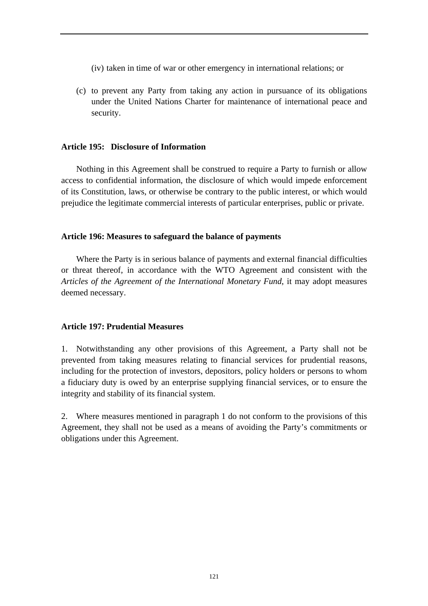- (iv) taken in time of war or other emergency in international relations; or
- (c) to prevent any Party from taking any action in pursuance of its obligations under the United Nations Charter for maintenance of international peace and security.

### **Article 195: Disclosure of Information**

Nothing in this Agreement shall be construed to require a Party to furnish or allow access to confidential information, the disclosure of which would impede enforcement of its Constitution, laws, or otherwise be contrary to the public interest, or which would prejudice the legitimate commercial interests of particular enterprises, public or private.

#### **Article 196: Measures to safeguard the balance of payments**

Where the Party is in serious balance of payments and external financial difficulties or threat thereof, in accordance with the WTO Agreement and consistent with the *Articles of the Agreement of the International Monetary Fund*, it may adopt measures deemed necessary.

#### **Article 197: Prudential Measures**

1. Notwithstanding any other provisions of this Agreement, a Party shall not be prevented from taking measures relating to financial services for prudential reasons, including for the protection of investors, depositors, policy holders or persons to whom a fiduciary duty is owed by an enterprise supplying financial services, or to ensure the integrity and stability of its financial system.

2. Where measures mentioned in paragraph 1 do not conform to the provisions of this Agreement, they shall not be used as a means of avoiding the Party's commitments or obligations under this Agreement.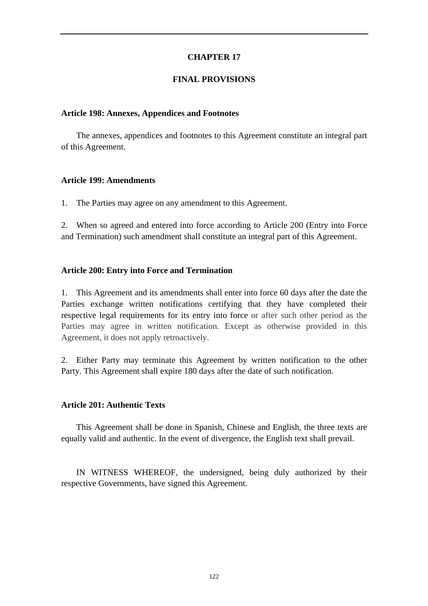### **CHAPTER 17**

### **FINAL PROVISIONS**

#### **Article 198: Annexes, Appendices and Footnotes**

The annexes, appendices and footnotes to this Agreement constitute an integral part of this Agreement.

#### **Article 199: Amendments**

1. The Parties may agree on any amendment to this Agreement.

2. When so agreed and entered into force according to Article 200 (Entry into Force and Termination) such amendment shall constitute an integral part of this Agreement.

#### **Article 200: Entry into Force and Termination**

1. This Agreement and its amendments shall enter into force 60 days after the date the Parties exchange written notifications certifying that they have completed their respective legal requirements for its entry into force or after such other period as the Parties may agree in written notification. Except as otherwise provided in this Agreement, it does not apply retroactively.

2. Either Party may terminate this Agreement by written notification to the other Party. This Agreement shall expire 180 days after the date of such notification.

#### **Article 201: Authentic Texts**

This Agreement shall be done in Spanish, Chinese and English, the three texts are equally valid and authentic. In the event of divergence, the English text shall prevail.

IN WITNESS WHEREOF, the undersigned, being duly authorized by their respective Governments, have signed this Agreement.